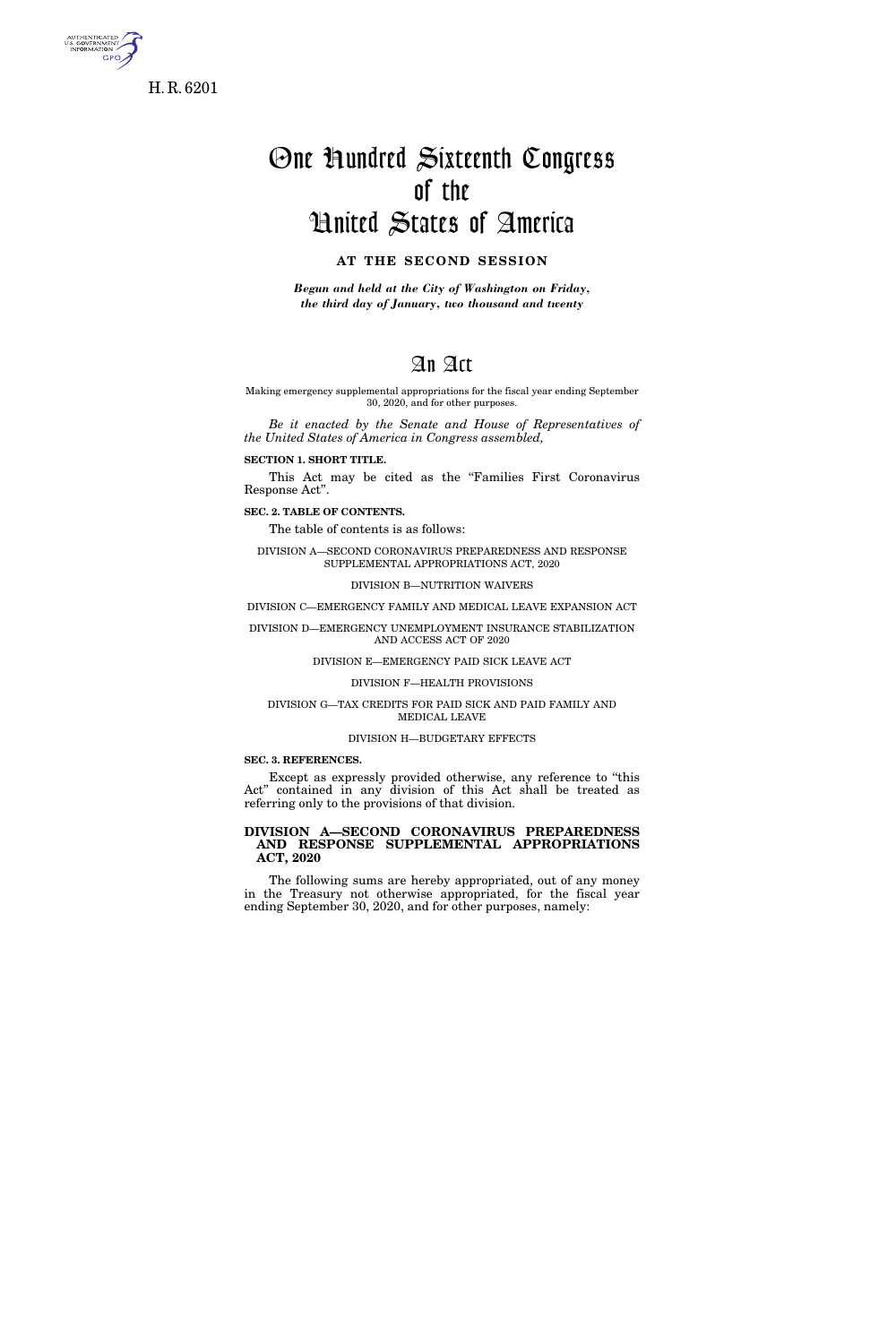

**GPO** 

One Hundred Sixteenth Congress of the United States of America

## **AT THE SECOND SESSION**

*Begun and held at the City of Washington on Friday, the third day of January, two thousand and twenty* 

## An Act

Making emergency supplemental appropriations for the fiscal year ending September 30, 2020, and for other purposes.

*Be it enacted by the Senate and House of Representatives of the United States of America in Congress assembled,* 

**SECTION 1. SHORT TITLE.** 

This Act may be cited as the ''Families First Coronavirus Response Act''.

**SEC. 2. TABLE OF CONTENTS.** 

The table of contents is as follows:

DIVISION A—SECOND CORONAVIRUS PREPAREDNESS AND RESPONSE SUPPLEMENTAL APPROPRIATIONS ACT, 2020

#### DIVISION B—NUTRITION WAIVERS

DIVISION C—EMERGENCY FAMILY AND MEDICAL LEAVE EXPANSION ACT

DIVISION D—EMERGENCY UNEMPLOYMENT INSURANCE STABILIZATION AND ACCESS ACT OF 2020

DIVISION E—EMERGENCY PAID SICK LEAVE ACT

DIVISION F—HEALTH PROVISIONS

#### DIVISION G—TAX CREDITS FOR PAID SICK AND PAID FAMILY AND MEDICAL LEAVE

#### DIVISION H—BUDGETARY EFFECTS

**SEC. 3. REFERENCES.** 

Except as expressly provided otherwise, any reference to ''this Act'' contained in any division of this Act shall be treated as referring only to the provisions of that division.

## **DIVISION A—SECOND CORONAVIRUS PREPAREDNESS AND RESPONSE SUPPLEMENTAL APPROPRIATIONS ACT, 2020**

The following sums are hereby appropriated, out of any money in the Treasury not otherwise appropriated, for the fiscal year ending September 30, 2020, and for other purposes, namely: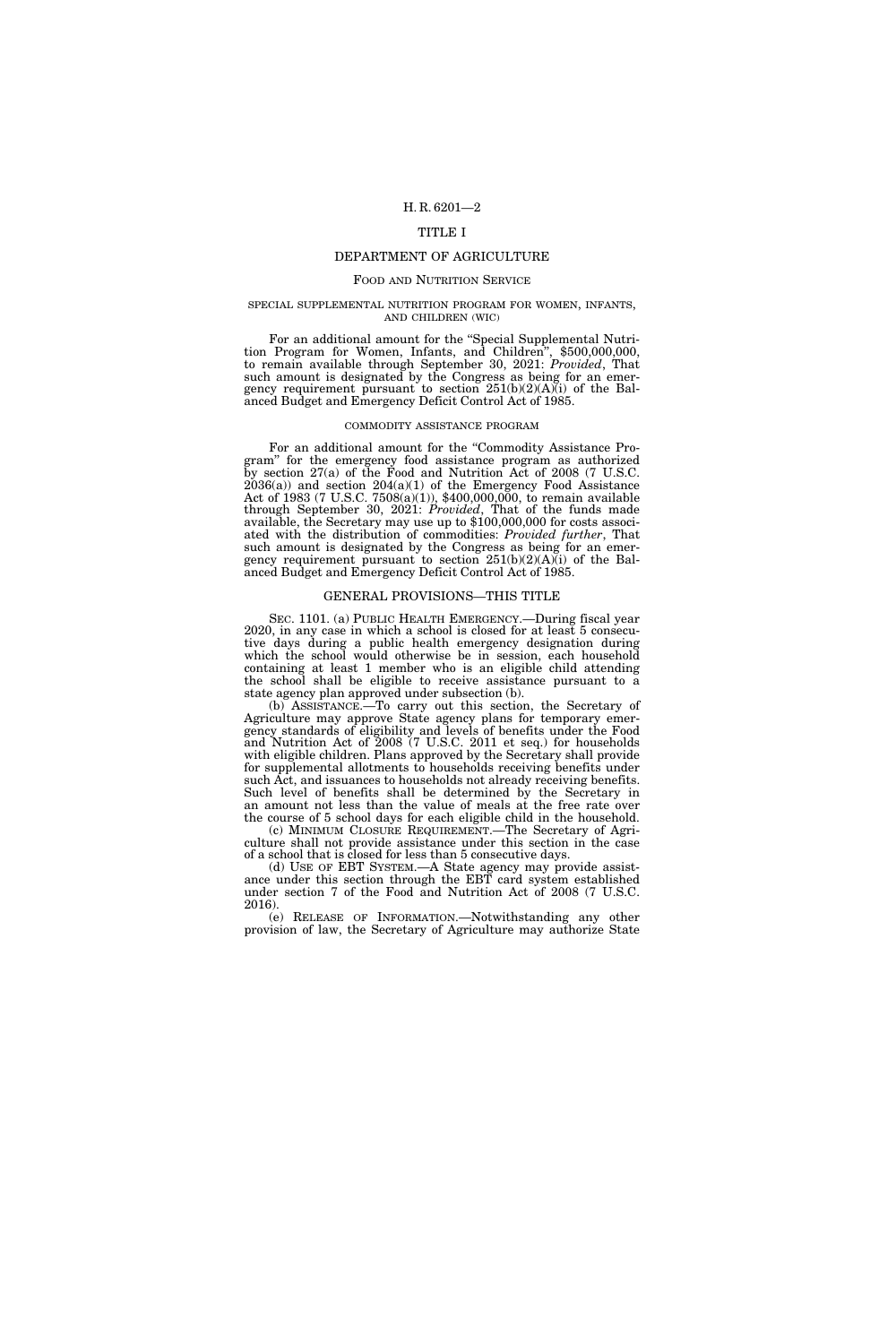## TITLE I

## DEPARTMENT OF AGRICULTURE

#### FOOD AND NUTRITION SERVICE

# SPECIAL SUPPLEMENTAL NUTRITION PROGRAM FOR WOMEN, INFANTS, AND CHILDREN (WIC)

For an additional amount for the "Special Supplemental Nutrition Program for Women, Infants, and Children", \$500,000,000, to remain available through September 30, 2021: *Provided*, That such amount is designated by the Congress as being for an emergency requirement pursuant to section 251(b)(2)(A)(i) of the Balanced Budget and Emergency Deficit Control Act of 1985.

#### COMMODITY ASSISTANCE PROGRAM

For an additional amount for the "Commodity Assistance Program'' for the emergency food assistance program as authorized by section 27(a) of the Food and Nutrition Act of 2008 (7 U.S.C.  $2036(a)$  and section  $204(a)(1)$  of the Emergency Food Assistance Act of 1983 (7 U.S.C. 7508(a)(1)), \$400,000,000, to remain available through September 30, 2021: *Provided*, That of the funds made available, the Secretary may use up to \$100,000,000 for costs associated with the distribution of commodities: *Provided further*, That such amount is designated by the Congress as being for an emergency requirement pursuant to section 251(b)(2)(A)(i) of the Balanced Budget and Emergency Deficit Control Act of 1985.

## GENERAL PROVISIONS—THIS TITLE

SEC. 1101. (a) PUBLIC HEALTH EMERGENCY.—During fiscal year 2020, in any case in which a school is closed for at least 5 consecutive days during a public health emergency designation during which the school would otherwise be in session, each household containing at least 1 member who is an eligible child attending the school shall be eligible to receive assistance pursuant to a state agency plan approved under subsection (b).

(b) ASSISTANCE.—To carry out this section, the Secretary of Agriculture may approve State agency plans for temporary emergency standards of eligibility and levels of benefits under the Food and Nutrition Act of 2008 (7 U.S.C. 2011 et seq.) for households with eligible children. Plans approved by the Secretary shall provide for supplemental allotments to households receiving benefits under such Act, and issuances to households not already receiving benefits. Such level of benefits shall be determined by the Secretary in an amount not less than the value of meals at the free rate over the course of 5 school days for each eligible child in the household.

(c) MINIMUM CLOSURE REQUIREMENT.—The Secretary of Agriculture shall not provide assistance under this section in the case of a school that is closed for less than 5 consecutive days.

(d) USE OF EBT SYSTEM.—A State agency may provide assistance under this section through the EBT card system established under section 7 of the Food and Nutrition Act of 2008 (7 U.S.C. 2016).

(e) RELEASE OF INFORMATION.—Notwithstanding any other provision of law, the Secretary of Agriculture may authorize State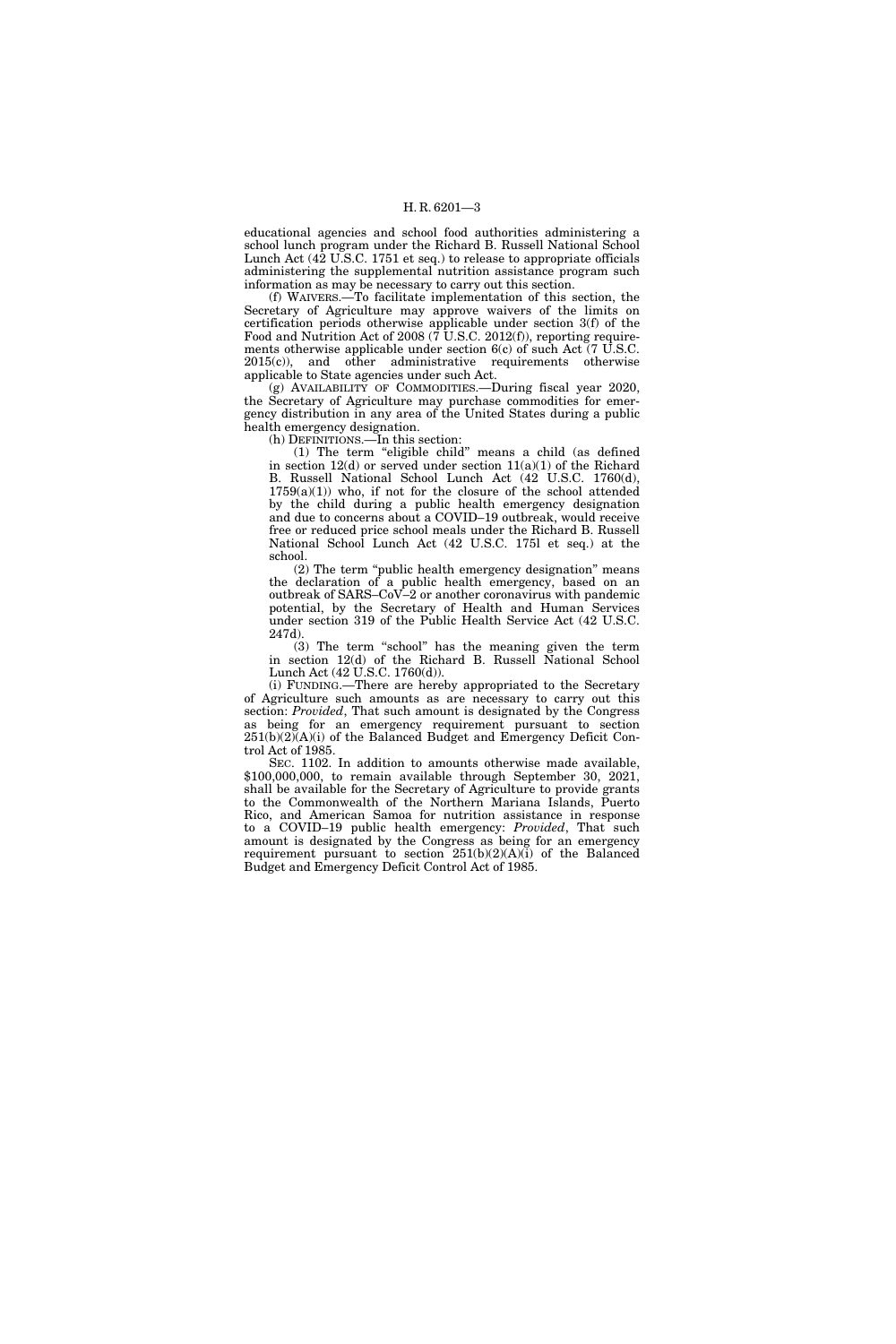educational agencies and school food authorities administering a school lunch program under the Richard B. Russell National School Lunch Act (42 U.S.C. 1751 et seq.) to release to appropriate officials administering the supplemental nutrition assistance program such information as may be necessary to carry out this section.

(f) WAIVERS.—To facilitate implementation of this section, the Secretary of Agriculture may approve waivers of the limits on certification periods otherwise applicable under section 3(f) of the Food and Nutrition Act of 2008  $(7 \text{ U.S.C. } 2012 \text{ (f)}),$  reporting requirements otherwise applicable under section 6(c) of such Act (7 U.S.C. 2015(c)), and other administrative requirements otherwise applicable to State agencies under such Act.

(g) AVAILABILITY OF COMMODITIES.—During fiscal year 2020, the Secretary of Agriculture may purchase commodities for emergency distribution in any area of the United States during a public health emergency designation.

(h) DEFINITIONS.—In this section:

(1) The term ''eligible child'' means a child (as defined in section  $12(d)$  or served under section  $11(a)(1)$  of the Richard B. Russell National School Lunch Act (42 U.S.C. 1760(d),  $1759(a)(1)$  who, if not for the closure of the school attended by the child during a public health emergency designation and due to concerns about a COVID–19 outbreak, would receive free or reduced price school meals under the Richard B. Russell National School Lunch Act (42 U.S.C. 175l et seq.) at the school.

(2) The term ''public health emergency designation'' means the declaration of a public health emergency, based on an outbreak of SARS–CoV–2 or another coronavirus with pandemic potential, by the Secretary of Health and Human Services under section 319 of the Public Health Service Act (42 U.S.C. 247d).

(3) The term ''school'' has the meaning given the term in section 12(d) of the Richard B. Russell National School Lunch Act (42 U.S.C. 1760(d)).

(i) FUNDING.—There are hereby appropriated to the Secretary of Agriculture such amounts as are necessary to carry out this section: *Provided*, That such amount is designated by the Congress as being for an emergency requirement pursuant to section  $251(b)(2)(A)(i)$  of the Balanced Budget and Emergency Deficit Control Act of 1985.

SEC. 1102. In addition to amounts otherwise made available, \$100,000,000, to remain available through September 30, 2021, shall be available for the Secretary of Agriculture to provide grants to the Commonwealth of the Northern Mariana Islands, Puerto Rico, and American Samoa for nutrition assistance in response to a COVID–19 public health emergency: *Provided*, That such amount is designated by the Congress as being for an emergency requirement pursuant to section 251(b)(2)(A)(i) of the Balanced Budget and Emergency Deficit Control Act of 1985.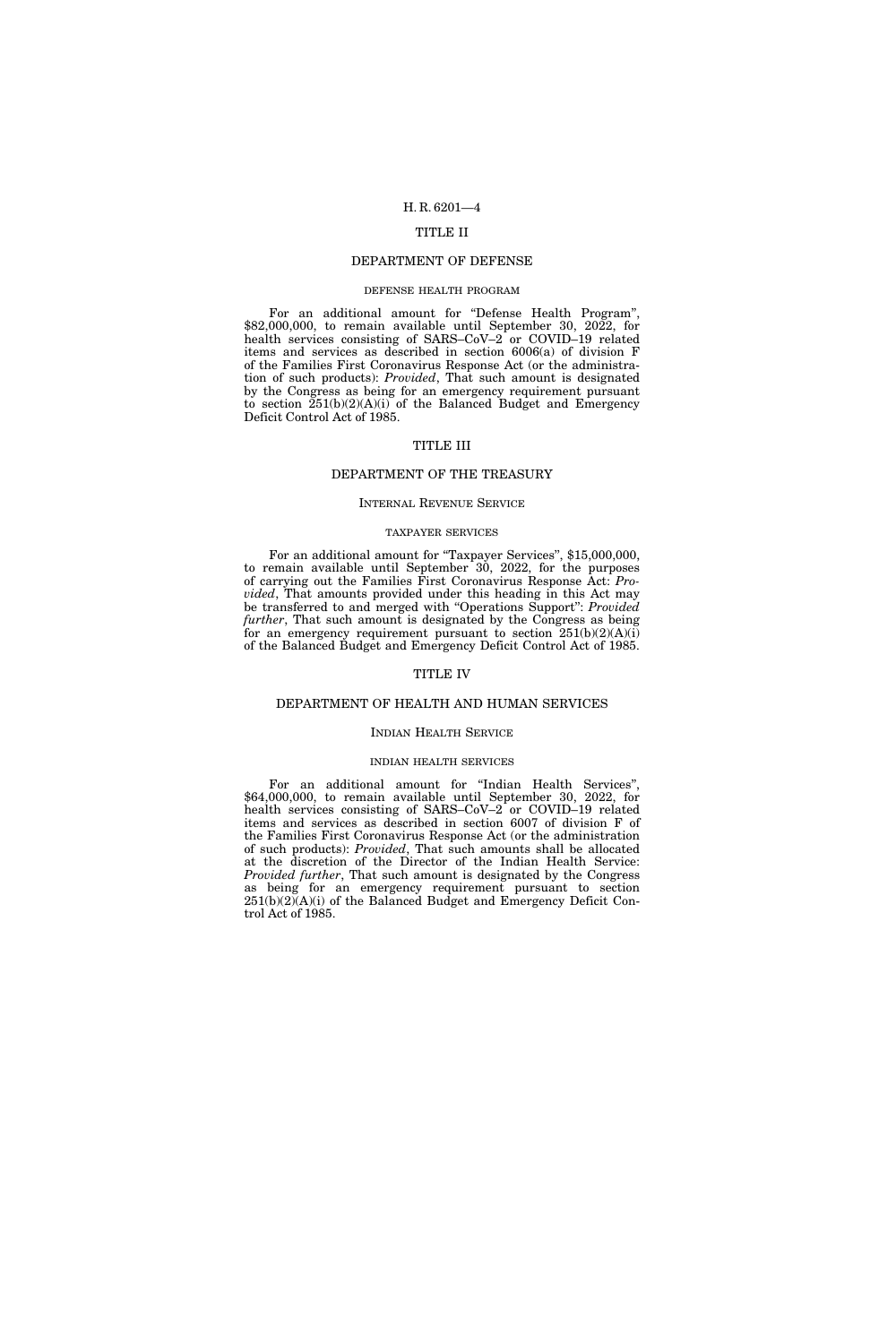## TITLE II

#### DEPARTMENT OF DEFENSE

#### DEFENSE HEALTH PROGRAM

For an additional amount for "Defense Health Program",  $$82,000,000$ , to remain available until September 30, 2022, for health services consisting of SARS–CoV–2 or COVID–19 related items and services as described in section 6006(a) of division F of the Families First Coronavirus Response Act (or the administration of such products): *Provided*, That such amount is designated by the Congress as being for an emergency requirement pursuant to section 251(b)(2)(A)(i) of the Balanced Budget and Emergency Deficit Control Act of 1985.

#### TITLE III

### DEPARTMENT OF THE TREASURY

#### INTERNAL REVENUE SERVICE

#### TAXPAYER SERVICES

For an additional amount for "Taxpayer Services", \$15,000,000, to remain available until September 30, 2022, for the purposes of carrying out the Families First Coronavirus Response Act: *Provided*, That amounts provided under this heading in this Act may be transferred to and merged with ''Operations Support'': *Provided further*, That such amount is designated by the Congress as being for an emergency requirement pursuant to section  $251(b)(2)(A)(i)$ of the Balanced Budget and Emergency Deficit Control Act of 1985.

## TITLE IV

#### DEPARTMENT OF HEALTH AND HUMAN SERVICES

#### INDIAN HEALTH SERVICE

#### INDIAN HEALTH SERVICES

For an additional amount for "Indian Health Services", \$64,000,000, to remain available until September 30, 2022, for health services consisting of SARS–CoV–2 or COVID–19 related items and services as described in section 6007 of division F of the Families First Coronavirus Response Act (or the administration of such products): *Provided*, That such amounts shall be allocated at the discretion of the Director of the Indian Health Service: *Provided further*, That such amount is designated by the Congress as being for an emergency requirement pursuant to section 251(b)(2)(A)(i) of the Balanced Budget and Emergency Deficit Control Act of 1985.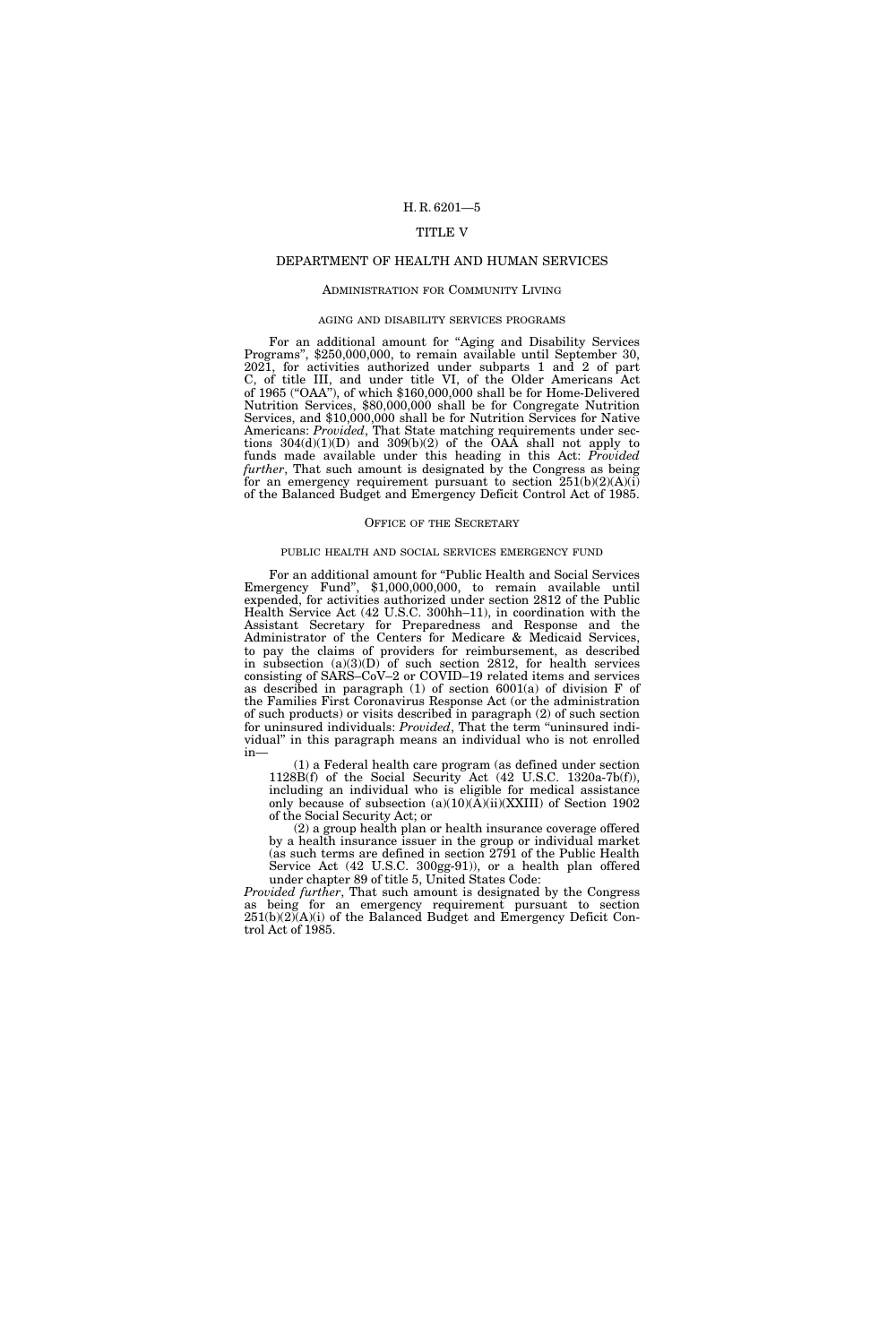## TITLE V

## DEPARTMENT OF HEALTH AND HUMAN SERVICES

#### ADMINISTRATION FOR COMMUNITY LIVING

#### AGING AND DISABILITY SERVICES PROGRAMS

For an additional amount for "Aging and Disability Services Programs'', \$250,000,000, to remain available until September 30, 2021, for activities authorized under subparts 1 and 2 of part C, of title III, and under title VI, of the Older Americans Act of 1965 (''OAA''), of which \$160,000,000 shall be for Home-Delivered Nutrition Services, \$80,000,000 shall be for Congregate Nutrition Services, and \$10,000,000 shall be for Nutrition Services for Native Americans: *Provided*, That State matching requirements under sections  $304(d)(1)(D)$  and  $309(b)(2)$  of the OAA shall not apply to funds made available under this heading in this Act: *Provided further*, That such amount is designated by the Congress as being for an emergency requirement pursuant to section  $251(b)(2)(A)(i)$ of the Balanced Budget and Emergency Deficit Control Act of 1985.

#### OFFICE OF THE SECRETARY

#### PUBLIC HEALTH AND SOCIAL SERVICES EMERGENCY FUND

For an additional amount for ''Public Health and Social Services Emergency Fund", \$1,000,000,000, to remain available until expended, for activities authorized under section 2812 of the Public Health Service Act (42 U.S.C. 300hh–11), in coordination with the Assistant Secretary for Preparedness and Response and the Administrator of the Centers for Medicare & Medicaid Services, to pay the claims of providers for reimbursement, as described in subsection (a)(3)(D) of such section 2812, for health services consisting of SARS–CoV–2 or COVID–19 related items and services as described in paragraph (1) of section 6001(a) of division F of the Families First Coronavirus Response Act (or the administration of such products) or visits described in paragraph (2) of such section for uninsured individuals: *Provided*, That the term "uninsured individual'' in this paragraph means an individual who is not enrolled in—

(1) a Federal health care program (as defined under section 1128B(f) of the Social Security Act (42 U.S.C. 1320a-7b(f)), including an individual who is eligible for medical assistance only because of subsection  $(a)(10)(\tilde{A})(ii)(XXIII)$  of Section 1902 of the Social Security Act; or

(2) a group health plan or health insurance coverage offered by a health insurance issuer in the group or individual market (as such terms are defined in section 2791 of the Public Health Service Act (42 U.S.C. 300gg-91)), or a health plan offered under chapter 89 of title 5, United States Code:

*Provided further*, That such amount is designated by the Congress as being for an emergency requirement pursuant to section 251(b)(2)(A)(i) of the Balanced Budget and Emergency Deficit Control Act of 1985.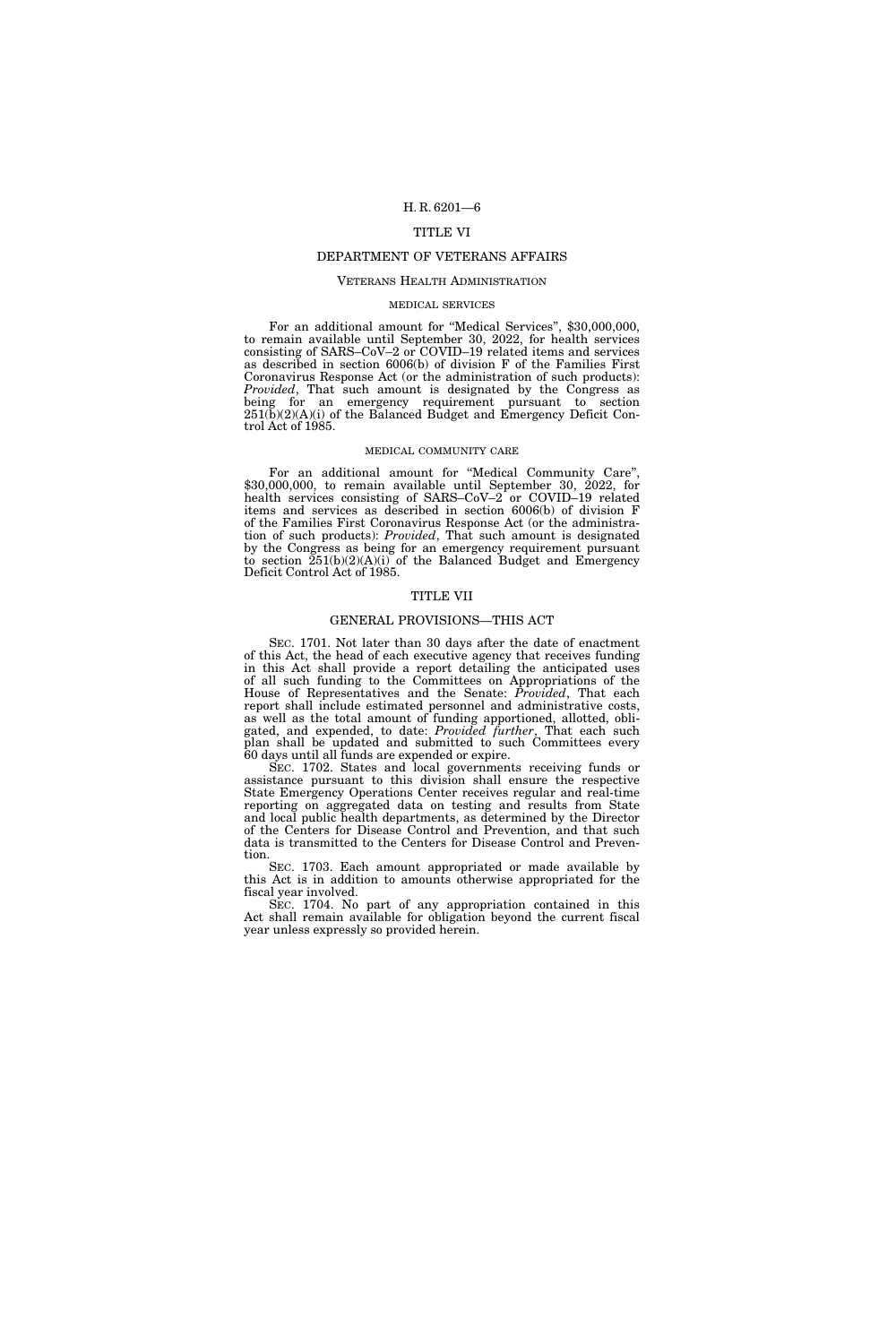## TITLE VI

#### DEPARTMENT OF VETERANS AFFAIRS

## VETERANS HEALTH ADMINISTRATION

#### MEDICAL SERVICES

For an additional amount for "Medical Services", \$30,000,000, to remain available until September 30, 2022, for health services consisting of SARS–CoV–2 or COVID–19 related items and services as described in section 6006(b) of division F of the Families First Coronavirus Response Act (or the administration of such products): *Provided*, That such amount is designated by the Congress as being for an emergency requirement pursuant to section  $251(b)(2)(A)(i)$  of the Balanced Budget and Emergency Deficit Control Act of 1985.

#### MEDICAL COMMUNITY CARE

For an additional amount for "Medical Community Care", \$30,000,000, to remain available until September 30, 2022, for health services consisting of SARS–CoV–2 or COVID–19 related items and services as described in section 6006(b) of division F of the Families First Coronavirus Response Act (or the administration of such products): *Provided*, That such amount is designated by the Congress as being for an emergency requirement pursuant to section 251(b)(2)(A)(i) of the Balanced Budget and Emergency Deficit Control Act of 1985.

### TITLE VII

## GENERAL PROVISIONS—THIS ACT

SEC. 1701. Not later than 30 days after the date of enactment of this Act, the head of each executive agency that receives funding in this Act shall provide a report detailing the anticipated uses of all such funding to the Committees on Appropriations of the House of Representatives and the Senate: *Provided*, That each report shall include estimated personnel and administrative costs, as well as the total amount of funding apportioned, allotted, obligated, and expended, to date: *Provided further*, That each such plan shall be updated and submitted to such Committees every 60 days until all funds are expended or expire.

SEC. 1702. States and local governments receiving funds or assistance pursuant to this division shall ensure the respective State Emergency Operations Center receives regular and real-time reporting on aggregated data on testing and results from State and local public health departments, as determined by the Director of the Centers for Disease Control and Prevention, and that such data is transmitted to the Centers for Disease Control and Prevention.

SEC. 1703. Each amount appropriated or made available by this Act is in addition to amounts otherwise appropriated for the fiscal year involved.

SEC. 1704. No part of any appropriation contained in this Act shall remain available for obligation beyond the current fiscal year unless expressly so provided herein.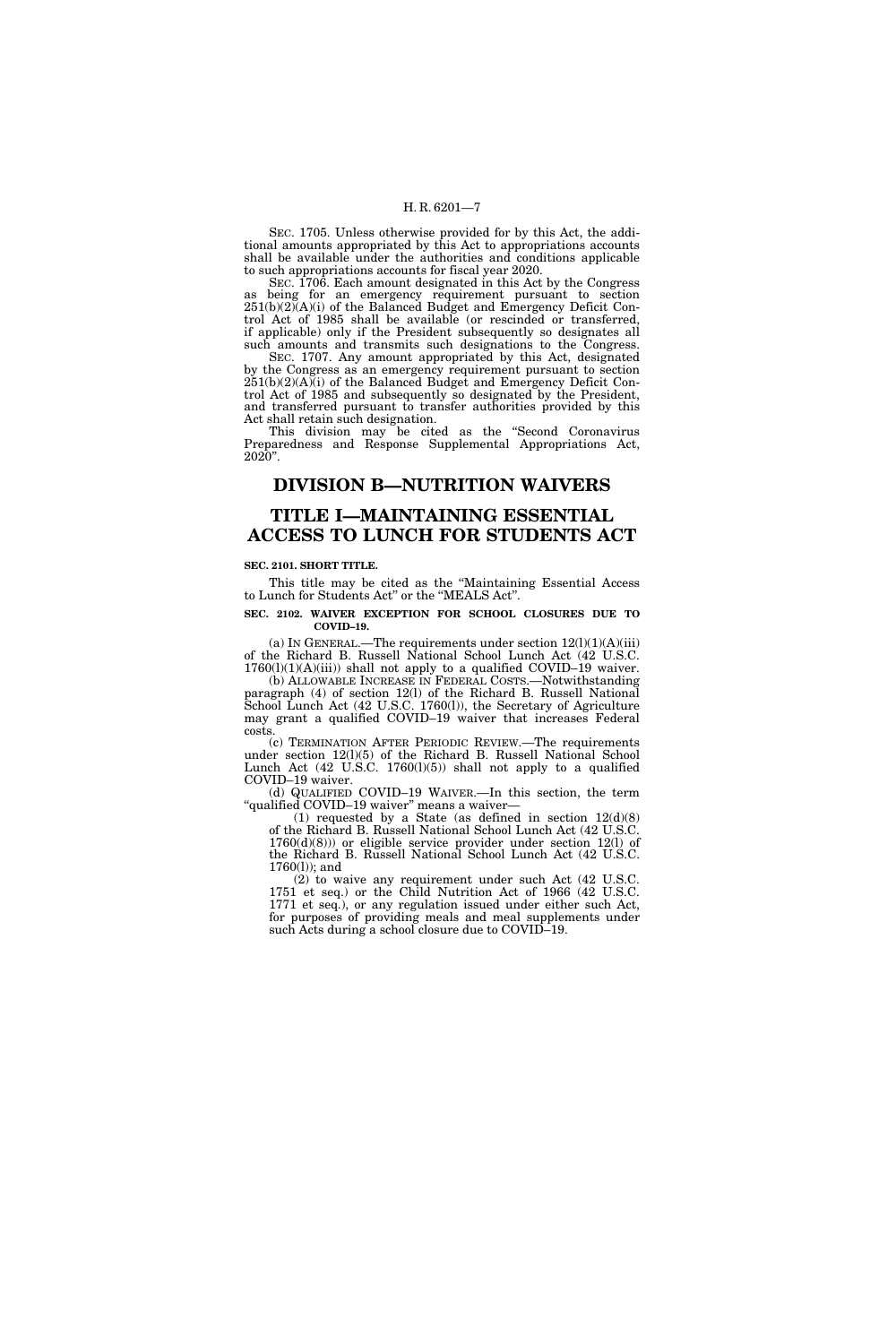SEC. 1705. Unless otherwise provided for by this Act, the additional amounts appropriated by this Act to appropriations accounts shall be available under the authorities and conditions applicable to such appropriations accounts for fiscal year 2020.

SEC. 1706. Each amount designated in this Act by the Congress as being for an emergency requirement pursuant to section 251(b)(2)(A)(i) of the Balanced Budget and Emergency Deficit Control Act of 1985 shall be available (or rescinded or transferred, if applicable) only if the President subsequently so designates all such amounts and transmits such designations to the Congress.

SEC. 1707. Any amount appropriated by this Act, designated by the Congress as an emergency requirement pursuant to section  $251(b)(2)(A)(i)$  of the Balanced Budget and Emergency Deficit Control Act of 1985 and subsequently so designated by the President, and transferred pursuant to transfer authorities provided by this Act shall retain such designation.

This division may be cited as the "Second Coronavirus Preparedness and Response Supplemental Appropriations Act, 2020''.

## **DIVISION B—NUTRITION WAIVERS**

## **TITLE I—MAINTAINING ESSENTIAL ACCESS TO LUNCH FOR STUDENTS ACT**

#### **SEC. 2101. SHORT TITLE.**

This title may be cited as the ''Maintaining Essential Access to Lunch for Students Act'' or the ''MEALS Act''.

#### **SEC. 2102. WAIVER EXCEPTION FOR SCHOOL CLOSURES DUE TO COVID–19.**

(a) IN GENERAL.—The requirements under section  $12(1)(1)(A)(iii)$ of the Richard B. Russell National School Lunch Act (42 U.S.C. 1760(l)(1)(A)(iii)) shall not apply to a qualified COVID–19 waiver.

(b) ALLOWABLE INCREASE IN FEDERAL COSTS.—Notwithstanding paragraph (4) of section 12(l) of the Richard B. Russell National School Lunch Act (42 U.S.C. 1760(l)), the Secretary of Agriculture may grant a qualified COVID–19 waiver that increases Federal costs.

(c) TERMINATION AFTER PERIODIC REVIEW.—The requirements under section 12(l)(5) of the Richard B. Russell National School Lunch Act (42 U.S.C. 1760(l)(5)) shall not apply to a qualified COVID–19 waiver.

(d) QUALIFIED COVID–19 WAIVER.—In this section, the term ''qualified COVID–19 waiver'' means a waiver—

(1) requested by a State (as defined in section  $12(d)(8)$ of the Richard B. Russell National School Lunch Act (42 U.S.C.  $1760(d)(8)$ ) or eligible service provider under section  $12(l)$  of the Richard B. Russell National School Lunch Act (42 U.S.C. 1760(l)); and

(2) to waive any requirement under such Act (42 U.S.C. 1751 et seq.) or the Child Nutrition Act of 1966 (42 U.S.C. 1771 et seq.), or any regulation issued under either such Act, for purposes of providing meals and meal supplements under such Acts during a school closure due to COVID–19.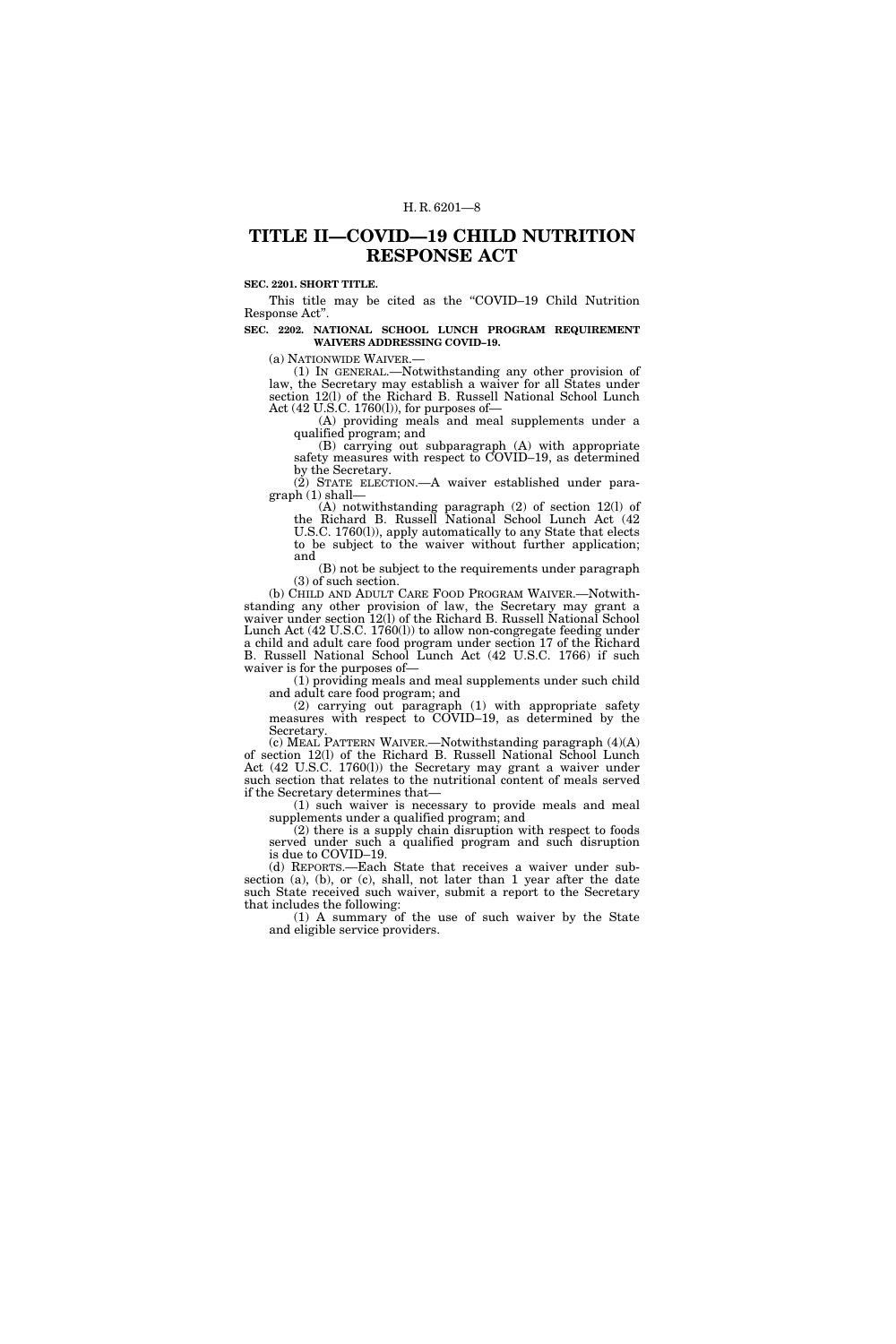## **TITLE II—COVID—19 CHILD NUTRITION RESPONSE ACT**

#### **SEC. 2201. SHORT TITLE.**

This title may be cited as the "COVID-19 Child Nutrition Response Act''.

## **SEC. 2202. NATIONAL SCHOOL LUNCH PROGRAM REQUIREMENT WAIVERS ADDRESSING COVID–19.**

(a) NATIONWIDE WAIVER.— (1) IN GENERAL.—Notwithstanding any other provision of law, the Secretary may establish a waiver for all States under section 12(l) of the Richard B. Russell National School Lunch Act (42 U.S.C. 1760(l)), for purposes of—

(A) providing meals and meal supplements under a qualified program; and

(B) carrying out subparagraph (A) with appropriate safety measures with respect to COVID–19, as determined by the Secretary.

(2) STATE ELECTION.—A waiver established under paragraph (1) shall—

(A) notwithstanding paragraph (2) of section 12(l) of the Richard B. Russell National School Lunch Act (42 U.S.C. 1760(l)), apply automatically to any State that elects to be subject to the waiver without further application; and

(B) not be subject to the requirements under paragraph (3) of such section.

(b) CHILD AND ADULT CARE FOOD PROGRAM WAIVER.—Notwithstanding any other provision of law, the Secretary may grant a waiver under section 12(l) of the Richard B. Russell National School Lunch Act (42 U.S.C. 1760(l)) to allow non-congregate feeding under a child and adult care food program under section 17 of the Richard B. Russell National School Lunch Act (42 U.S.C. 1766) if such waiver is for the purposes of—

(1) providing meals and meal supplements under such child and adult care food program; and

(2) carrying out paragraph (1) with appropriate safety measures with respect to COVID–19, as determined by the Secretary.

(c) MEAL PATTERN WAIVER.—Notwithstanding paragraph (4)(A) of section 12(l) of the Richard B. Russell National School Lunch Act (42 U.S.C. 1760(l)) the Secretary may grant a waiver under such section that relates to the nutritional content of meals served if the Secretary determines that—

(1) such waiver is necessary to provide meals and meal supplements under a qualified program; and

(2) there is a supply chain disruption with respect to foods served under such a qualified program and such disruption is due to COVID–19.

(d) REPORTS.—Each State that receives a waiver under subsection (a), (b), or (c), shall, not later than 1 year after the date such State received such waiver, submit a report to the Secretary that includes the following:

(1) A summary of the use of such waiver by the State and eligible service providers.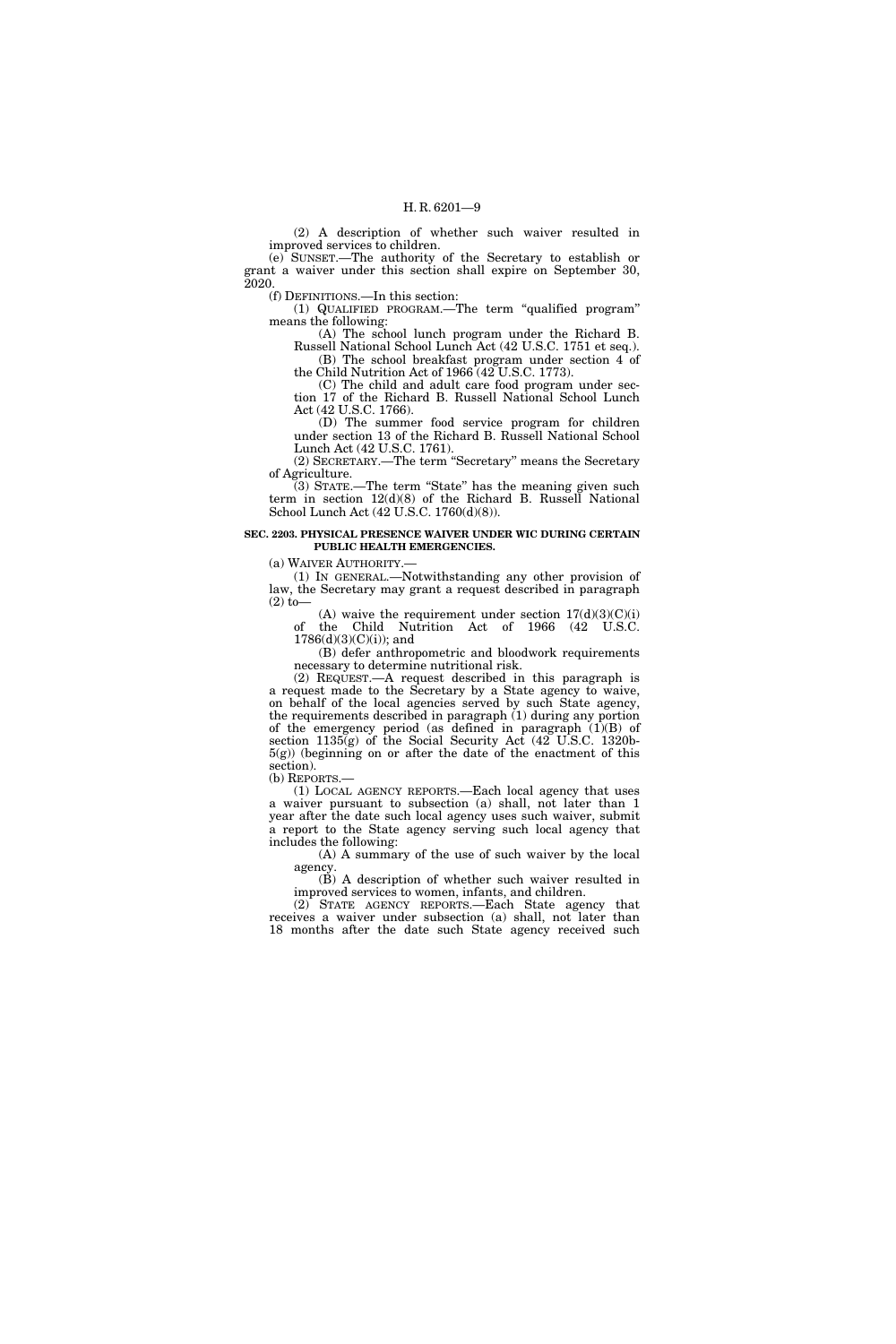(2) A description of whether such waiver resulted in improved services to children.

(e) SUNSET.—The authority of the Secretary to establish or grant a waiver under this section shall expire on September 30, 2020.

(f) DEFINITIONS.—In this section:

(1) QUALIFIED PROGRAM.—The term ''qualified program'' means the following:

(A) The school lunch program under the Richard B. Russell National School Lunch Act (42 U.S.C. 1751 et seq.). (B) The school breakfast program under section 4 of

the Child Nutrition Act of 1966 (42 U.S.C. 1773). (C) The child and adult care food program under sec-

tion 17 of the Richard B. Russell National School Lunch Act (42 U.S.C. 1766).

(D) The summer food service program for children under section 13 of the Richard B. Russell National School Lunch Act (42 U.S.C. 1761).

(2) SECRETARY.—The term ''Secretary'' means the Secretary of Agriculture.

(3) STATE.—The term ''State'' has the meaning given such term in section 12(d)(8) of the Richard B. Russell National School Lunch Act (42 U.S.C. 1760(d)(8)).

#### **SEC. 2203. PHYSICAL PRESENCE WAIVER UNDER WIC DURING CERTAIN PUBLIC HEALTH EMERGENCIES.**

(a) WAIVER AUTHORITY.—

(1) IN GENERAL.—Notwithstanding any other provision of law, the Secretary may grant a request described in paragraph  $(2)$  to-

(A) waive the requirement under section  $17(d)(3)(C)(i)$ of the Child Nutrition Act of 1966 (42 U.S.C.  $1786(d)(3)(C)(i)$ ; and

(B) defer anthropometric and bloodwork requirements necessary to determine nutritional risk.

(2) REQUEST.—A request described in this paragraph is a request made to the Secretary by a State agency to waive, on behalf of the local agencies served by such State agency, the requirements described in paragraph (1) during any portion of the emergency period (as defined in paragraph  $(1)(B)$  of section 1135(g) of the Social Security Act (42 U.S.C. 1320b- $5(g)$ ) (beginning on or after the date of the enactment of this section).

(b) REPORTS.—

(1) LOCAL AGENCY REPORTS.—Each local agency that uses a waiver pursuant to subsection (a) shall, not later than 1 year after the date such local agency uses such waiver, submit a report to the State agency serving such local agency that includes the following:

(A) A summary of the use of such waiver by the local agency.

(B) A description of whether such waiver resulted in improved services to women, infants, and children.

(2) STATE AGENCY REPORTS.—Each State agency that receives a waiver under subsection (a) shall, not later than 18 months after the date such State agency received such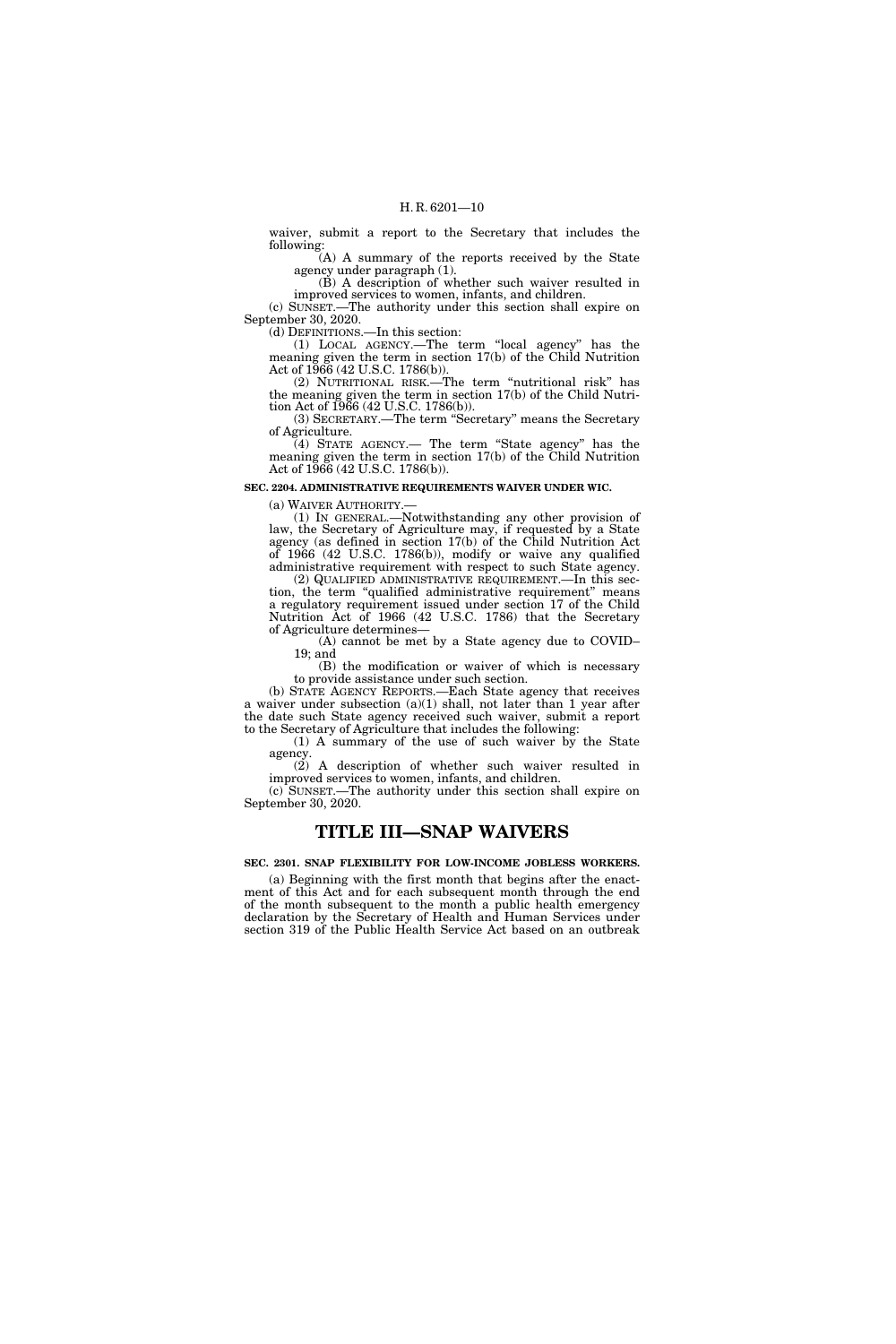waiver, submit a report to the Secretary that includes the following:

(A) A summary of the reports received by the State agency under paragraph (1).

(B) A description of whether such waiver resulted in improved services to women, infants, and children.

(c) SUNSET.—The authority under this section shall expire on September 30, 2020.

(d) DEFINITIONS.—In this section:

(1) LOCAL AGENCY.—The term ''local agency'' has the meaning given the term in section 17(b) of the Child Nutrition Act of 1966 (42 U.S.C. 1786(b)).

(2) NUTRITIONAL RISK.—The term ''nutritional risk'' has the meaning given the term in section 17(b) of the Child Nutrition Act of 1966 (42 U.S.C. 1786(b)).

(3) SECRETARY.—The term ''Secretary'' means the Secretary of Agriculture.

(4) STATE AGENCY.— The term ''State agency'' has the meaning given the term in section 17(b) of the Child Nutrition Act of 1966 (42 U.S.C. 1786(b)).

#### **SEC. 2204. ADMINISTRATIVE REQUIREMENTS WAIVER UNDER WIC.**

(a) WAIVER AUTHORITY.— (1) IN GENERAL.—Notwithstanding any other provision of law, the Secretary of Agriculture may, if requested by a State agency (as defined in section 17(b) of the Child Nutrition Act of 1966 (42 U.S.C. 1786(b)), modify or waive any qualified administrative requirement with respect to such State agency.

(2) QUALIFIED ADMINISTRATIVE REQUIREMENT.—In this section, the term "qualified administrative requirement" means a regulatory requirement issued under section 17 of the Child Nutrition Act of 1966 (42 U.S.C. 1786) that the Secretary of Agriculture determines—

(A) cannot be met by a State agency due to COVID– 19; and

(B) the modification or waiver of which is necessary to provide assistance under such section.

(b) STATE AGENCY REPORTS.—Each State agency that receives a waiver under subsection (a)(1) shall, not later than 1 year after the date such State agency received such waiver, submit a report to the Secretary of Agriculture that includes the following:

(1) A summary of the use of such waiver by the State agency.

(2) A description of whether such waiver resulted in improved services to women, infants, and children.

(c) SUNSET.—The authority under this section shall expire on September 30, 2020.

## **TITLE III—SNAP WAIVERS**

**SEC. 2301. SNAP FLEXIBILITY FOR LOW-INCOME JOBLESS WORKERS.** 

(a) Beginning with the first month that begins after the enactment of this Act and for each subsequent month through the end of the month subsequent to the month a public health emergency declaration by the Secretary of Health and Human Services under section 319 of the Public Health Service Act based on an outbreak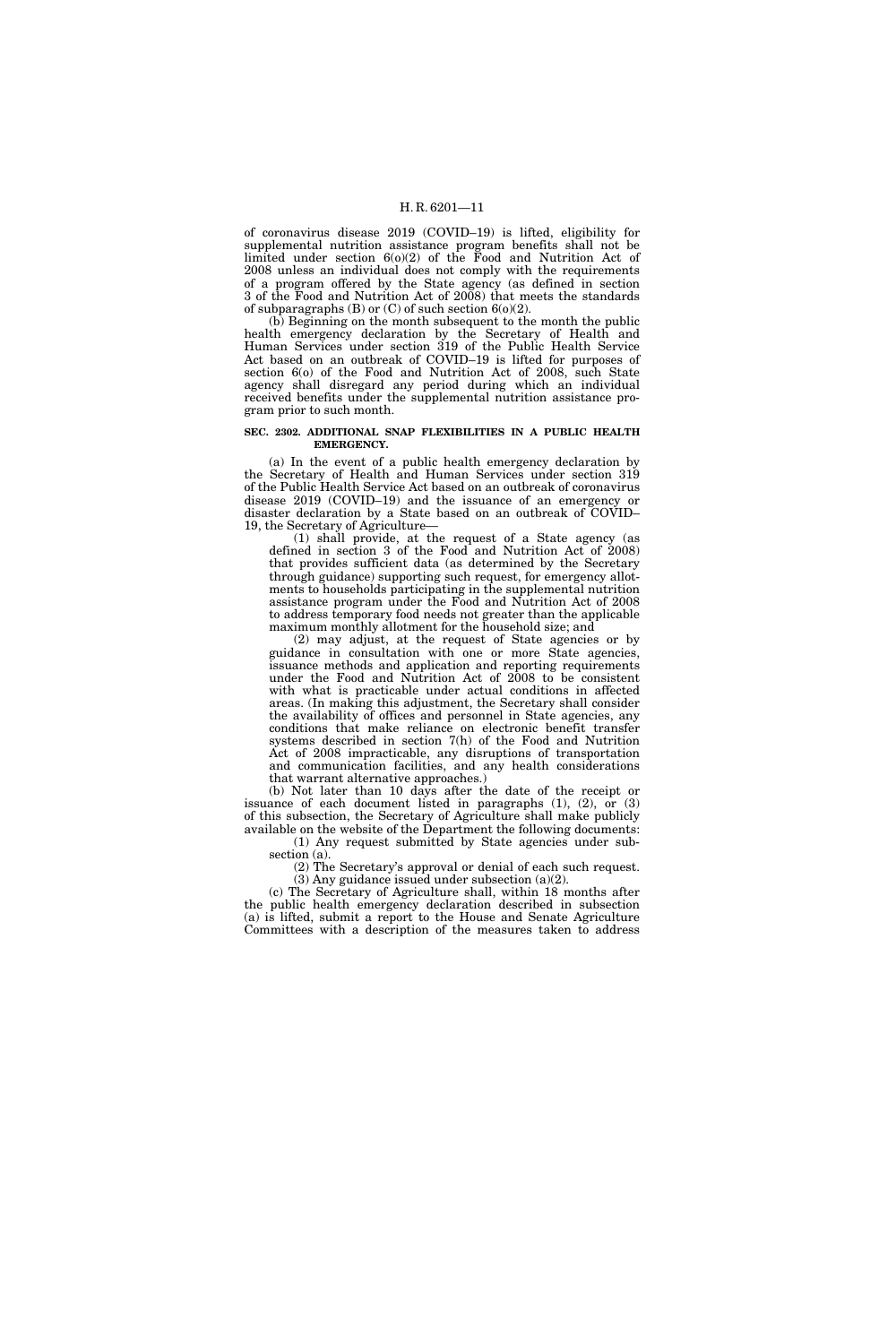of coronavirus disease 2019 (COVID–19) is lifted, eligibility for supplemental nutrition assistance program benefits shall not be limited under section  $6(0)(2)$  of the Food and Nutrition Act of 2008 unless an individual does not comply with the requirements of a program offered by the State agency (as defined in section 3 of the Food and Nutrition Act of 2008) that meets the standards of subparagraphs  $(B)$  or  $(C)$  of such section  $6(0)(2)$ .

(b) Beginning on the month subsequent to the month the public health emergency declaration by the Secretary of Health and Human Services under section 319 of the Public Health Service Act based on an outbreak of COVID–19 is lifted for purposes of section 6(o) of the Food and Nutrition Act of 2008, such State agency shall disregard any period during which an individual received benefits under the supplemental nutrition assistance program prior to such month.

#### **SEC. 2302. ADDITIONAL SNAP FLEXIBILITIES IN A PUBLIC HEALTH EMERGENCY.**

(a) In the event of a public health emergency declaration by the Secretary of Health and Human Services under section 319 of the Public Health Service Act based on an outbreak of coronavirus disease 2019 (COVID–19) and the issuance of an emergency or disaster declaration by a State based on an outbreak of COVID– 19, the Secretary of Agriculture—

(1) shall provide, at the request of a State agency (as defined in section 3 of the Food and Nutrition Act of 2008) that provides sufficient data (as determined by the Secretary through guidance) supporting such request, for emergency allotments to households participating in the supplemental nutrition assistance program under the Food and Nutrition Act of 2008 to address temporary food needs not greater than the applicable maximum monthly allotment for the household size; and

(2) may adjust, at the request of State agencies or by guidance in consultation with one or more State agencies, issuance methods and application and reporting requirements under the Food and Nutrition Act of 2008 to be consistent with what is practicable under actual conditions in affected areas. (In making this adjustment, the Secretary shall consider the availability of offices and personnel in State agencies, any conditions that make reliance on electronic benefit transfer systems described in section 7(h) of the Food and Nutrition Act of 2008 impracticable, any disruptions of transportation and communication facilities, and any health considerations that warrant alternative approaches.)

(b) Not later than 10 days after the date of the receipt or issuance of each document listed in paragraphs (1), (2), or (3) of this subsection, the Secretary of Agriculture shall make publicly available on the website of the Department the following documents: (1) Any request submitted by State agencies under sub-

section (a).

(2) The Secretary's approval or denial of each such request. (3) Any guidance issued under subsection (a)(2).

(c) The Secretary of Agriculture shall, within 18 months after the public health emergency declaration described in subsection (a) is lifted, submit a report to the House and Senate Agriculture Committees with a description of the measures taken to address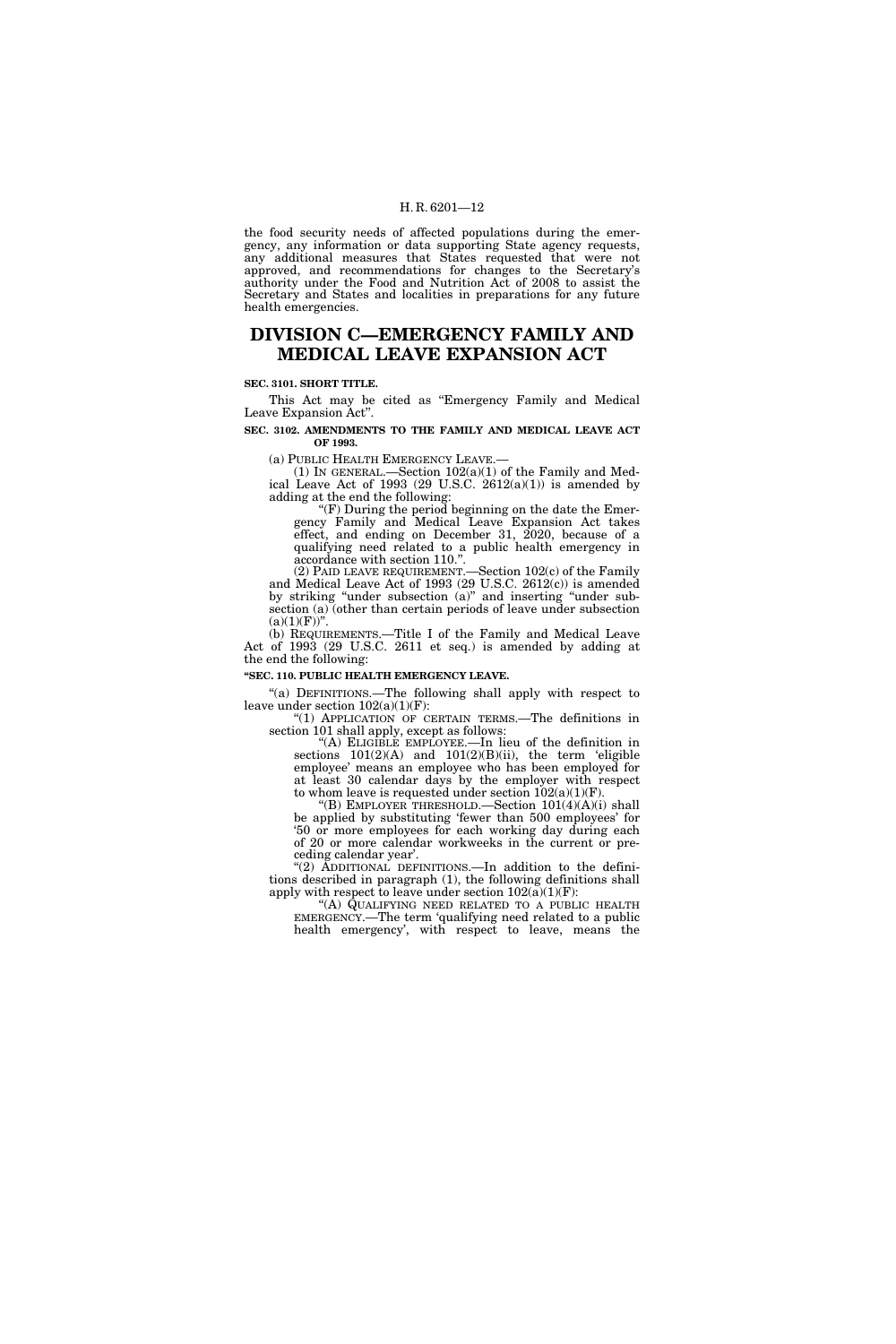the food security needs of affected populations during the emergency, any information or data supporting State agency requests, any additional measures that States requested that were not approved, and recommendations for changes to the Secretary's authority under the Food and Nutrition Act of 2008 to assist the Secretary and States and localities in preparations for any future health emergencies.

## **DIVISION C—EMERGENCY FAMILY AND MEDICAL LEAVE EXPANSION ACT**

#### **SEC. 3101. SHORT TITLE.**

This Act may be cited as "Emergency Family and Medical Leave Expansion Act''.

**SEC. 3102. AMENDMENTS TO THE FAMILY AND MEDICAL LEAVE ACT OF 1993.** 

(a) PUBLIC HEALTH EMERGENCY LEAVE.—

(1) IN GENERAL.—Section  $102(a)(1)$  of the Family and Medical Leave Act of 1993 (29 U.S.C.  $2612(a)(1)$ ) is amended by adding at the end the following:

"(F) During the period beginning on the date the Emergency Family and Medical Leave Expansion Act takes effect, and ending on December 31, 2020, because of a qualifying need related to a public health emergency in accordance with section 110.

(2) PAID LEAVE REQUIREMENT.—Section 102(c) of the Family and Medical Leave Act of 1993 (29 U.S.C. 2612(c)) is amended by striking ''under subsection (a)'' and inserting ''under subsection (a) (other than certain periods of leave under subsection  $(a)(1)(F)$ ".

(b) REQUIREMENTS.—Title I of the Family and Medical Leave Act of 1993 (29 U.S.C. 2611 et seq.) is amended by adding at the end the following:

## **''SEC. 110. PUBLIC HEALTH EMERGENCY LEAVE.**

"(a) DEFINITIONS.—The following shall apply with respect to leave under section 102(a)(1)(F):

''(1) APPLICATION OF CERTAIN TERMS.—The definitions in section 101 shall apply, except as follows:

''(A) ELIGIBLE EMPLOYEE.—In lieu of the definition in sections 101(2)(A) and 101(2)(B)(ii), the term 'eligible employee' means an employee who has been employed for at least 30 calendar days by the employer with respect to whom leave is requested under section  $102(a)(1)(F)$ .

''(B) EMPLOYER THRESHOLD.—Section 101(4)(A)(i) shall be applied by substituting 'fewer than 500 employees' for '50 or more employees for each working day during each of 20 or more calendar workweeks in the current or preceding calendar year'.

''(2) ADDITIONAL DEFINITIONS.—In addition to the definitions described in paragraph (1), the following definitions shall apply with respect to leave under section  $102(\tilde{a})(1)(F)$ :

"(A) QUALIFYING NEED RELATED TO A PUBLIC HEALTH EMERGENCY.—The term 'qualifying need related to a public health emergency', with respect to leave, means the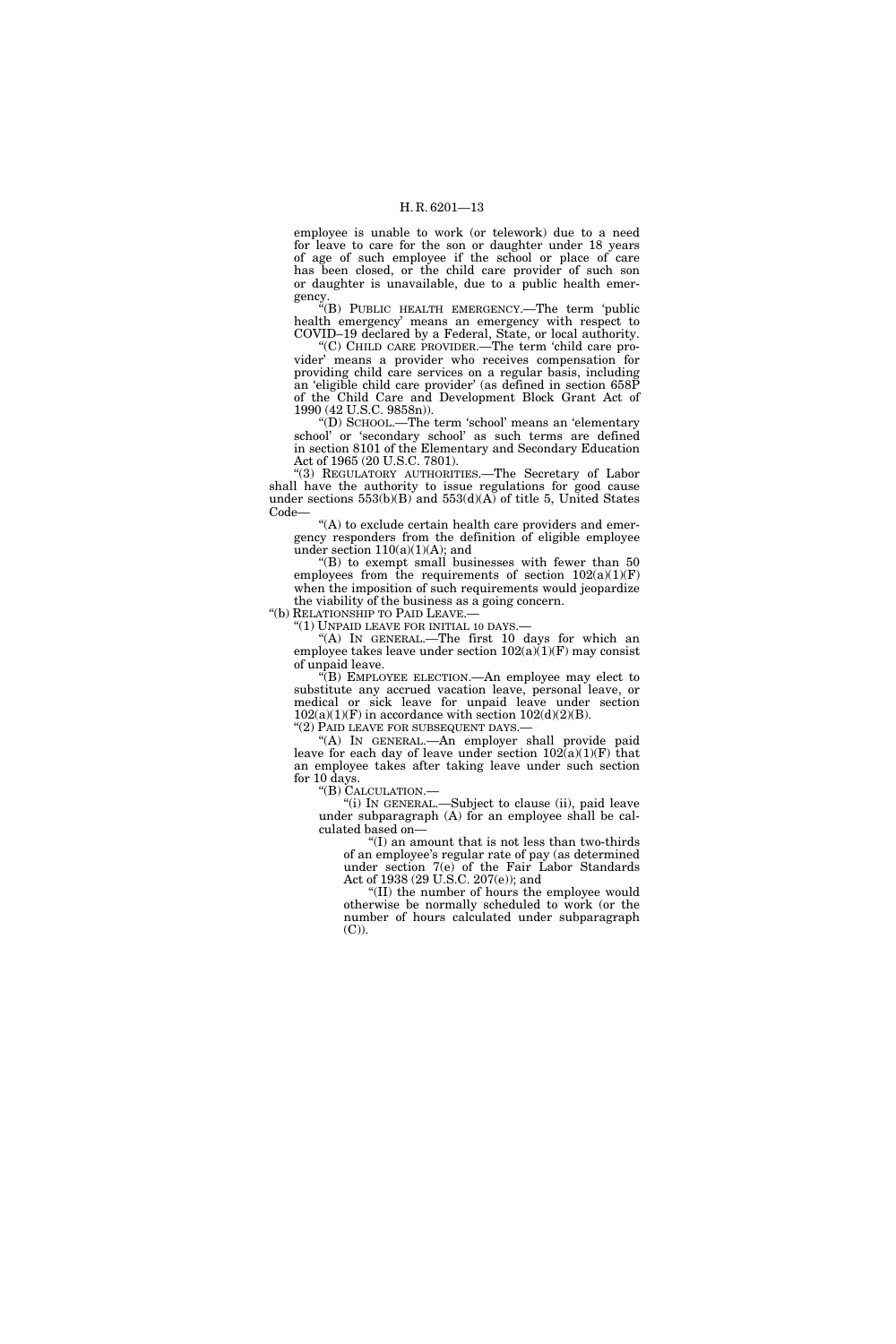employee is unable to work (or telework) due to a need for leave to care for the son or daughter under 18 years of age of such employee if the school or place of care has been closed, or the child care provider of such son or daughter is unavailable, due to a public health emergency.

''(B) PUBLIC HEALTH EMERGENCY.—The term 'public health emergency' means an emergency with respect to COVID–19 declared by a Federal, State, or local authority.

''(C) CHILD CARE PROVIDER.—The term 'child care provider' means a provider who receives compensation for providing child care services on a regular basis, including an 'eligible child care provider' (as defined in section 658P of the Child Care and Development Block Grant Act of 1990 (42 U.S.C. 9858n)).

''(D) SCHOOL.—The term 'school' means an 'elementary school' or 'secondary school' as such terms are defined in section 8101 of the Elementary and Secondary Education Act of 1965 (20 U.S.C. 7801).

''(3) REGULATORY AUTHORITIES.—The Secretary of Labor shall have the authority to issue regulations for good cause under sections  $553(b)(B)$  and  $553(d)(A)$  of title 5, United States Code—

''(A) to exclude certain health care providers and emergency responders from the definition of eligible employee under section 110(a)(1)(A); and

" $(B)$  to exempt small businesses with fewer than 50 employees from the requirements of section  $102(a)(1)(F)$ when the imposition of such requirements would jeopardize the viability of the business as a going concern.

''(b) RELATIONSHIP TO PAID LEAVE.—

''(1) UNPAID LEAVE FOR INITIAL 10 DAYS.—

''(A) IN GENERAL.—The first 10 days for which an employee takes leave under section  $102(a)(1)(F)$  may consist of unpaid leave.

''(B) EMPLOYEE ELECTION.—An employee may elect to substitute any accrued vacation leave, personal leave, or medical or sick leave for unpaid leave under section  $102(a)(1)(F)$  in accordance with section  $102(d)(2)(B)$ .

"(2) PAID LEAVE FOR SUBSEQUENT DAYS.-

''(A) IN GENERAL.—An employer shall provide paid leave for each day of leave under section  $102(a)(1)(F)$  that an employee takes after taking leave under such section for 10 days.

''(B) CALCULATION.—

''(i) IN GENERAL.—Subject to clause (ii), paid leave under subparagraph (A) for an employee shall be calculated based on—

 $f(I)$  an amount that is not less than two-thirds of an employee's regular rate of pay (as determined under section 7(e) of the Fair Labor Standards Act of 1938 (29 U.S.C. 207(e)); and

''(II) the number of hours the employee would otherwise be normally scheduled to work (or the number of hours calculated under subparagraph (C)).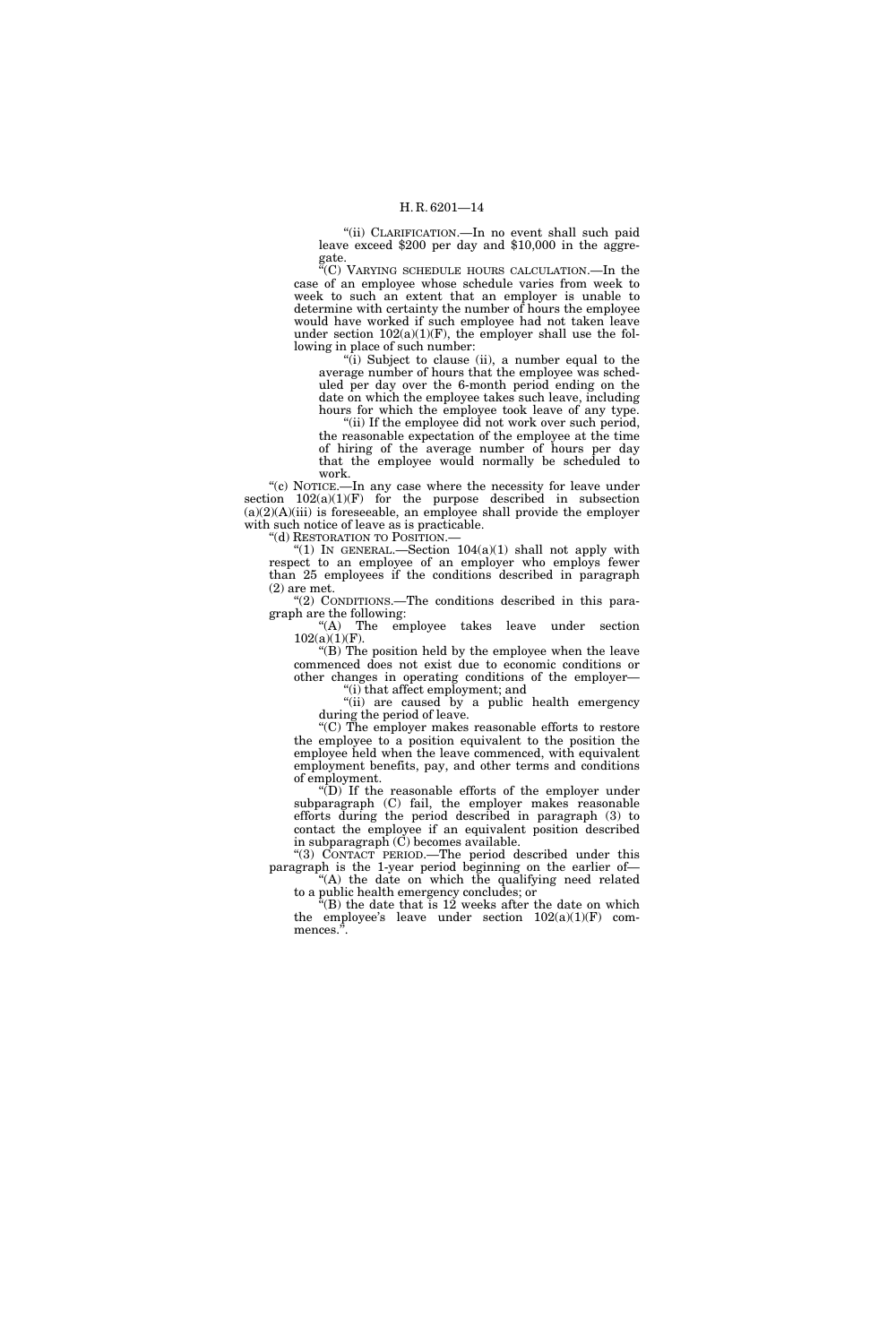''(ii) CLARIFICATION.—In no event shall such paid leave exceed \$200 per day and \$10,000 in the aggregate.

''(C) VARYING SCHEDULE HOURS CALCULATION.—In the case of an employee whose schedule varies from week to week to such an extent that an employer is unable to determine with certainty the number of hours the employee would have worked if such employee had not taken leave under section  $102(a)(1)(F)$ , the employer shall use the following in place of such number:

''(i) Subject to clause (ii), a number equal to the average number of hours that the employee was scheduled per day over the 6-month period ending on the date on which the employee takes such leave, including hours for which the employee took leave of any type.

"(ii) If the employee did not work over such period, the reasonable expectation of the employee at the time of hiring of the average number of hours per day that the employee would normally be scheduled to work.

''(c) NOTICE.—In any case where the necessity for leave under section  $102(a)(1)(F)$  for the purpose described in subsection  $(a)(2)(A)(iii)$  is foreseeable, an employee shall provide the employer with such notice of leave as is practicable.

"(d) RESTORATION TO POSITION.-

"(1) IN GENERAL.—Section  $104(a)(1)$  shall not apply with respect to an employee of an employer who employs fewer than 25 employees if the conditions described in paragraph (2) are met.

"(2) CONDITIONS.—The conditions described in this paragraph are the following:

"(A) The employee takes leave under section  $102(a)(1)(F)$ .

''(B) The position held by the employee when the leave commenced does not exist due to economic conditions or other changes in operating conditions of the employer— ''(i) that affect employment; and

"(ii) are caused by a public health emergency during the period of leave.

''(C) The employer makes reasonable efforts to restore the employee to a position equivalent to the position the employee held when the leave commenced, with equivalent employment benefits, pay, and other terms and conditions of employment.

 $\sqrt[\mu]{(D)}$  If the reasonable efforts of the employer under subparagraph (C) fail, the employer makes reasonable efforts during the period described in paragraph (3) to contact the employee if an equivalent position described in subparagraph  $(C)$  becomes available.

''(3) CONTACT PERIOD.—The period described under this paragraph is the 1-year period beginning on the earlier of— "(A) the date on which the qualifying need related

to a public health emergency concludes; or

 $\hat{f}(B)$  the date that is 12 weeks after the date on which the employee's leave under section  $102(a)(1)(F)$  commences.".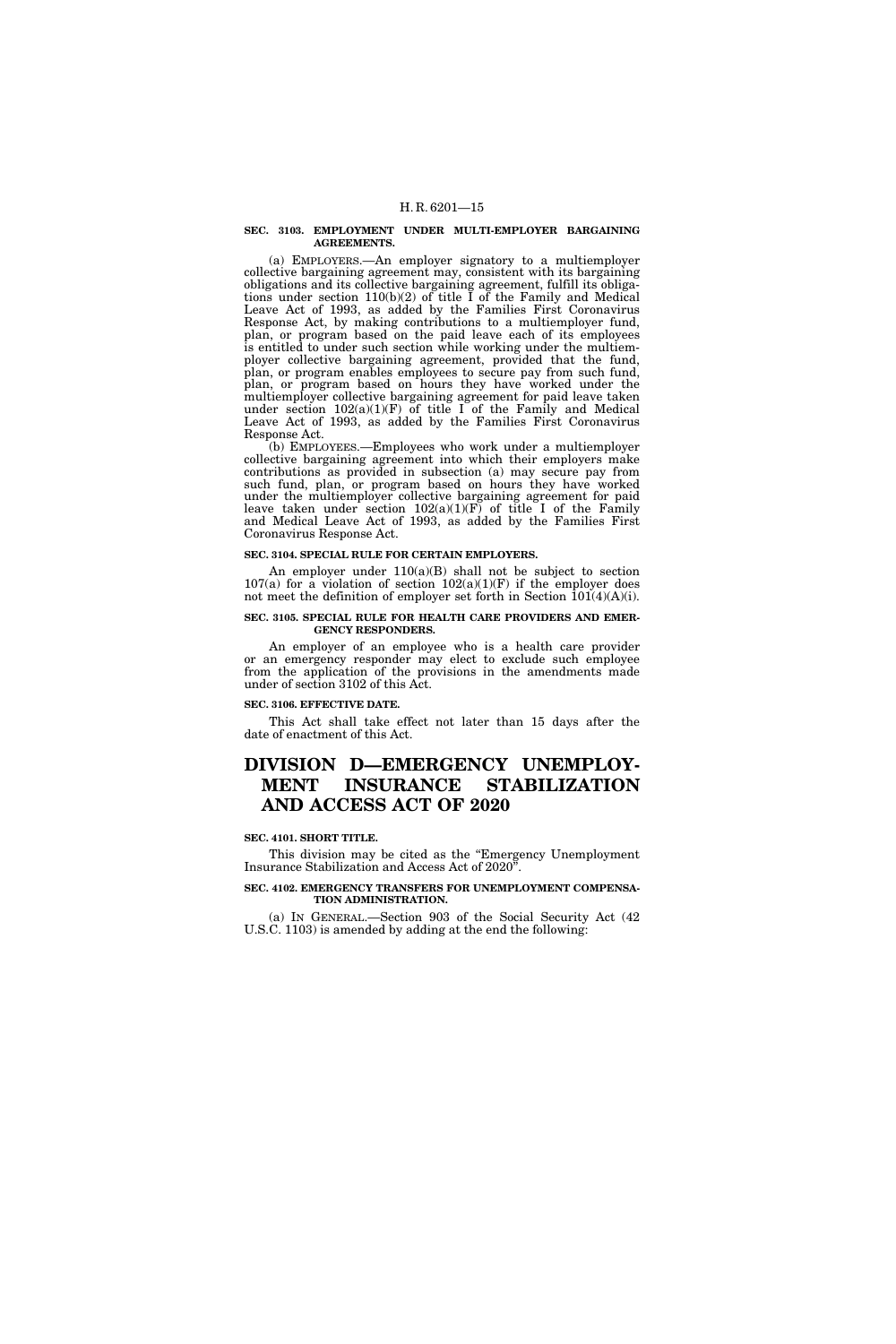#### **SEC. 3103. EMPLOYMENT UNDER MULTI-EMPLOYER BARGAINING AGREEMENTS.**

(a) EMPLOYERS.—An employer signatory to a multiemployer collective bargaining agreement may, consistent with its bargaining obligations and its collective bargaining agreement, fulfill its obligations under section 110(b)(2) of title I of the Family and Medical Leave Act of 1993, as added by the Families First Coronavirus Response Act, by making contributions to a multiemployer fund, plan, or program based on the paid leave each of its employees is entitled to under such section while working under the multiemployer collective bargaining agreement, provided that the fund, plan, or program enables employees to secure pay from such fund, plan, or program based on hours they have worked under the multiemployer collective bargaining agreement for paid leave taken under section  $102(a)(1)(F)$  of title I of the Family and Medical Leave Act of 1993, as added by the Families First Coronavirus Response Act.

(b) EMPLOYEES.—Employees who work under a multiemployer collective bargaining agreement into which their employers make contributions as provided in subsection (a) may secure pay from such fund, plan, or program based on hours they have worked under the multiemployer collective bargaining agreement for paid leave taken under section  $102(a)(1)(F)$  of title I of the Family and Medical Leave Act of 1993, as added by the Families First Coronavirus Response Act.

## **SEC. 3104. SPECIAL RULE FOR CERTAIN EMPLOYERS.**

An employer under  $110(a)(B)$  shall not be subject to section 107(a) for a violation of section  $102(a)(1)(F)$  if the employer does not meet the definition of employer set forth in Section  $101(4)(A)(i)$ .

#### **SEC. 3105. SPECIAL RULE FOR HEALTH CARE PROVIDERS AND EMER-GENCY RESPONDERS.**

An employer of an employee who is a health care provider or an emergency responder may elect to exclude such employee from the application of the provisions in the amendments made under of section 3102 of this Act.

#### **SEC. 3106. EFFECTIVE DATE.**

This Act shall take effect not later than 15 days after the date of enactment of this Act.

## **DIVISION D—EMERGENCY UNEMPLOY-MENT INSURANCE STABILIZATION AND ACCESS ACT OF 2020**

## **SEC. 4101. SHORT TITLE.**

This division may be cited as the ''Emergency Unemployment Insurance Stabilization and Access Act of 2020''.

## **SEC. 4102. EMERGENCY TRANSFERS FOR UNEMPLOYMENT COMPENSA-TION ADMINISTRATION.**

(a) IN GENERAL.—Section 903 of the Social Security Act (42 U.S.C. 1103) is amended by adding at the end the following: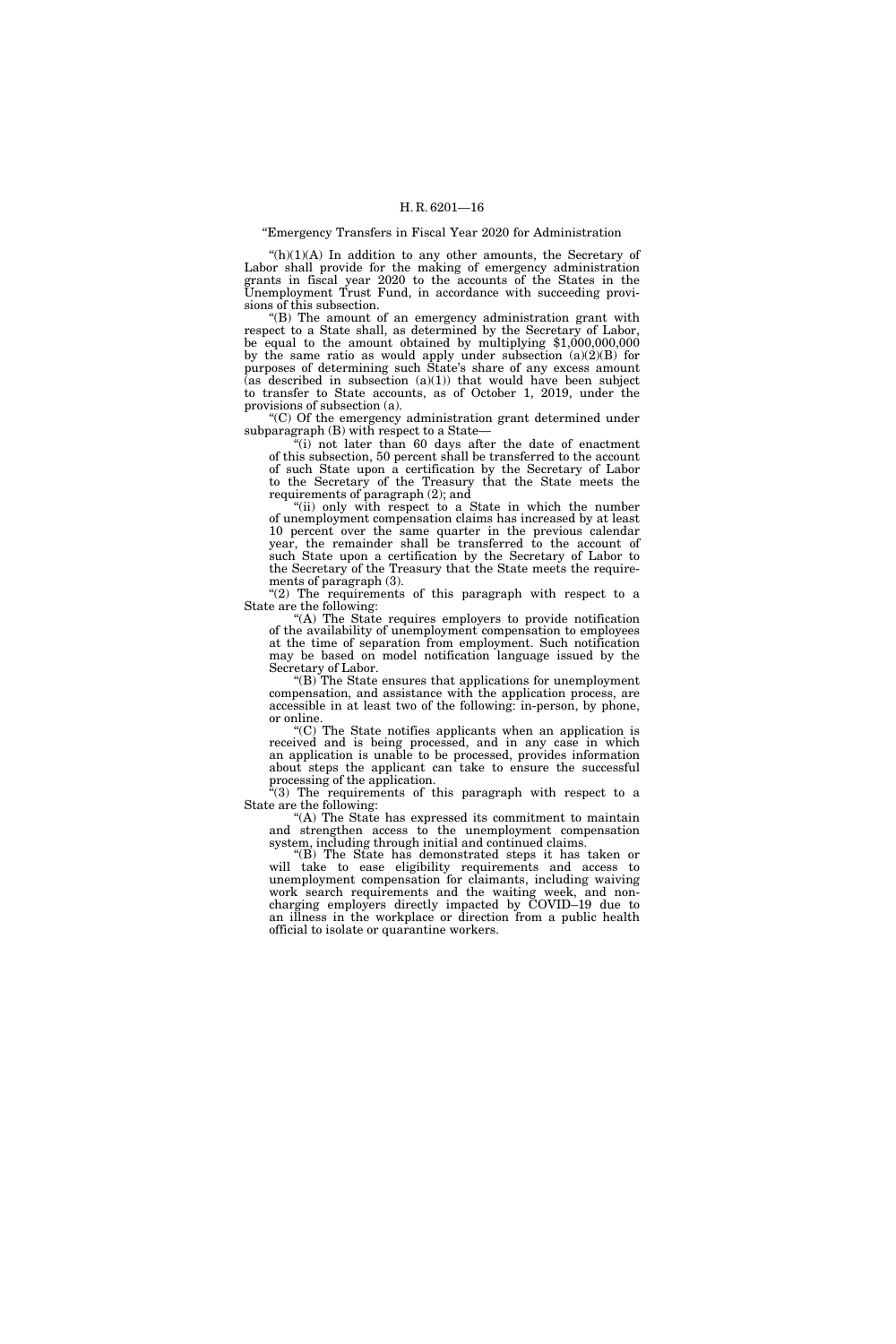#### ''Emergency Transfers in Fiscal Year 2020 for Administration

 $(h)(1)(A)$  In addition to any other amounts, the Secretary of Labor shall provide for the making of emergency administration grants in fiscal year 2020 to the accounts of the States in the Unemployment Trust Fund, in accordance with succeeding provisions of this subsection.

''(B) The amount of an emergency administration grant with respect to a State shall, as determined by the Secretary of Labor, be equal to the amount obtained by multiplying \$1,000,000,000 by the same ratio as would apply under subsection  $(a)(2)(B)$  for purposes of determining such State's share of any excess amount  $(\text{as described in subsection } (a)(1))$  that would have been subject to transfer to State accounts, as of October 1, 2019, under the provisions of subsection (a).

''(C) Of the emergency administration grant determined under subparagraph (B) with respect to a State—

" $(i)$  not later than 60 days after the date of enactment of this subsection, 50 percent shall be transferred to the account of such State upon a certification by the Secretary of Labor to the Secretary of the Treasury that the State meets the requirements of paragraph (2); and

"(ii) only with respect to a State in which the number of unemployment compensation claims has increased by at least 10 percent over the same quarter in the previous calendar year, the remainder shall be transferred to the account of such State upon a certification by the Secretary of Labor to the Secretary of the Treasury that the State meets the requirements of paragraph (3).

" $(2)$  The requirements of this paragraph with respect to a State are the following:

''(A) The State requires employers to provide notification of the availability of unemployment compensation to employees at the time of separation from employment. Such notification may be based on model notification language issued by the Secretary of Labor.

''(B) The State ensures that applications for unemployment compensation, and assistance with the application process, are accessible in at least two of the following: in-person, by phone, or online.

''(C) The State notifies applicants when an application is received and is being processed, and in any case in which an application is unable to be processed, provides information about steps the applicant can take to ensure the successful processing of the application.

''(3) The requirements of this paragraph with respect to a State are the following:

"(A) The State has expressed its commitment to maintain and strengthen access to the unemployment compensation system, including through initial and continued claims.

''(B) The State has demonstrated steps it has taken or will take to ease eligibility requirements and access to unemployment compensation for claimants, including waiving work search requirements and the waiting week, and noncharging employers directly impacted by COVID–19 due to an illness in the workplace or direction from a public health official to isolate or quarantine workers.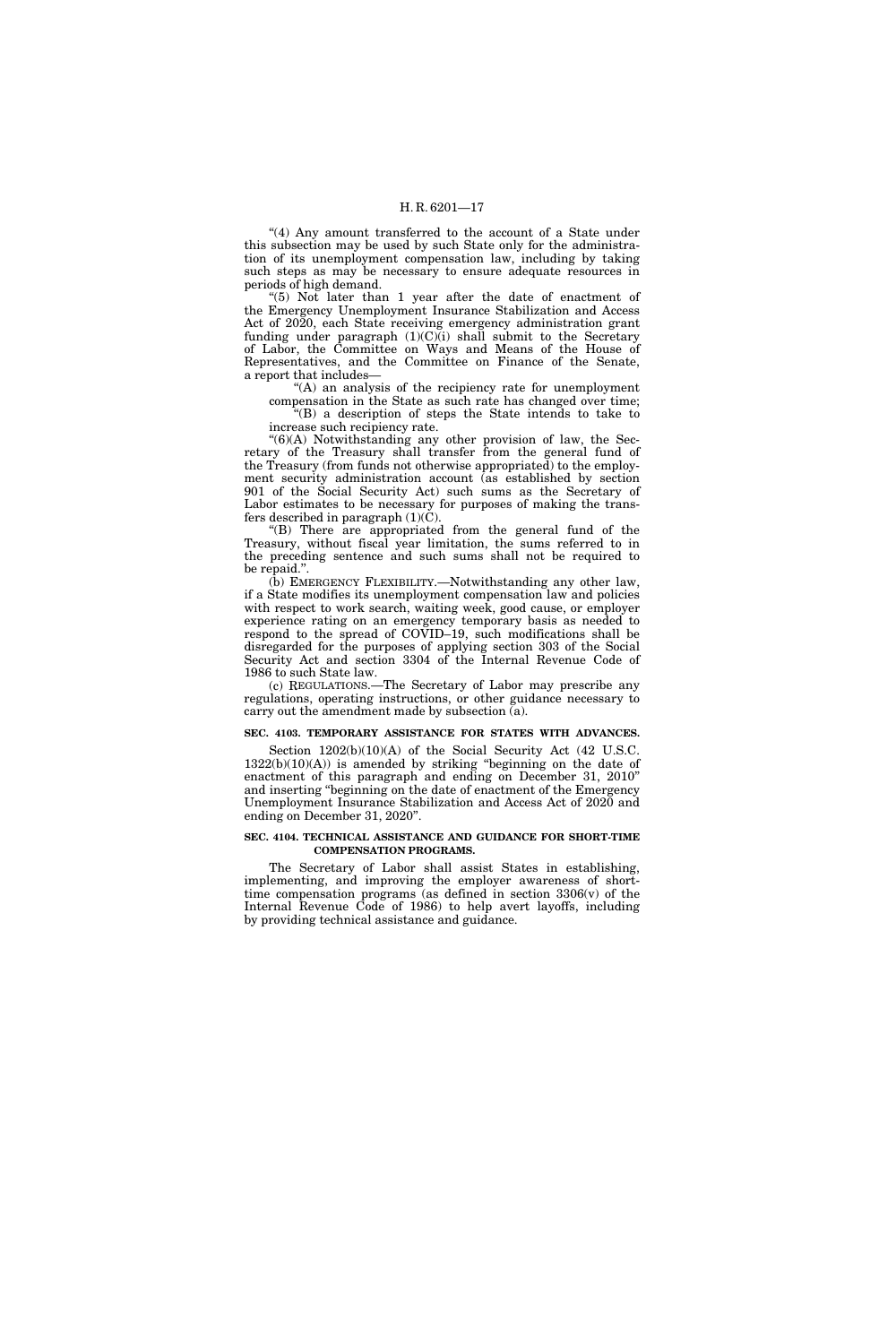"(4) Any amount transferred to the account of a State under this subsection may be used by such State only for the administration of its unemployment compensation law, including by taking such steps as may be necessary to ensure adequate resources in periods of high demand.

''(5) Not later than 1 year after the date of enactment of the Emergency Unemployment Insurance Stabilization and Access Act of 2020, each State receiving emergency administration grant funding under paragraph (1)(C)(i) shall submit to the Secretary of Labor, the Committee on Ways and Means of the House of Representatives, and the Committee on Finance of the Senate, a report that includes—

''(A) an analysis of the recipiency rate for unemployment compensation in the State as such rate has changed over time;

''(B) a description of steps the State intends to take to increase such recipiency rate.

 $<sup>4</sup>(6)(A)$  Notwithstanding any other provision of law, the Sec-</sup> retary of the Treasury shall transfer from the general fund of the Treasury (from funds not otherwise appropriated) to the employment security administration account (as established by section 901 of the Social Security Act) such sums as the Secretary of Labor estimates to be necessary for purposes of making the transfers described in paragraph  $(1)(C)$ .

''(B) There are appropriated from the general fund of the Treasury, without fiscal year limitation, the sums referred to in the preceding sentence and such sums shall not be required to be repaid.''.

(b) EMERGENCY FLEXIBILITY.—Notwithstanding any other law, if a State modifies its unemployment compensation law and policies with respect to work search, waiting week, good cause, or employer experience rating on an emergency temporary basis as needed to respond to the spread of COVID–19, such modifications shall be disregarded for the purposes of applying section 303 of the Social Security Act and section 3304 of the Internal Revenue Code of 1986 to such State law.

(c) REGULATIONS.—The Secretary of Labor may prescribe any regulations, operating instructions, or other guidance necessary to carry out the amendment made by subsection (a).

#### **SEC. 4103. TEMPORARY ASSISTANCE FOR STATES WITH ADVANCES.**

Section  $1202(b)(10)(A)$  of the Social Security Act (42 U.S.C.  $1322(b)(10)(A)$  is amended by striking "beginning on the date of enactment of this paragraph and ending on December 31, 2010'' and inserting ''beginning on the date of enactment of the Emergency Unemployment Insurance Stabilization and Access Act of 2020 and ending on December 31, 2020''.

#### **SEC. 4104. TECHNICAL ASSISTANCE AND GUIDANCE FOR SHORT-TIME COMPENSATION PROGRAMS.**

The Secretary of Labor shall assist States in establishing, implementing, and improving the employer awareness of shorttime compensation programs (as defined in section 3306(v) of the Internal Revenue Code of 1986) to help avert layoffs, including by providing technical assistance and guidance.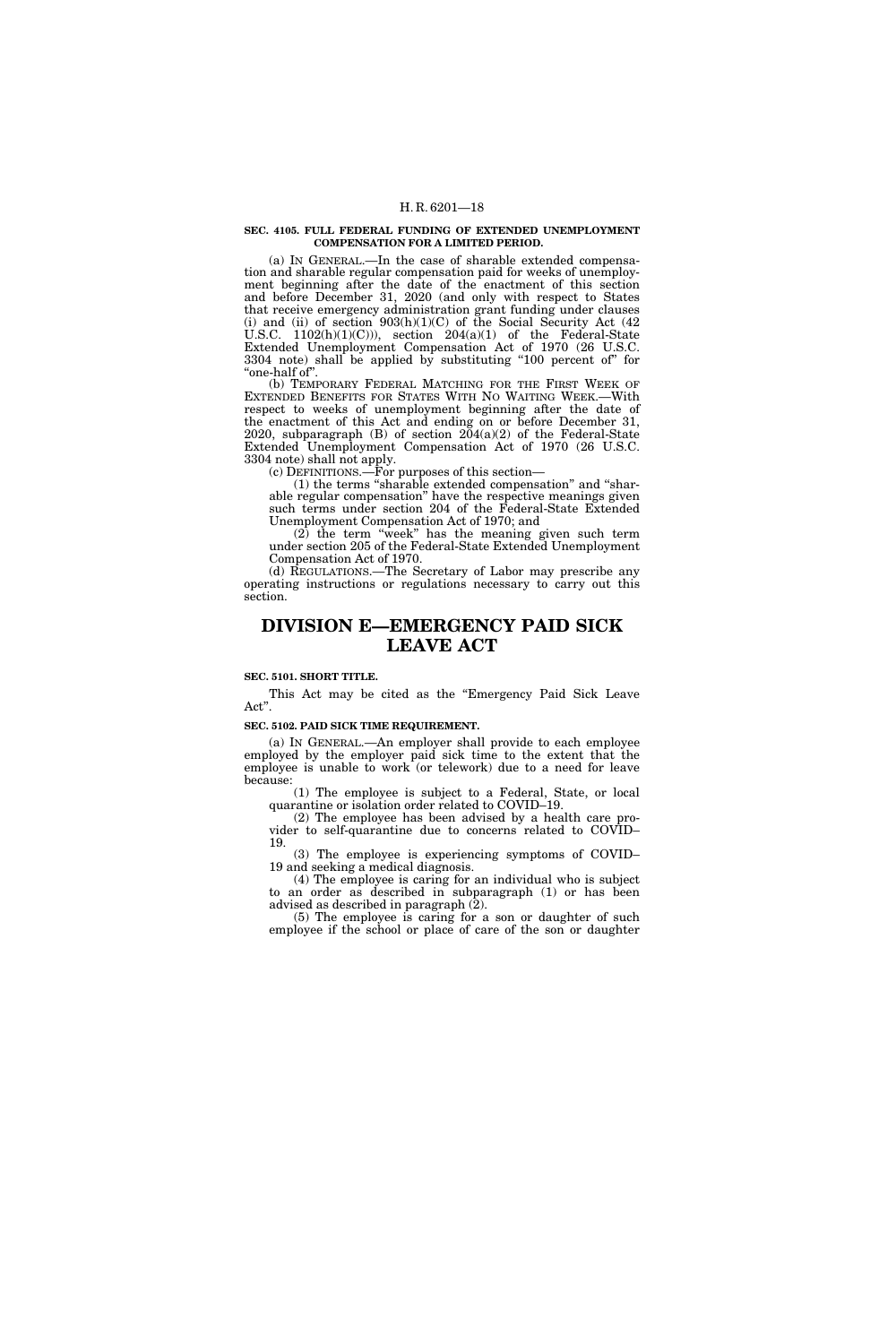#### **SEC. 4105. FULL FEDERAL FUNDING OF EXTENDED UNEMPLOYMENT COMPENSATION FOR A LIMITED PERIOD.**

(a) IN GENERAL.—In the case of sharable extended compensation and sharable regular compensation paid for weeks of unemployment beginning after the date of the enactment of this section and before December 31, 2020 (and only with respect to States that receive emergency administration grant funding under clauses (i) and (ii) of section  $903(h)(1)(C)$  of the Social Security Act (42) U.S.C.  $1102(h)(1)(C))$ , section  $204(a)(1)$  of the Federal-State Extended Unemployment Compensation Act of 1970 (26 U.S.C. 3304 note) shall be applied by substituting ''100 percent of'' for ''one-half of''.

(b) TEMPORARY FEDERAL MATCHING FOR THE FIRST WEEK OF EXTENDED BENEFITS FOR STATES WITH NO WAITING WEEK.—With respect to weeks of unemployment beginning after the date of the enactment of this Act and ending on or before December 31, 2020, subparagraph (B) of section 204(a)(2) of the Federal-State Extended Unemployment Compensation Act of 1970 (26 U.S.C. 3304 note) shall not apply.

(c) DEFINITIONS.—For purposes of this section—

(1) the terms ''sharable extended compensation'' and ''sharable regular compensation'' have the respective meanings given such terms under section 204 of the Federal-State Extended Unemployment Compensation Act of 1970; and

(2) the term ''week'' has the meaning given such term under section 205 of the Federal-State Extended Unemployment Compensation Act of 1970.

(d) REGULATIONS.—The Secretary of Labor may prescribe any operating instructions or regulations necessary to carry out this section.

## **DIVISION E—EMERGENCY PAID SICK LEAVE ACT**

#### **SEC. 5101. SHORT TITLE.**

This Act may be cited as the "Emergency Paid Sick Leave Act''.

#### **SEC. 5102. PAID SICK TIME REQUIREMENT.**

(a) IN GENERAL.—An employer shall provide to each employee employed by the employer paid sick time to the extent that the employee is unable to work (or telework) due to a need for leave because:

(1) The employee is subject to a Federal, State, or local quarantine or isolation order related to COVID–19.

(2) The employee has been advised by a health care provider to self-quarantine due to concerns related to COVID– 19.

(3) The employee is experiencing symptoms of COVID– 19 and seeking a medical diagnosis.

(4) The employee is caring for an individual who is subject to an order as described in subparagraph (1) or has been advised as described in paragraph (2).

(5) The employee is caring for a son or daughter of such employee if the school or place of care of the son or daughter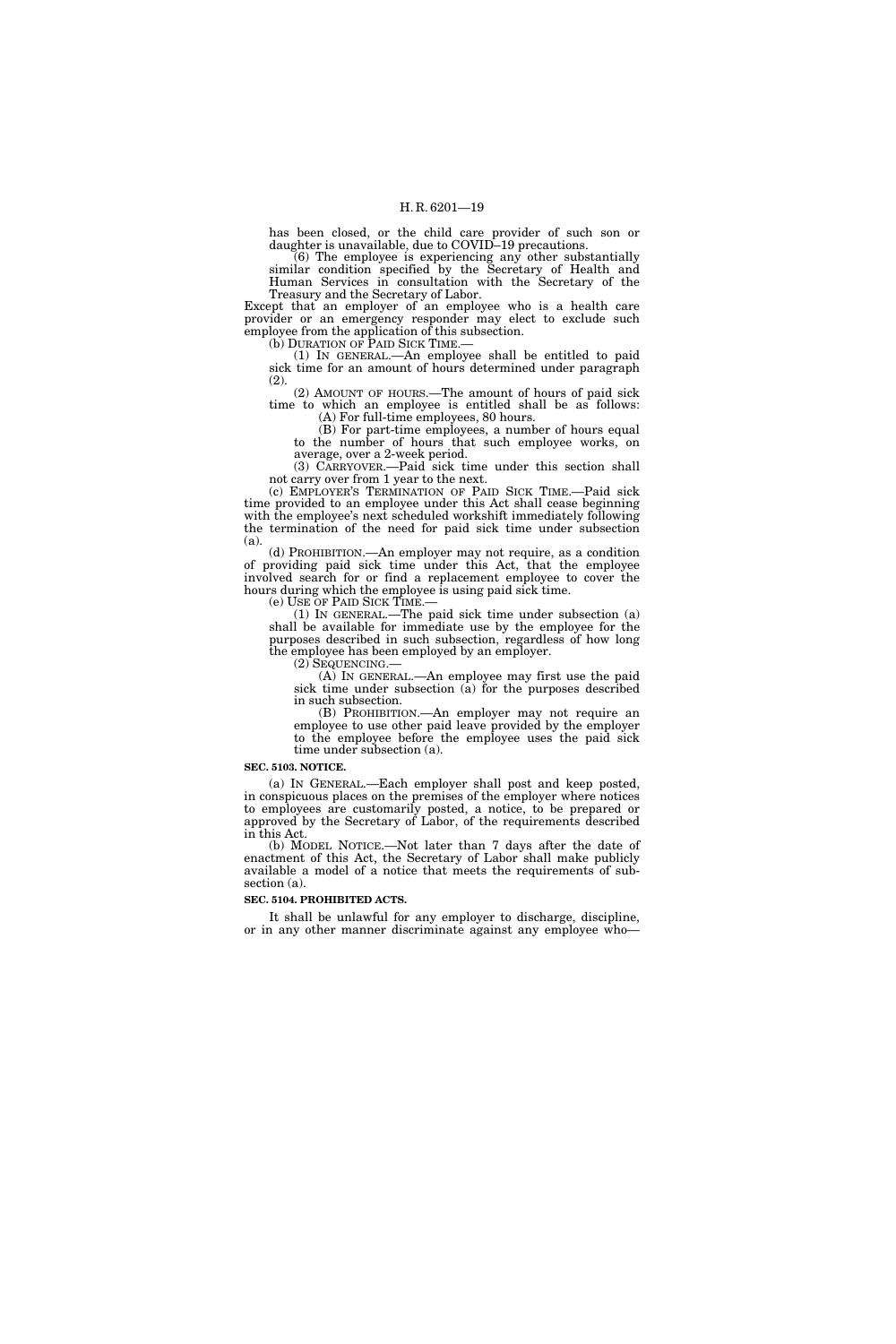has been closed, or the child care provider of such son or daughter is unavailable, due to COVID–19 precautions.

(6) The employee is experiencing any other substantially similar condition specified by the Secretary of Health and Human Services in consultation with the Secretary of the Treasury and the Secretary of Labor.

Except that an employer of an employee who is a health care provider or an emergency responder may elect to exclude such employee from the application of this subsection.<br>(b) DURATION OF PAID SICK TIME.—

(1) IN GENERAL.—An employee shall be entitled to paid sick time for an amount of hours determined under paragraph (2).

(2) AMOUNT OF HOURS.—The amount of hours of paid sick time to which an employee is entitled shall be as follows: (A) For full-time employees, 80 hours.

(B) For part-time employees, a number of hours equal to the number of hours that such employee works, on average, over a 2-week period.

(3) CARRYOVER.—Paid sick time under this section shall not carry over from 1 year to the next.

(c) EMPLOYER'S TERMINATION OF PAID SICK TIME.—Paid sick time provided to an employee under this Act shall cease beginning with the employee's next scheduled workshift immediately following the termination of the need for paid sick time under subsection (a).

(d) PROHIBITION.—An employer may not require, as a condition of providing paid sick time under this Act, that the employee involved search for or find a replacement employee to cover the hours during which the employee is using paid sick time.<br>(e) USE OF PAID SICK TIME.—

(1) IN GENERAL.—The paid sick time under subsection  $(a)$ shall be available for immediate use by the employee for the purposes described in such subsection, regardless of how long the employee has been employed by an employer.<br>(2)  $SEQUENCING$ .

 $(A)$  In GENERAL.—An employee may first use the paid sick time under subsection (a) for the purposes described in such subsection.

(B) PROHIBITION.—An employer may not require an employee to use other paid leave provided by the employer to the employee before the employee uses the paid sick time under subsection (a).

## **SEC. 5103. NOTICE.**

(a) IN GENERAL.—Each employer shall post and keep posted, in conspicuous places on the premises of the employer where notices to employees are customarily posted, a notice, to be prepared or approved by the Secretary of Labor, of the requirements described in this Act.

(b) MODEL NOTICE.—Not later than 7 days after the date of enactment of this Act, the Secretary of Labor shall make publicly available a model of a notice that meets the requirements of subsection (a).

## **SEC. 5104. PROHIBITED ACTS.**

It shall be unlawful for any employer to discharge, discipline, or in any other manner discriminate against any employee who—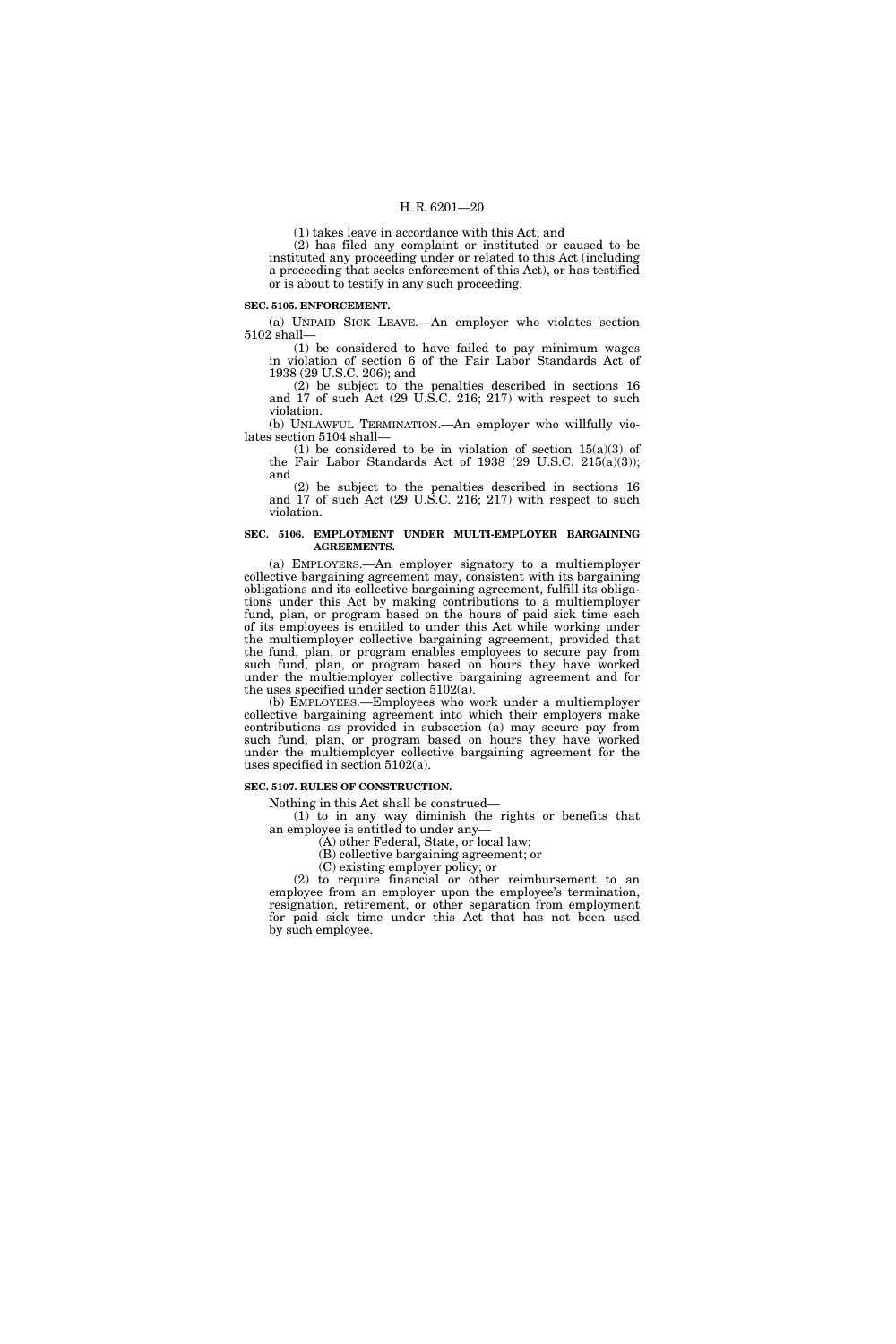(1) takes leave in accordance with this Act; and

(2) has filed any complaint or instituted or caused to be instituted any proceeding under or related to this Act (including a proceeding that seeks enforcement of this Act), or has testified or is about to testify in any such proceeding.

#### **SEC. 5105. ENFORCEMENT.**

(a) UNPAID SICK LEAVE.—An employer who violates section 5102 shall—

(1) be considered to have failed to pay minimum wages in violation of section 6 of the Fair Labor Standards Act of 1938 (29 U.S.C. 206); and

(2) be subject to the penalties described in sections 16 and 17 of such Act (29 U.S.C. 216; 217) with respect to such violation.

(b) UNLAWFUL TERMINATION.—An employer who willfully violates section 5104 shall—

(1) be considered to be in violation of section  $15(a)(3)$  of the Fair Labor Standards Act of 1938  $(29 \text{ U.S.C. } 215(a)(3));$ and

(2) be subject to the penalties described in sections 16 and 17 of such Act (29 U.S.C. 216; 217) with respect to such violation.

### **SEC. 5106. EMPLOYMENT UNDER MULTI-EMPLOYER BARGAINING AGREEMENTS.**

(a) EMPLOYERS.—An employer signatory to a multiemployer collective bargaining agreement may, consistent with its bargaining obligations and its collective bargaining agreement, fulfill its obligations under this Act by making contributions to a multiemployer fund, plan, or program based on the hours of paid sick time each of its employees is entitled to under this Act while working under the multiemployer collective bargaining agreement, provided that the fund, plan, or program enables employees to secure pay from such fund, plan, or program based on hours they have worked under the multiemployer collective bargaining agreement and for the uses specified under section 5102(a).

(b) EMPLOYEES.—Employees who work under a multiemployer collective bargaining agreement into which their employers make contributions as provided in subsection (a) may secure pay from such fund, plan, or program based on hours they have worked under the multiemployer collective bargaining agreement for the uses specified in section 5102(a).

#### **SEC. 5107. RULES OF CONSTRUCTION.**

Nothing in this Act shall be construed—

(1) to in any way diminish the rights or benefits that an employee is entitled to under any—

(A) other Federal, State, or local law;

(B) collective bargaining agreement; or

(C) existing employer policy; or

(2) to require financial or other reimbursement to an employee from an employer upon the employee's termination, resignation, retirement, or other separation from employment for paid sick time under this Act that has not been used by such employee.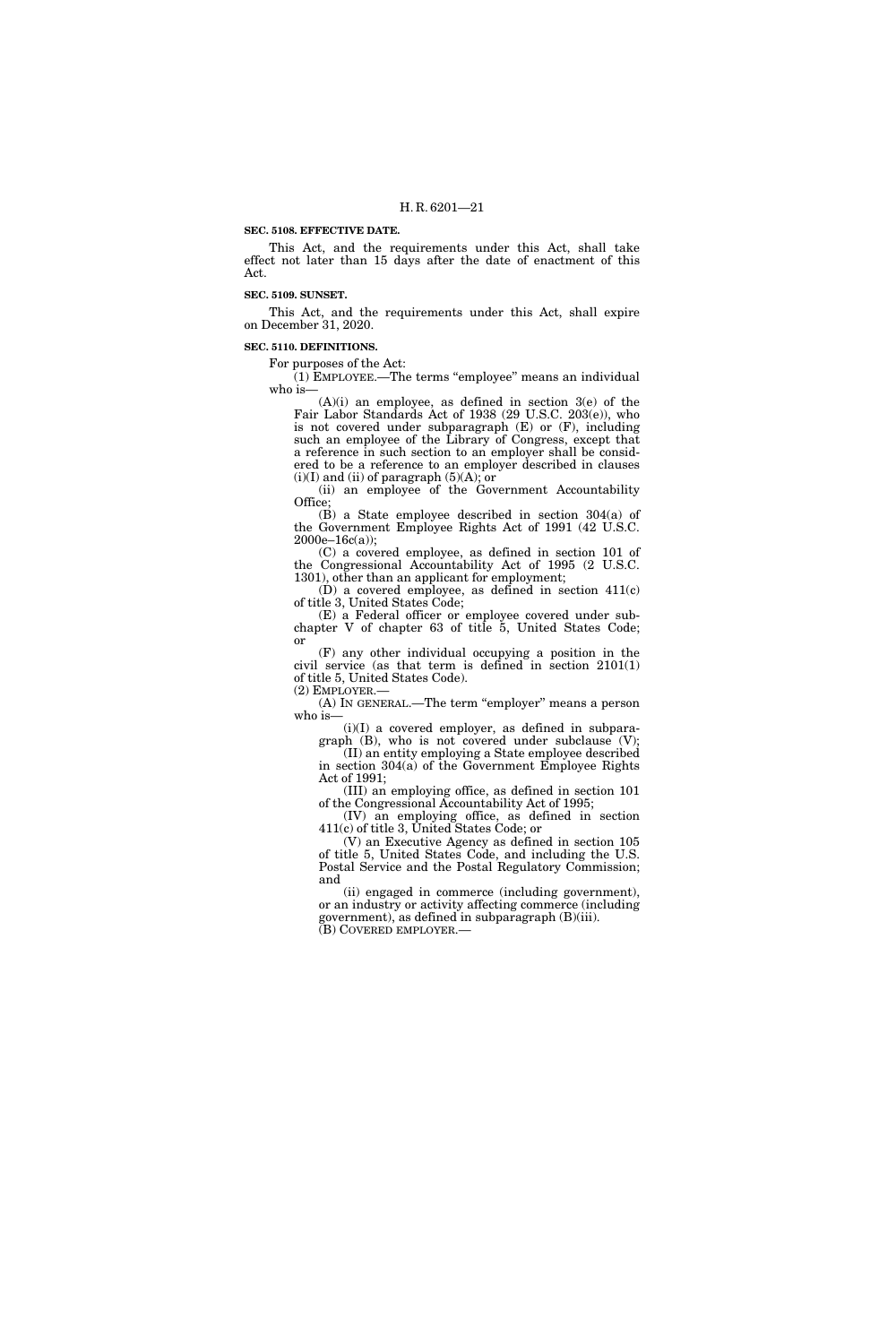#### **SEC. 5108. EFFECTIVE DATE.**

This Act, and the requirements under this Act, shall take effect not later than 15 days after the date of enactment of this Act.

#### **SEC. 5109. SUNSET.**

This Act, and the requirements under this Act, shall expire on December 31, 2020.

#### **SEC. 5110. DEFINITIONS.**

For purposes of the Act:

(1) EMPLOYEE.—The terms ''employee'' means an individual who is—

(A)(i) an employee, as defined in section 3(e) of the Fair Labor Standards Act of 1938 (29 U.S.C. 203(e)), who is not covered under subparagraph (E) or (F), including such an employee of the Library of Congress, except that a reference in such section to an employer shall be considered to be a reference to an employer described in clauses  $(i)(I)$  and  $(ii)$  of paragraph  $(5)(A)$ ; or

(ii) an employee of the Government Accountability Office;

(B) a State employee described in section 304(a) of the Government Employee Rights Act of 1991 (42 U.S.C.  $2000e-16c(a)$ ;

(C) a covered employee, as defined in section 101 of the Congressional Accountability Act of 1995 (2 U.S.C. 1301), other than an applicant for employment;

 $(D)$  a covered employee, as defined in section  $411(c)$ of title 3, United States Code;

(E) a Federal officer or employee covered under subchapter V of chapter 63 of title 5, United States Code; or

(F) any other individual occupying a position in the civil service (as that term is defined in section 2101(1) of title 5, United States Code). (2) EMPLOYER.—

(A) In GENERAL.—The term "employer" means a person who is-

(i)(I) a covered employer, as defined in subparagraph (B), who is not covered under subclause (V);

(II) an entity employing a State employee described in section 304(a) of the Government Employee Rights Act of 1991;

(III) an employing office, as defined in section 101 of the Congressional Accountability Act of 1995;

(IV) an employing office, as defined in section 411(c) of title 3, United States Code; or

(V) an Executive Agency as defined in section 105 of title 5, United States Code, and including the U.S. Postal Service and the Postal Regulatory Commission; and

(ii) engaged in commerce (including government), or an industry or activity affecting commerce (including government), as defined in subparagraph (B)(iii). (B) COVERED EMPLOYER.—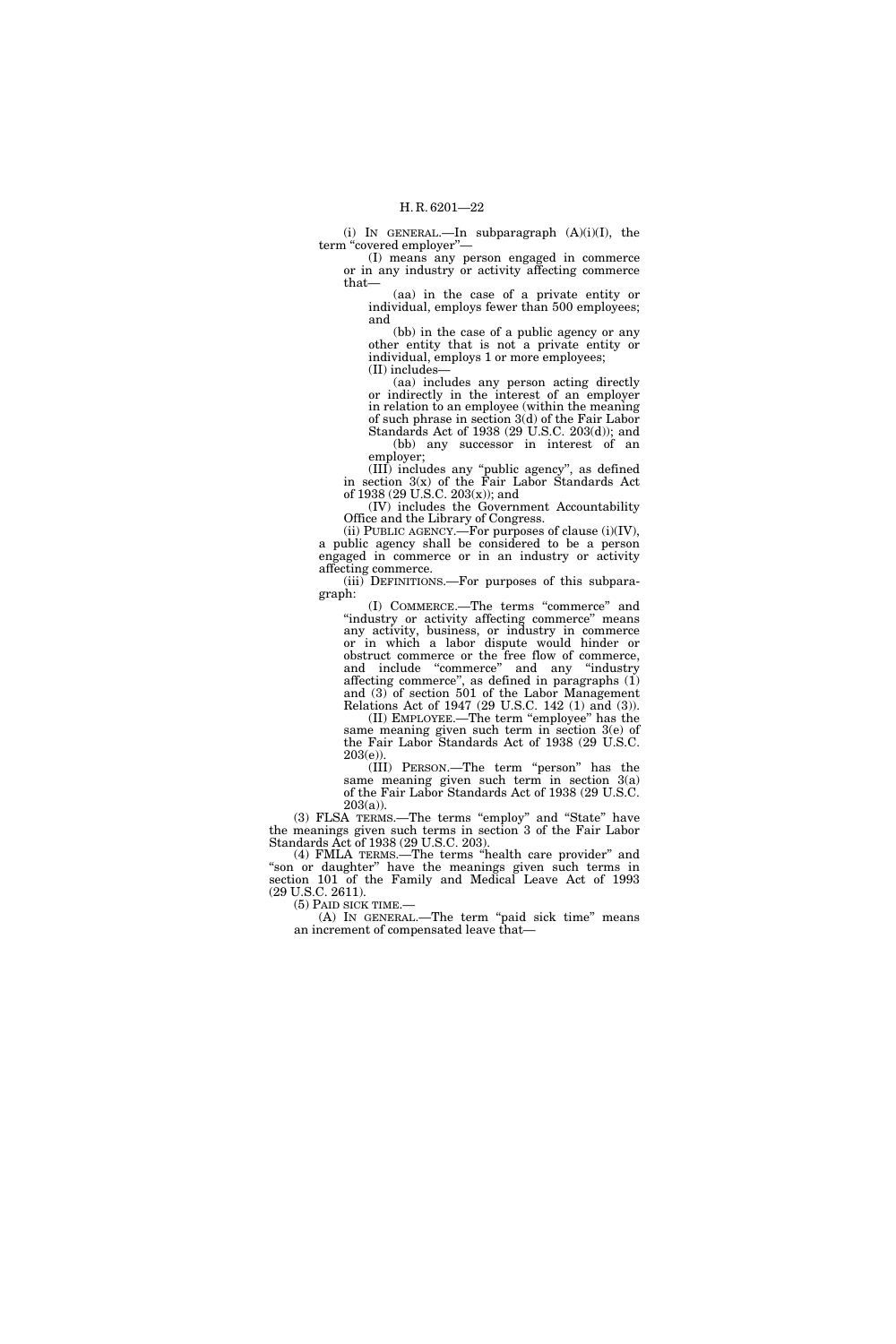(i) IN GENERAL.—In subparagraph (A)(i)(I), the term "covered employer"-

(I) means any person engaged in commerce or in any industry or activity affecting commerce that—

(aa) in the case of a private entity or individual, employs fewer than 500 employees; and

(bb) in the case of a public agency or any other entity that is not a private entity or individual, employs 1 or more employees; (II) includes—

(aa) includes any person acting directly or indirectly in the interest of an employer in relation to an employee (within the meaning of such phrase in section 3(d) of the Fair Labor Standards Act of 1938 (29 U.S.C. 203(d)); and (bb) any successor in interest of an

employer; (III) includes any ''public agency'', as defined in section 3(x) of the Fair Labor Standards Act of 1938 (29 U.S.C. 203(x)); and

(IV) includes the Government Accountability Office and the Library of Congress.

(ii) PUBLIC AGENCY.—For purposes of clause (i)(IV), a public agency shall be considered to be a person engaged in commerce or in an industry or activity affecting commerce.

(iii) DEFINITIONS.—For purposes of this subparagraph:

(I) COMMERCE.—The terms ''commerce'' and "industry or activity affecting commerce" means any activity, business, or industry in commerce or in which a labor dispute would hinder or obstruct commerce or the free flow of commerce, and include "commerce" and any "industry affecting commerce'', as defined in paragraphs (1) and (3) of section 501 of the Labor Management Relations Act of 1947 (29 U.S.C. 142 (1) and (3)).

(II) EMPLOYEE.—The term ''employee'' has the same meaning given such term in section 3(e) of the Fair Labor Standards Act of 1938 (29 U.S.C.  $203(e)$ ).

(III) PERSON.—The term ''person'' has the same meaning given such term in section 3(a) of the Fair Labor Standards Act of 1938 (29 U.S.C.  $203(a)$ ).

(3) FLSA TERMS.—The terms "employ" and "State" have the meanings given such terms in section 3 of the Fair Labor Standards Act of 1938 (29 U.S.C. 203).

(4) FMLA TERMS.—The terms ''health care provider'' and "son or daughter" have the meanings given such terms in section 101 of the Family and Medical Leave Act of 1993 (29 U.S.C. 2611).

(A) IN GENERAL.—The term "paid sick time" means an increment of compensated leave that—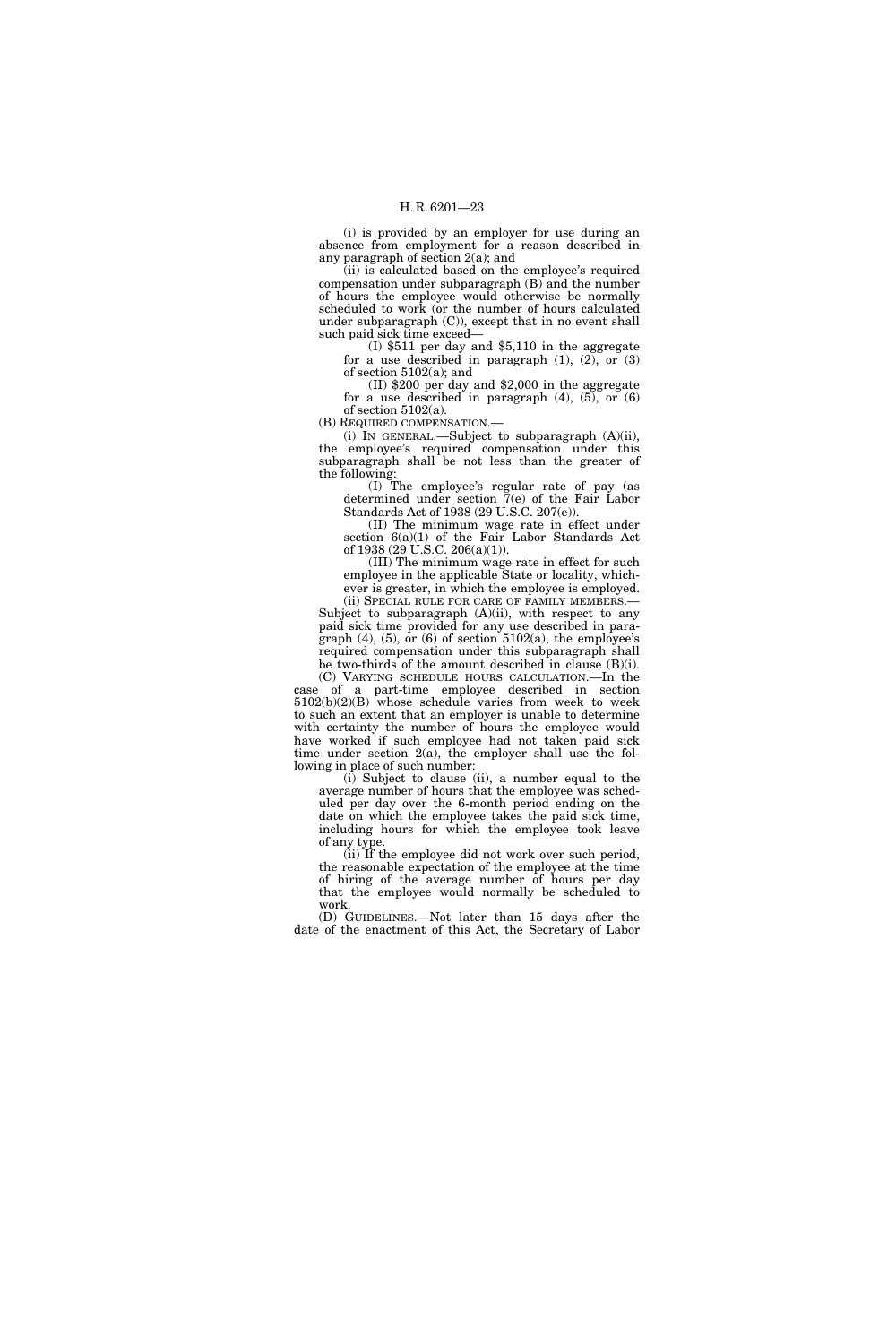(i) is provided by an employer for use during an absence from employment for a reason described in any paragraph of section 2(a); and

(ii) is calculated based on the employee's required compensation under subparagraph (B) and the number of hours the employee would otherwise be normally scheduled to work (or the number of hours calculated under subparagraph (C)), except that in no event shall such paid sick time exceed—

(I) \$511 per day and \$5,110 in the aggregate for a use described in paragraph (1), (2), or (3) of section 5102(a); and

(II) \$200 per day and \$2,000 in the aggregate for a use described in paragraph  $(4)$ ,  $(5)$ , or  $(6)$ of section 5102(a).

(B) REQUIRED COMPENSATION.—

(i) IN GENERAL.—Subject to subparagraph (A)(ii), the employee's required compensation under this subparagraph shall be not less than the greater of the following:

(I) The employee's regular rate of pay (as determined under section 7(e) of the Fair Labor Standards Act of 1938 (29 U.S.C. 207(e)).

(II) The minimum wage rate in effect under section 6(a)(1) of the Fair Labor Standards Act of 1938 (29 U.S.C. 206(a)(1)).

(III) The minimum wage rate in effect for such employee in the applicable State or locality, whichever is greater, in which the employee is employed.

(ii) SPECIAL RULE FOR CARE OF FAMILY MEMBERS.— Subject to subparagraph  $(A)(ii)$ , with respect to any paid sick time provided for any use described in paragraph (4), (5), or (6) of section  $5102(a)$ , the employee's required compensation under this subparagraph shall be two-thirds of the amount described in clause (B)(i).

(C) VARYING SCHEDULE HOURS CALCULATION.—In the case of a part-time employee described in section 5102(b)(2)(B) whose schedule varies from week to week to such an extent that an employer is unable to determine with certainty the number of hours the employee would have worked if such employee had not taken paid sick time under section 2(a), the employer shall use the following in place of such number:

(i) Subject to clause (ii), a number equal to the average number of hours that the employee was scheduled per day over the 6-month period ending on the date on which the employee takes the paid sick time, including hours for which the employee took leave of any type.

(ii) If the employee did not work over such period, the reasonable expectation of the employee at the time of hiring of the average number of hours per day that the employee would normally be scheduled to work.

(D) GUIDELINES.—Not later than 15 days after the date of the enactment of this Act, the Secretary of Labor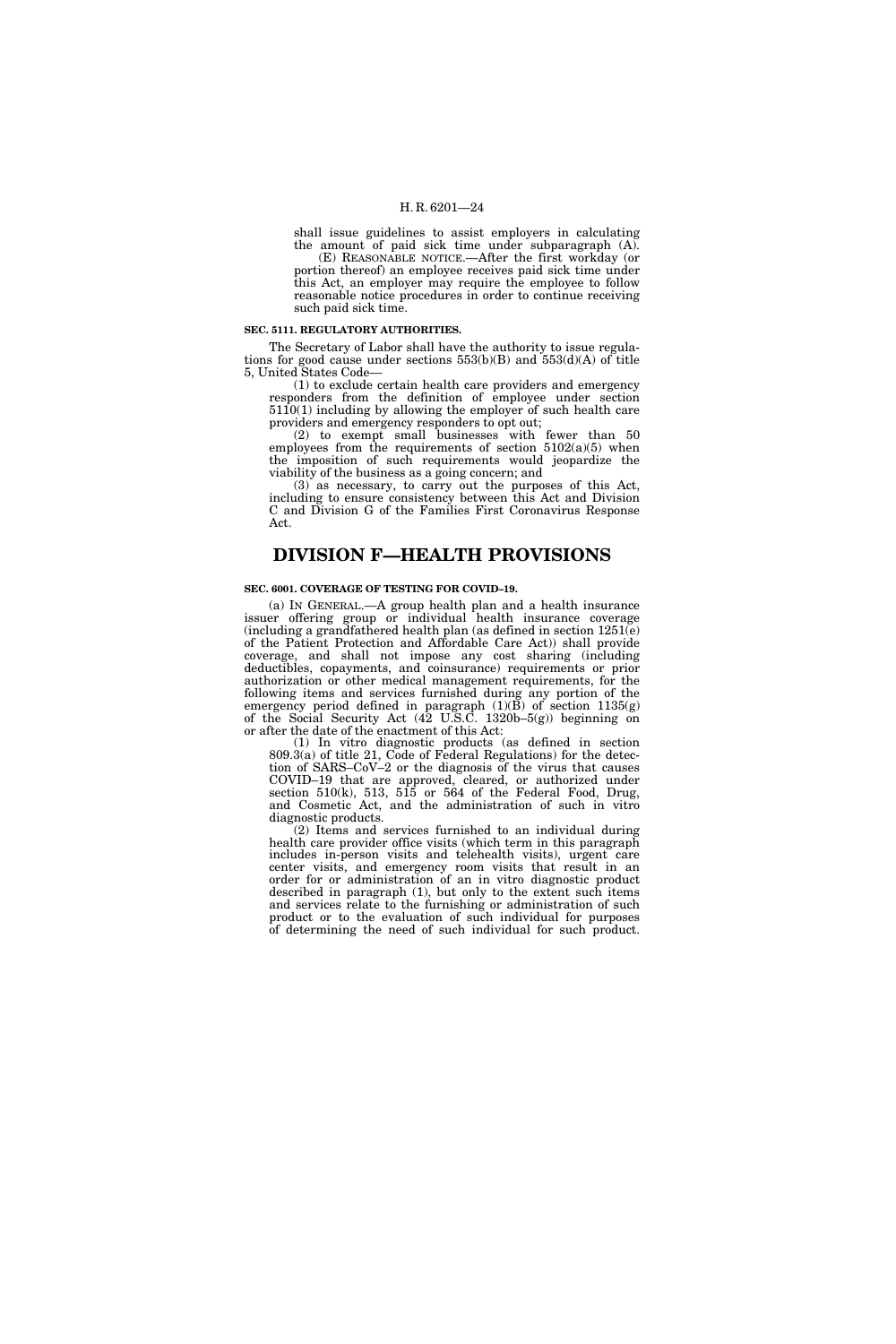shall issue guidelines to assist employers in calculating the amount of paid sick time under subparagraph (A).

(E) REASONABLE NOTICE.—After the first workday (or portion thereof) an employee receives paid sick time under this Act, an employer may require the employee to follow reasonable notice procedures in order to continue receiving such paid sick time.

## **SEC. 5111. REGULATORY AUTHORITIES.**

The Secretary of Labor shall have the authority to issue regulations for good cause under sections  $553(b)(B)$  and  $553(d)(A)$  of title 5, United States Code—

(1) to exclude certain health care providers and emergency responders from the definition of employee under section 5110(1) including by allowing the employer of such health care providers and emergency responders to opt out;

(2) to exempt small businesses with fewer than 50 employees from the requirements of section  $5102(a)(5)$  when the imposition of such requirements would jeopardize the viability of the business as a going concern; and

(3) as necessary, to carry out the purposes of this Act, including to ensure consistency between this Act and Division C and Division G of the Families First Coronavirus Response Act.

## **DIVISION F—HEALTH PROVISIONS**

#### **SEC. 6001. COVERAGE OF TESTING FOR COVID–19.**

(a) IN GENERAL.—A group health plan and a health insurance issuer offering group or individual health insurance coverage (including a grandfathered health plan (as defined in section  $1251(e)$ ) of the Patient Protection and Affordable Care Act)) shall provide coverage, and shall not impose any cost sharing (including deductibles, copayments, and coinsurance) requirements or prior authorization or other medical management requirements, for the following items and services furnished during any portion of the emergency period defined in paragraph (1)(B) of section 1135(g) of the Social Security Act (42 U.S.C. 1320b–5(g)) beginning on or after the date of the enactment of this Act:

(1) In vitro diagnostic products (as defined in section 809.3(a) of title 21, Code of Federal Regulations) for the detection of SARS–CoV–2 or the diagnosis of the virus that causes COVID–19 that are approved, cleared, or authorized under section  $510(k)$ ,  $513$ ,  $515$  or  $564$  of the Federal Food, Drug, and Cosmetic Act, and the administration of such in vitro diagnostic products.

(2) Items and services furnished to an individual during health care provider office visits (which term in this paragraph includes in-person visits and telehealth visits), urgent care center visits, and emergency room visits that result in an order for or administration of an in vitro diagnostic product described in paragraph (1), but only to the extent such items and services relate to the furnishing or administration of such product or to the evaluation of such individual for purposes of determining the need of such individual for such product.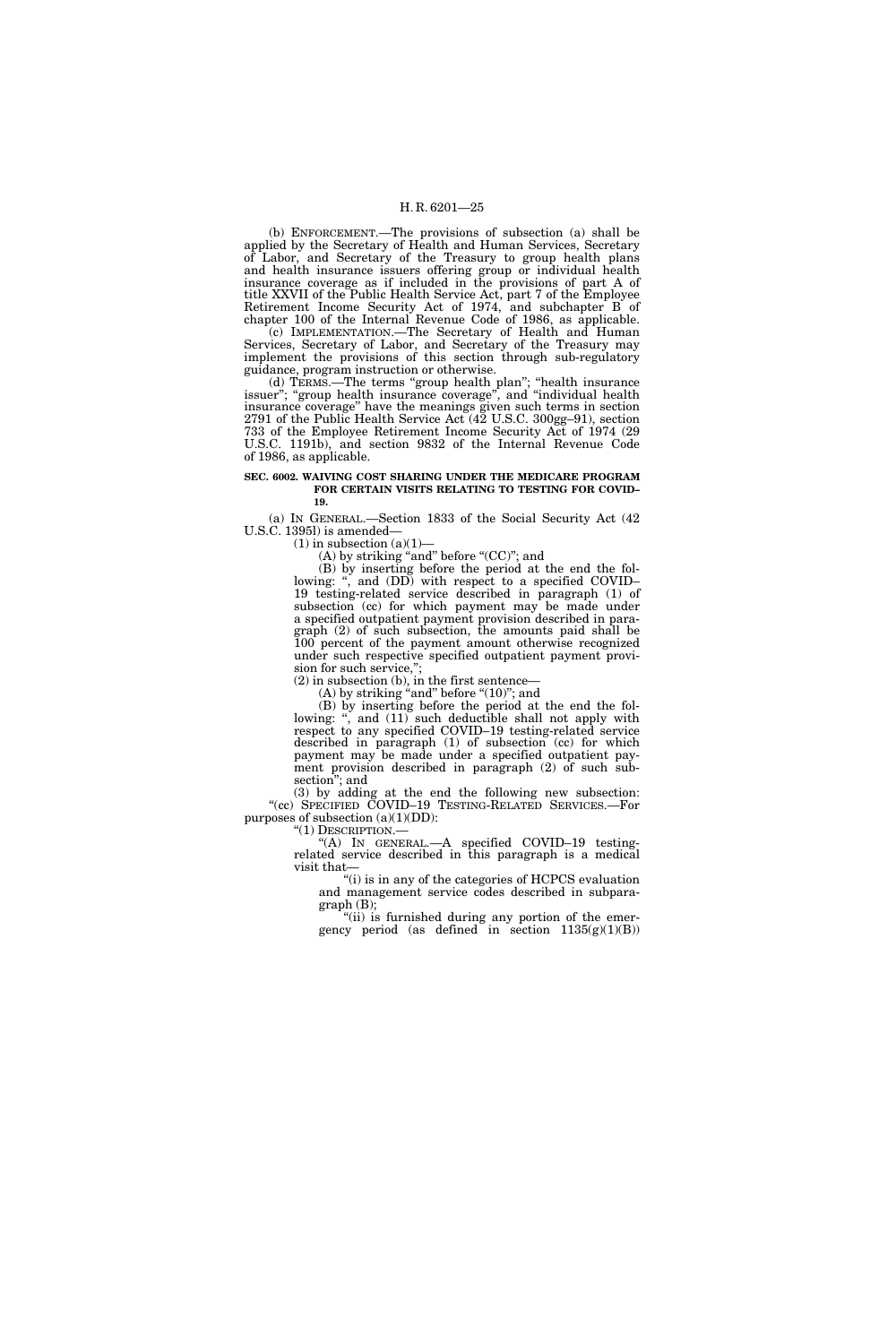(b) ENFORCEMENT.—The provisions of subsection (a) shall be applied by the Secretary of Health and Human Services, Secretary of Labor, and Secretary of the Treasury to group health plans and health insurance issuers offering group or individual health insurance coverage as if included in the provisions of part A of title XXVII of the Public Health Service Act, part 7 of the Employee Retirement Income Security Act of 1974, and subchapter B of chapter 100 of the Internal Revenue Code of 1986, as applicable.

 $(c)$  IMPLEMENTATION.—The Secretary of Health and Human Services, Secretary of Labor, and Secretary of the Treasury may implement the provisions of this section through sub-regulatory guidance, program instruction or otherwise.

(d) TERMS.—The terms ''group health plan''; ''health insurance issuer"; "group health insurance coverage", and "individual health insurance coverage'' have the meanings given such terms in section 2791 of the Public Health Service Act (42 U.S.C. 300gg–91), section 733 of the Employee Retirement Income Security Act of 1974 (29 U.S.C. 1191b), and section 9832 of the Internal Revenue Code of 1986, as applicable.

#### **SEC. 6002. WAIVING COST SHARING UNDER THE MEDICARE PROGRAM FOR CERTAIN VISITS RELATING TO TESTING FOR COVID– 19.**

(a) IN GENERAL.—Section 1833 of the Social Security Act (42 U.S.C. 1395l) is amended—

 $(1)$  in subsection  $(a)(1)$ 

(A) by striking "and" before "(CC)"; and

(B) by inserting before the period at the end the following: ", and (DD) with respect to a specified COVID-19 testing-related service described in paragraph (1) of subsection (cc) for which payment may be made under a specified outpatient payment provision described in paragraph (2) of such subsection, the amounts paid shall be 100 percent of the payment amount otherwise recognized under such respective specified outpatient payment provision for such service,";

(2) in subsection (b), in the first sentence—  $(A)$  by striking "and" before " $(10)$ "; and

(B) by inserting before the period at the end the following: ", and  $(11)$  such deductible shall not apply with respect to any specified COVID–19 testing-related service described in paragraph (1) of subsection (cc) for which payment may be made under a specified outpatient payment provision described in paragraph (2) of such subsection''; and

(3) by adding at the end the following new subsection: ''(cc) SPECIFIED COVID–19 TESTING-RELATED SERVICES.—For purposes of subsection (a)(1)(DD): "(1) DESCRIPTION.—

 $(A)$  In GENERAL.—A specified COVID–19 testingrelated service described in this paragraph is a medical visit that—

''(i) is in any of the categories of HCPCS evaluation and management service codes described in subpara $graph(B);$ 

''(ii) is furnished during any portion of the emergency period (as defined in section  $1135(g)(1)(B)$ )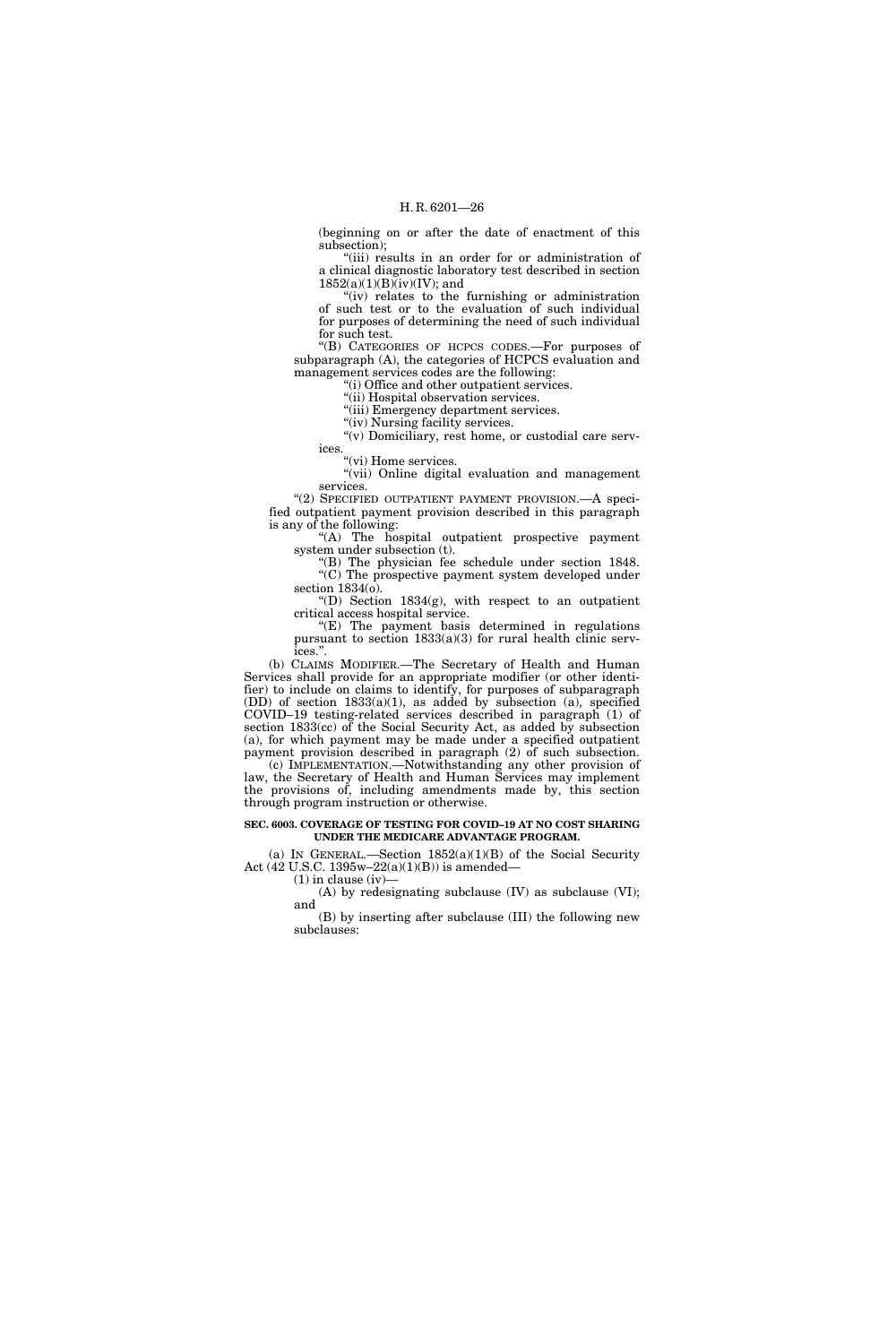(beginning on or after the date of enactment of this subsection);

"(iii) results in an order for or administration of a clinical diagnostic laboratory test described in section  $1852(a)(1)(B)(iv)(IV)$ ; and

"(iv) relates to the furnishing or administration of such test or to the evaluation of such individual for purposes of determining the need of such individual for such test.

''(B) CATEGORIES OF HCPCS CODES.—For purposes of subparagraph (A), the categories of HCPCS evaluation and management services codes are the following:

''(i) Office and other outpatient services.

"(ii) Hospital observation services.

''(iii) Emergency department services.

"(iv) Nursing facility services.

"(v) Domiciliary, rest home, or custodial care services.

"(vi) Home services.

"(vii) Online digital evaluation and management services.

"(2) SPECIFIED OUTPATIENT PAYMENT PROVISION. A specified outpatient payment provision described in this paragraph is any of the following:

''(A) The hospital outpatient prospective payment system under subsection (t).

''(B) The physician fee schedule under section 1848. ''(C) The prospective payment system developed under section 1834(o).

"(D) Section  $1834(g)$ , with respect to an outpatient critical access hospital service.

 $E(E)$  The payment basis determined in regulations pursuant to section 1833(a)(3) for rural health clinic services.''.

(b) CLAIMS MODIFIER.—The Secretary of Health and Human Services shall provide for an appropriate modifier (or other identifier) to include on claims to identify, for purposes of subparagraph (DD) of section 1833(a)(1), as added by subsection (a), specified COVID–19 testing-related services described in paragraph (1) of section 1833(cc) of the Social Security Act, as added by subsection (a), for which payment may be made under a specified outpatient payment provision described in paragraph (2) of such subsection.

(c) IMPLEMENTATION.—Notwithstanding any other provision of law, the Secretary of Health and Human Services may implement the provisions of, including amendments made by, this section through program instruction or otherwise.

#### **SEC. 6003. COVERAGE OF TESTING FOR COVID–19 AT NO COST SHARING UNDER THE MEDICARE ADVANTAGE PROGRAM.**

(a) IN GENERAL.—Section  $1852(a)(1)(B)$  of the Social Security Act (42 U.S.C. 1395w–22(a)(1)(B)) is amended—

 $(1)$  in clause (iv)

(A) by redesignating subclause (IV) as subclause (VI); and

(B) by inserting after subclause (III) the following new subclauses: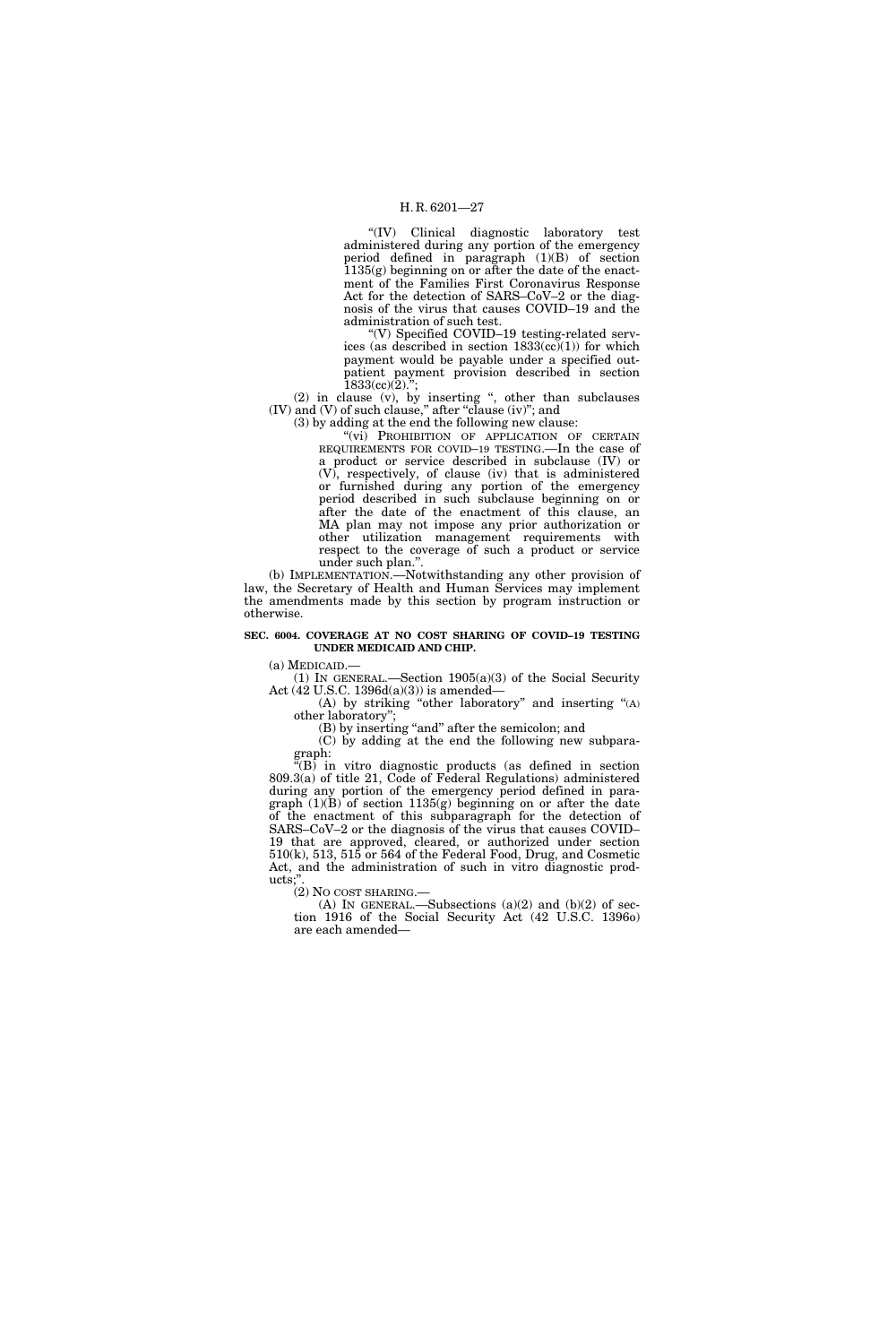''(IV) Clinical diagnostic laboratory test administered during any portion of the emergency period defined in paragraph (1)(B) of section 1135(g) beginning on or after the date of the enactment of the Families First Coronavirus Response Act for the detection of SARS–CoV–2 or the diagnosis of the virus that causes COVID–19 and the administration of such test.

''(V) Specified COVID–19 testing-related services (as described in section  $1833$ (cc)(1)) for which payment would be payable under a specified outpatient payment provision described in section  $1833(cc)(2)$ .";

(2) in clause (v), by inserting '', other than subclauses (IV) and (V) of such clause,'' after ''clause (iv)''; and

(3) by adding at the end the following new clause:

"(vi) PROHIBITION OF APPLICATION OF CERTAIN REQUIREMENTS FOR COVID–19 TESTING.—In the case of a product or service described in subclause (IV) or (V), respectively, of clause (iv) that is administered or furnished during any portion of the emergency period described in such subclause beginning on or after the date of the enactment of this clause, an MA plan may not impose any prior authorization or other utilization management requirements with respect to the coverage of such a product or service under such plan.''.

(b) IMPLEMENTATION.—Notwithstanding any other provision of law, the Secretary of Health and Human Services may implement the amendments made by this section by program instruction or otherwise.

#### **SEC. 6004. COVERAGE AT NO COST SHARING OF COVID–19 TESTING UNDER MEDICAID AND CHIP.**

(a) MEDICAID.—

(1) IN GENERAL.—Section 1905(a)(3) of the Social Security Act (42 U.S.C. 1396d(a)(3)) is amended—

(A) by striking ''other laboratory'' and inserting ''(A) other laboratory'';

(B) by inserting "and" after the semicolon; and

(C) by adding at the end the following new subparagraph:

''(B) in vitro diagnostic products (as defined in section 809.3(a) of title 21, Code of Federal Regulations) administered during any portion of the emergency period defined in paragraph  $(1)(B)$  of section 1135(g) beginning on or after the date of the enactment of this subparagraph for the detection of SARS–CoV–2 or the diagnosis of the virus that causes COVID– 19 that are approved, cleared, or authorized under section 510(k), 513, 515 or 564 of the Federal Food, Drug, and Cosmetic Act, and the administration of such in vitro diagnostic products;"

(2) NO COST SHARING.—

(A) IN GENERAL.—Subsections  $(a)(2)$  and  $(b)(2)$  of section 1916 of the Social Security Act (42 U.S.C. 1396o) are each amended—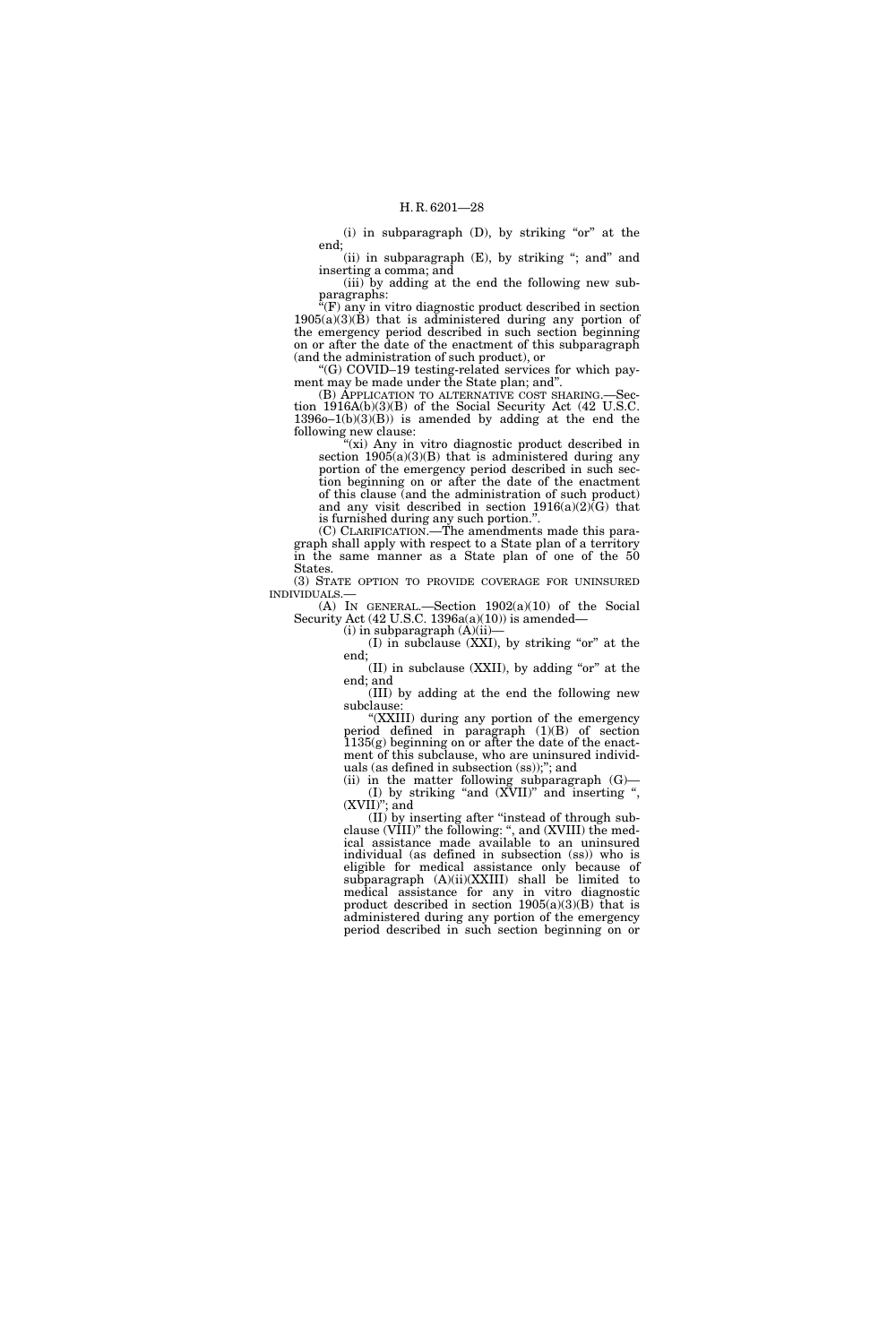(i) in subparagraph  $(D)$ , by striking "or" at the end;

(ii) in subparagraph (E), by striking "; and" and inserting a comma; and

(iii) by adding at the end the following new subparagraphs:

 $\sqrt{F}$  any in vitro diagnostic product described in section  $1905(a)(3)(B)$  that is administered during any portion of the emergency period described in such section beginning on or after the date of the enactment of this subparagraph (and the administration of such product), or

''(G) COVID–19 testing-related services for which payment may be made under the State plan; and''.

(B) APPLICATION TO ALTERNATIVE COST SHARING.—Section 1916A(b)(3)(B) of the Social Security Act (42 U.S.C.  $13960-1(b)(3)(B)$  is amended by adding at the end the following new clause:

"(xi) Any in vitro diagnostic product described in section  $1905(a)(3)(B)$  that is administered during any portion of the emergency period described in such section beginning on or after the date of the enactment of this clause (and the administration of such product) and any visit described in section  $1916(a)(2)(G)$  that is furnished during any such portion.''.

(C) CLARIFICATION.—The amendments made this paragraph shall apply with respect to a State plan of a territory in the same manner as a State plan of one of the 50 States.

(3) STATE OPTION TO PROVIDE COVERAGE FOR UNINSURED INDIVIDUALS.—

(A) IN GENERAL.—Section 1902(a)(10) of the Social Security Act  $(42 \text{ U.S.C. } 1396a(a)(10))$  is amended—

 $(i)$  in subparagraph  $(A)(ii)$ 

 $(I)$  in subclause  $(XXI)$ , by striking "or" at the end;

 $(III)$  in subclause (XXII), by adding "or" at the end; and

(III) by adding at the end the following new subclause:

''(XXIII) during any portion of the emergency period defined in paragraph (1)(B) of section  $1135(g)$  beginning on or after the date of the enactment of this subclause, who are uninsured individuals (as defined in subsection (ss));''; and

(ii) in the matter following subparagraph  $(G)$ — (I) by striking ''and (XVII)'' and inserting '', (XVII)''; and

(II) by inserting after ''instead of through subclause (VIII)'' the following: '', and (XVIII) the medical assistance made available to an uninsured individual (as defined in subsection (ss)) who is eligible for medical assistance only because of subparagraph (A)(ii)(XXIII) shall be limited to medical assistance for any in vitro diagnostic product described in section  $1905(a)(3)(B)$  that is administered during any portion of the emergency period described in such section beginning on or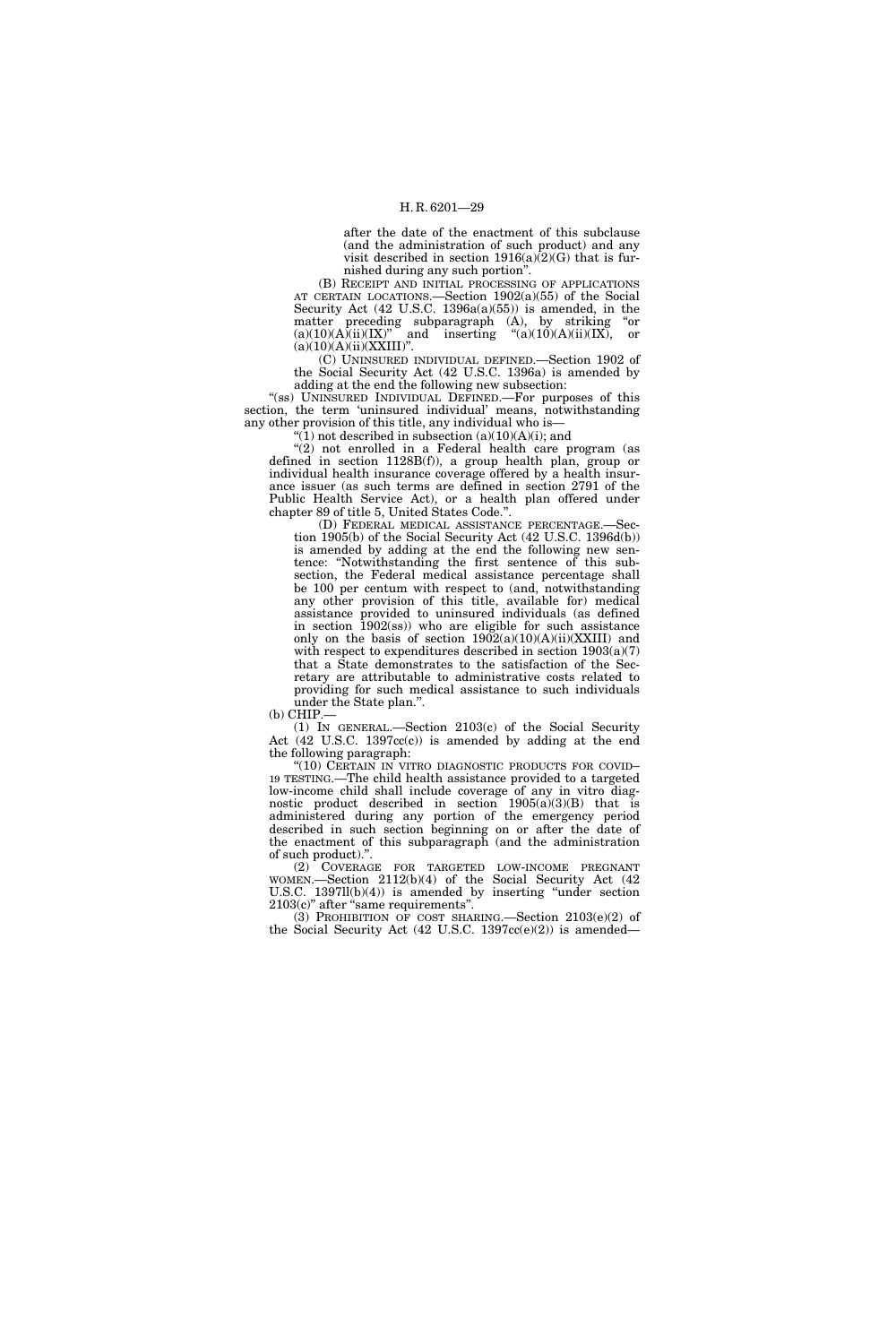after the date of the enactment of this subclause (and the administration of such product) and any visit described in section  $1916(a)\overline{(2)}$  that is furnished during any such portion''.

(B) RECEIPT AND INITIAL PROCESSING OF APPLICATIONS AT CERTAIN LOCATIONS.—Section 1902(a)(55) of the Social Security Act (42 U.S.C. 1396a(a)(55)) is amended, in the matter preceding subparagraph (A), by striking "or  $(a)(10)(A)(ii)(IX)$ " and inserting " $(a)(10)(A)(ii)(IX)$ , or and inserting  $\text{``(a)(10)(A)(ii)(IX)}$ , or  $(a)(10)(A)(ii)(XXIII)''.$ 

(C) UNINSURED INDIVIDUAL DEFINED.—Section 1902 of the Social Security Act (42 U.S.C. 1396a) is amended by adding at the end the following new subsection:

"(ss) UNINSURED INDIVIDUAL DEFINED.—For purposes of this section, the term 'uninsured individual' means, notwithstanding any other provision of this title, any individual who is—

" $(1)$  not described in subsection  $(a)(10)(A)(i)$ ; and

 $''(2)$  not enrolled in a Federal health care program (as defined in section 1128B(f)), a group health plan, group or individual health insurance coverage offered by a health insurance issuer (as such terms are defined in section 2791 of the Public Health Service Act), or a health plan offered under chapter 89 of title 5, United States Code.''.

(D) FEDERAL MEDICAL ASSISTANCE PERCENTAGE.—Section 1905(b) of the Social Security Act (42 U.S.C. 1396d(b)) is amended by adding at the end the following new sentence: ''Notwithstanding the first sentence of this subsection, the Federal medical assistance percentage shall be 100 per centum with respect to (and, notwithstanding any other provision of this title, available for) medical assistance provided to uninsured individuals (as defined in section 1902(ss)) who are eligible for such assistance only on the basis of section  $1902(a)(10)(A)(ii)(XXIII)$  and with respect to expenditures described in section 1903(a)(7) that a State demonstrates to the satisfaction of the Secretary are attributable to administrative costs related to providing for such medical assistance to such individuals under the State plan.''.

 $(b)$  CHIP.

(1) IN GENERAL.—Section 2103(c) of the Social Security Act (42 U.S.C. 1397cc(c)) is amended by adding at the end the following paragraph:

''(10) CERTAIN IN VITRO DIAGNOSTIC PRODUCTS FOR COVID– 19 TESTING.—The child health assistance provided to a targeted low-income child shall include coverage of any in vitro diagnostic product described in section  $1905(a)(3)(B)$  that is administered during any portion of the emergency period described in such section beginning on or after the date of the enactment of this subparagraph (and the administration of such product).''.

(2) COVERAGE FOR TARGETED LOW-INCOME PREGNANT WOMEN.—Section 2112(b)(4) of the Social Security Act (42 U.S.C.  $1397ll(b)(4)$  is amended by inserting "under section" 2103(c)'' after ''same requirements''.

(3) PROHIBITION OF COST SHARING.—Section 2103(e)(2) of the Social Security Act  $(42 \text{ U.S.C. } 1397 \text{cc}(e)(2))$  is amended—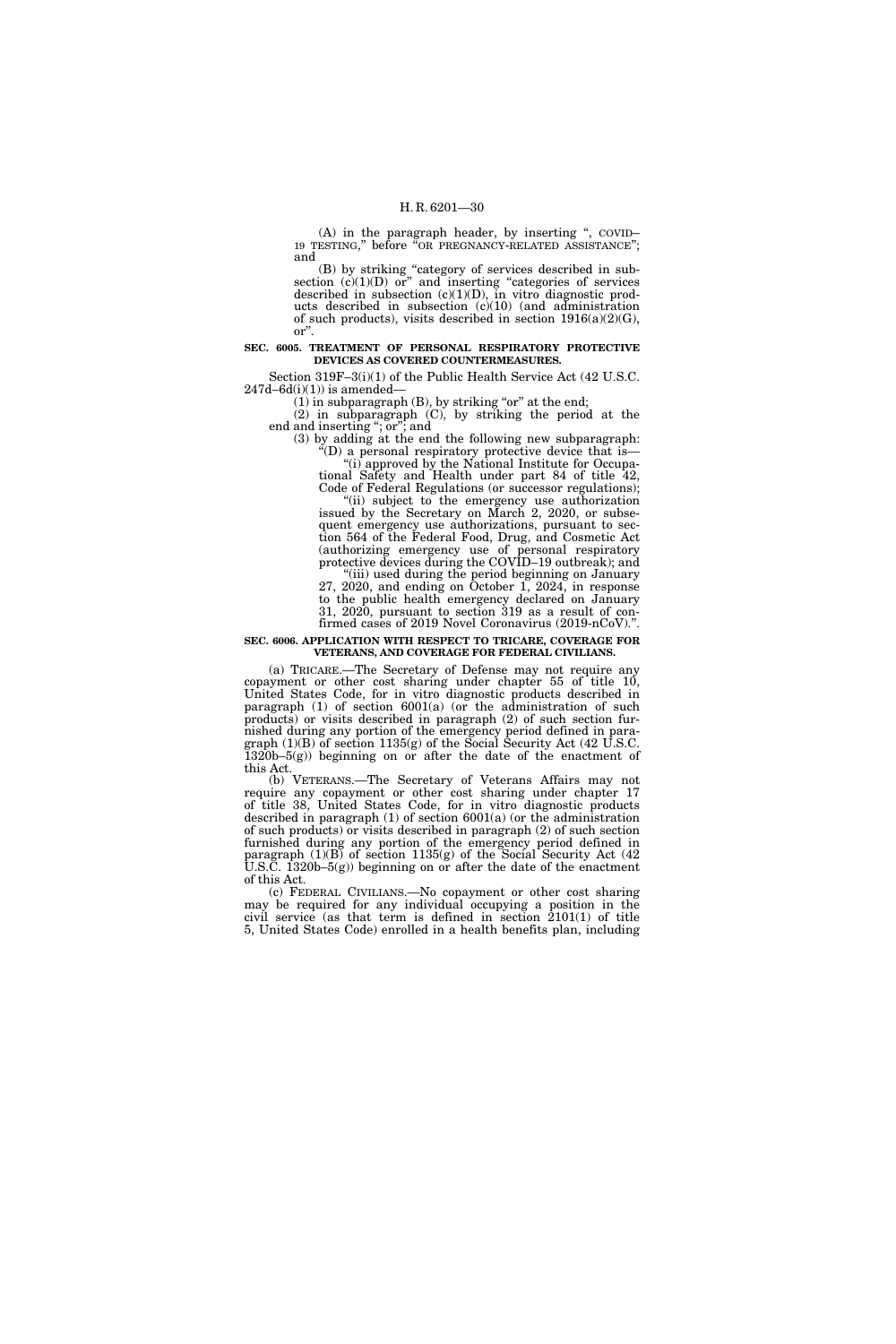(A) in the paragraph header, by inserting ", COVID-19 TESTING," before "OR PREGNANCY-RELATED ASSISTANCE"; and

(B) by striking ''category of services described in subsection  $(c)(1)(D)$  or" and inserting "categories of services described in subsection  $(c)(1)(D)$ , in vitro diagnostic products described in subsection (c)(10) (and administration of such products), visits described in section  $1916(a)(2)(G)$ , or''.

#### **SEC. 6005. TREATMENT OF PERSONAL RESPIRATORY PROTECTIVE DEVICES AS COVERED COUNTERMEASURES.**

Section 319F–3(i)(1) of the Public Health Service Act (42 U.S.C.  $247d - 6d(i)(1)$ ) is amended-

 $(1)$  in subparagraph  $(B)$ , by striking "or" at the end;

(2) in subparagraph (C), by striking the period at the end and inserting "; or"; and

(3) by adding at the end the following new subparagraph:  $\mathcal{L}(\mathbf{D})$  a personal respiratory protective device that is— "(i) approved by the National Institute for Occupa-

tional Safety and Health under part 84 of title 42, Code of Federal Regulations (or successor regulations); "(ii) subject to the emergency use authorization issued by the Secretary on March 2, 2020, or subsequent emergency use authorizations, pursuant to section 564 of the Federal Food, Drug, and Cosmetic Act

(authorizing emergency use of personal respiratory protective devices during the COVID–19 outbreak); and ''(iii) used during the period beginning on January 27, 2020, and ending on October 1, 2024, in response

to the public health emergency declared on January 31, 2020, pursuant to section 319 as a result of confirmed cases of 2019 Novel Coronavirus (2019-nCoV).''.

#### **SEC. 6006. APPLICATION WITH RESPECT TO TRICARE, COVERAGE FOR VETERANS, AND COVERAGE FOR FEDERAL CIVILIANS.**

(a) TRICARE.—The Secretary of Defense may not require any copayment or other cost sharing under chapter 55 of title 10, United States Code, for in vitro diagnostic products described in paragraph (1) of section 6001(a) (or the administration of such products) or visits described in paragraph (2) of such section furnished during any portion of the emergency period defined in paragraph  $(1)(B)$  of section  $1135(g)$  of the Social Security Act  $(42 \text{ U.S.C.})$ 1320b–5(g)) beginning on or after the date of the enactment of this Act.

(b) VETERANS.—The Secretary of Veterans Affairs may not require any copayment or other cost sharing under chapter 17 of title 38, United States Code, for in vitro diagnostic products described in paragraph (1) of section 6001(a) (or the administration of such products) or visits described in paragraph (2) of such section furnished during any portion of the emergency period defined in paragraph  $(1)(B)$  of section 1135(g) of the Social Security Act  $(42)$ U.S.C. 1320b–5(g)) beginning on or after the date of the enactment of this Act.

(c) FEDERAL CIVILIANS.—No copayment or other cost sharing may be required for any individual occupying a position in the civil service (as that term is defined in section 2101(1) of title 5, United States Code) enrolled in a health benefits plan, including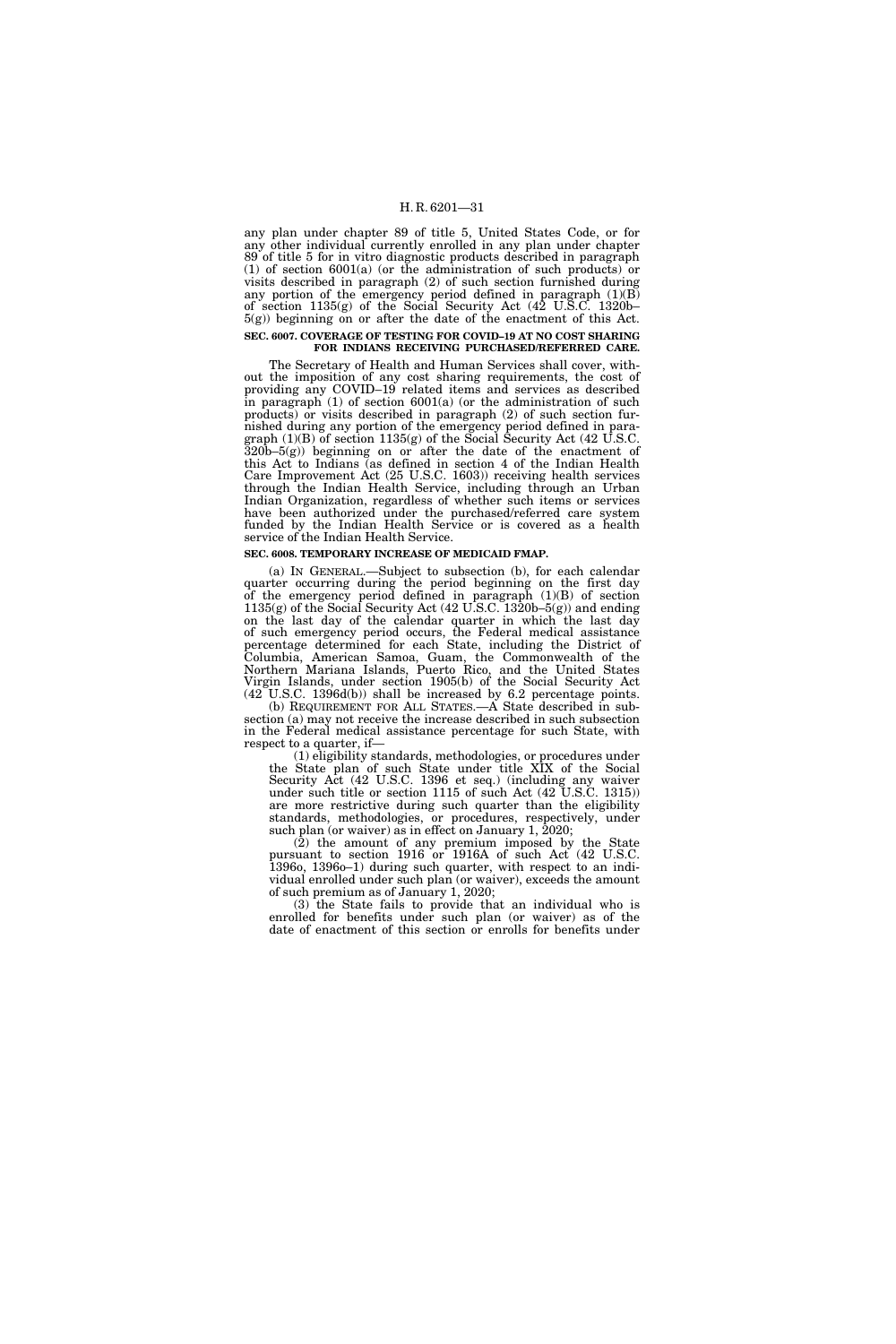any plan under chapter 89 of title 5, United States Code, or for any other individual currently enrolled in any plan under chapter 89 of title 5 for in vitro diagnostic products described in paragraph (1) of section  $6001(a)$  (or the administration of such products) or visits described in paragraph (2) of such section furnished during any portion of the emergency period defined in paragraph  $(1)(B)$ of section 1135(g) of the Social Security Act (42 U.S.C. 1320b– 5(g)) beginning on or after the date of the enactment of this Act. **SEC. 6007. COVERAGE OF TESTING FOR COVID–19 AT NO COST SHARING FOR INDIANS RECEIVING PURCHASED/REFERRED CARE.** 

The Secretary of Health and Human Services shall cover, without the imposition of any cost sharing requirements, the cost of providing any COVID–19 related items and services as described in paragraph (1) of section 6001(a) (or the administration of such products) or visits described in paragraph (2) of such section furnished during any portion of the emergency period defined in paragraph  $(1)(B)$  of section  $1135(g)$  of the Social Security Act  $(42 \text{ U.S.C.})$ 320b–5(g)) beginning on or after the date of the enactment of this Act to Indians (as defined in section 4 of the Indian Health Care Improvement Act (25 U.S.C. 1603)) receiving health services through the Indian Health Service, including through an Urban Indian Organization, regardless of whether such items or services have been authorized under the purchased/referred care system funded by the Indian Health Service or is covered as a health service of the Indian Health Service.

## **SEC. 6008. TEMPORARY INCREASE OF MEDICAID FMAP.**

(a) IN GENERAL.—Subject to subsection (b), for each calendar quarter occurring during the period beginning on the first day of the emergency period defined in paragraph (1)(B) of section 1135(g) of the Social Security Act (42 U.S.C. 1320b–5(g)) and ending on the last day of the calendar quarter in which the last day of such emergency period occurs, the Federal medical assistance percentage determined for each State, including the District of Columbia, American Samoa, Guam, the Commonwealth of the Northern Mariana Islands, Puerto Rico, and the United States Virgin Islands, under section 1905(b) of the Social Security Act  $(42^{\circ}$ U.S.C. 1396d(b)) shall be increased by 6.2 percentage points.

(b) REQUIREMENT FOR ALL STATES.—A State described in subsection (a) may not receive the increase described in such subsection in the Federal medical assistance percentage for such State, with respect to a quarter, if—

(1) eligibility standards, methodologies, or procedures under the State plan of such State under title XIX of the Social Security Act (42 U.S.C. 1396 et seq.) (including any waiver under such title or section 1115 of such Act (42 U.S.C. 1315)) are more restrictive during such quarter than the eligibility standards, methodologies, or procedures, respectively, under such plan (or waiver) as in effect on January 1, 2020;

(2) the amount of any premium imposed by the State pursuant to section 1916 or 1916A of such Act (42 U.S.C. 1396o, 1396o–1) during such quarter, with respect to an individual enrolled under such plan (or waiver), exceeds the amount of such premium as of January 1, 2020;

(3) the State fails to provide that an individual who is enrolled for benefits under such plan (or waiver) as of the date of enactment of this section or enrolls for benefits under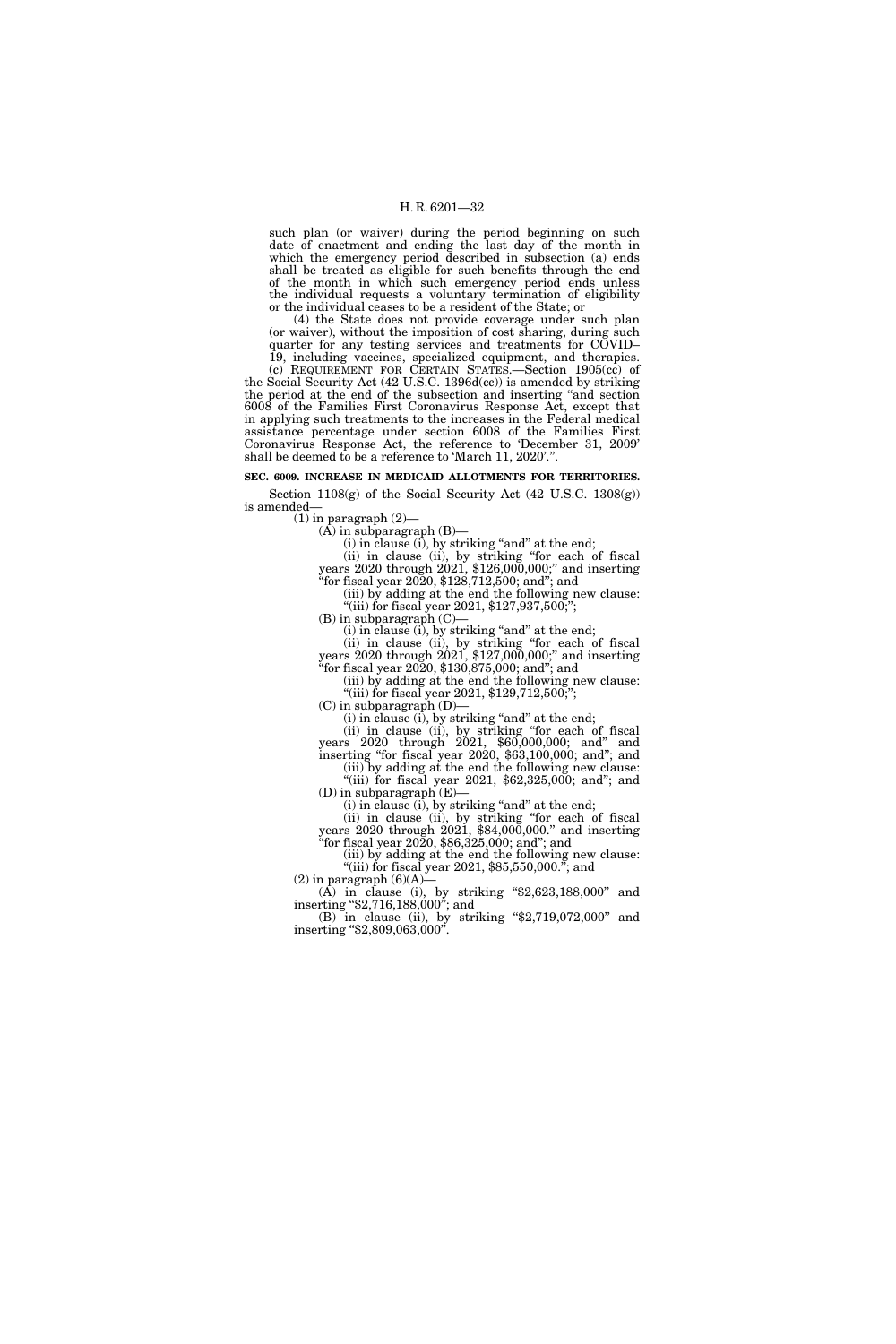such plan (or waiver) during the period beginning on such date of enactment and ending the last day of the month in which the emergency period described in subsection (a) ends shall be treated as eligible for such benefits through the end of the month in which such emergency period ends unless the individual requests a voluntary termination of eligibility or the individual ceases to be a resident of the State; or

(4) the State does not provide coverage under such plan (or waiver), without the imposition of cost sharing, during such quarter for any testing services and treatments for COVID– 19, including vaccines, specialized equipment, and therapies.

(c) REQUIREMENT FOR CERTAIN STATES.—Section 1905(cc) of the Social Security Act (42 U.S.C. 1396d(cc)) is amended by striking the period at the end of the subsection and inserting ''and section 6008 of the Families First Coronavirus Response Act, except that in applying such treatments to the increases in the Federal medical assistance percentage under section 6008 of the Families First Coronavirus Response Act, the reference to 'December 31, 2009' shall be deemed to be a reference to 'March 11, 2020'.''.

#### **SEC. 6009. INCREASE IN MEDICAID ALLOTMENTS FOR TERRITORIES.**

Section  $1108(g)$  of the Social Security Act (42 U.S.C. 1308 $(g)$ ) is amended—

 $(1)$  in paragraph  $(2)$ —

(A) in subparagraph (B)—

 $(i)$  in clause  $(i)$ , by striking "and" at the end;

(ii) in clause (ii), by striking ''for each of fiscal years 2020 through 2021, \$126,000,000;'' and inserting ''for fiscal year 2020, \$128,712,500; and''; and

(iii) by adding at the end the following new clause: ''(iii) for fiscal year 2021, \$127,937,500;'';

 $(B)$  in subparagraph  $(C)$ —

(i) in clause (i), by striking "and" at the end;

(ii) in clause (ii), by striking ''for each of fiscal years 2020 through 2021, \$127,000,000;'' and inserting "for fiscal year 2020,  $$130,875,000$ ; and"; and

(iii) by adding at the end the following new clause: "(iii) for fiscal year 2021, \$129,712,500;";

 $(C)$  in subparagraph  $(D)$ —

 $(i)$  in clause  $(i)$ , by striking "and" at the end;

(ii) in clause (ii), by striking ''for each of fiscal years 2020 through 2021, \$60,000,000; and'' and inserting ''for fiscal year 2020, \$63,100,000; and''; and

(iii) by adding at the end the following new clause: "(iii) for fiscal year 2021,  $$62,325,000$ ; and"; and

(D) in subparagraph (E)—  $(i)$  in clause  $(i)$ , by striking "and" at the end;

(ii) in clause (ii), by striking ''for each of fiscal years 2020 through 2021, \$84,000,000.'' and inserting ''for fiscal year 2020, \$86,325,000; and''; and

(iii) by adding at the end the following new clause: "(iii) for fiscal year 2021,  $$85,550,000."$ ; and

 $(2)$  in paragraph  $(6)(A)$ (A) in clause (i), by striking ''\$2,623,188,000'' and inserting ''\$2,716,188,000''; and

(B) in clause (ii), by striking ''\$2,719,072,000'' and inserting "\$2,809,063,000".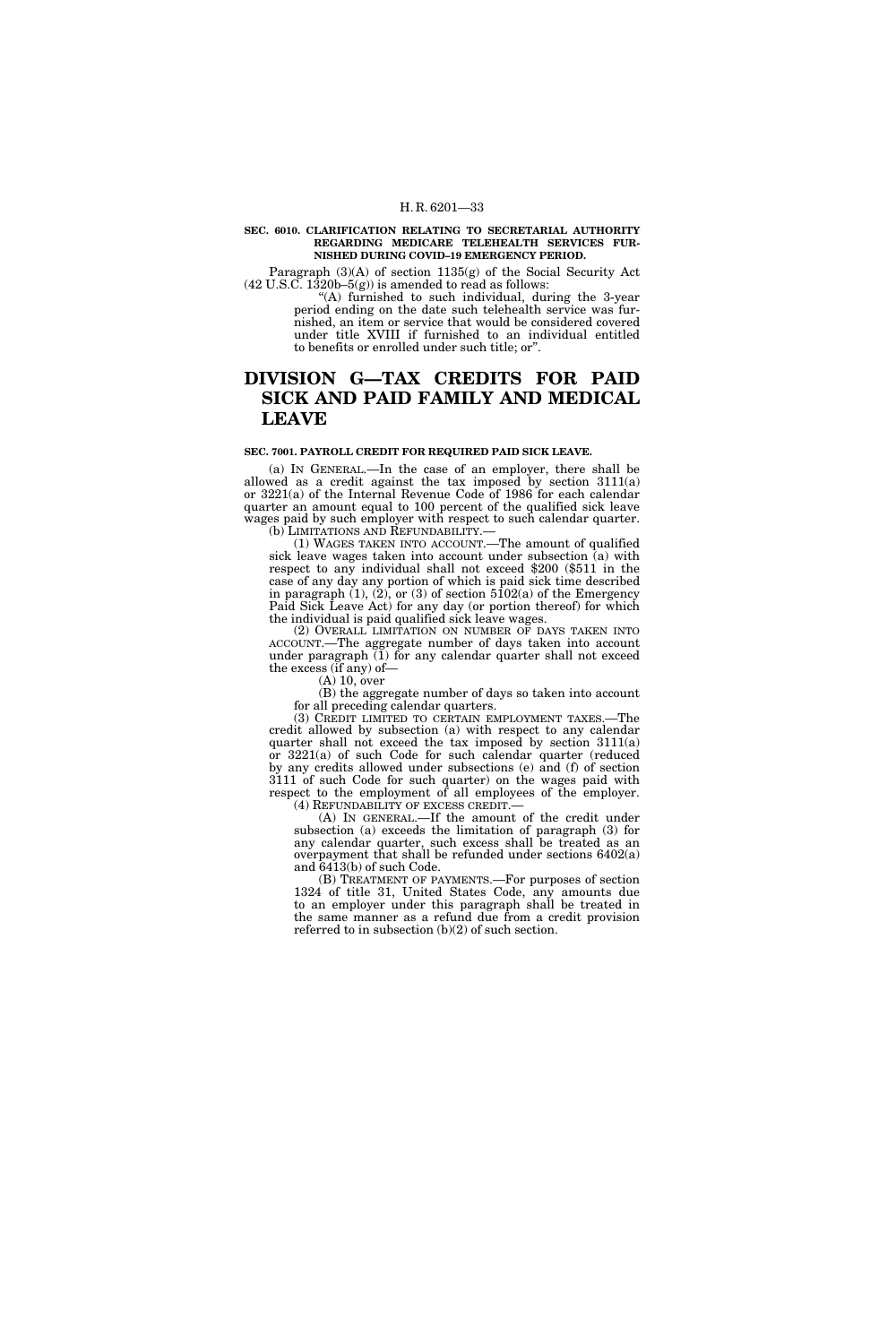#### **SEC. 6010. CLARIFICATION RELATING TO SECRETARIAL AUTHORITY REGARDING MEDICARE TELEHEALTH SERVICES FUR-NISHED DURING COVID–19 EMERGENCY PERIOD.**

Paragraph (3)(A) of section 1135(g) of the Social Security Act  $(42 \text{ U.S.C. } 1320b - 5(g))$  is amended to read as follows:

''(A) furnished to such individual, during the 3-year period ending on the date such telehealth service was furnished, an item or service that would be considered covered under title XVIII if furnished to an individual entitled to benefits or enrolled under such title; or''.

## **DIVISION G—TAX CREDITS FOR PAID SICK AND PAID FAMILY AND MEDICAL LEAVE**

## **SEC. 7001. PAYROLL CREDIT FOR REQUIRED PAID SICK LEAVE.**

(a) IN GENERAL.—In the case of an employer, there shall be allowed as a credit against the tax imposed by section 3111(a) or 3221(a) of the Internal Revenue Code of 1986 for each calendar quarter an amount equal to 100 percent of the qualified sick leave wages paid by such employer with respect to such calendar quarter. (b) LIMITATIONS AND REFUNDABILITY.—

(1) WAGES TAKEN INTO ACCOUNT.—The amount of qualified sick leave wages taken into account under subsection (a) with respect to any individual shall not exceed \$200 (\$511 in the case of any day any portion of which is paid sick time described in paragraph  $(1)$ ,  $(2)$ , or  $(3)$  of section  $5102(a)$  of the Emergency Paid Sick Leave Act) for any day (or portion thereof) for which the individual is paid qualified sick leave wages.

(2) OVERALL LIMITATION ON NUMBER OF DAYS TAKEN INTO ACCOUNT.—The aggregate number of days taken into account under paragraph (1) for any calendar quarter shall not exceed the excess (if any) of—

(A) 10, over

(B) the aggregate number of days so taken into account for all preceding calendar quarters.

(3) CREDIT LIMITED TO CERTAIN EMPLOYMENT TAXES.—The credit allowed by subsection (a) with respect to any calendar quarter shall not exceed the tax imposed by section 3111(a) or 3221(a) of such Code for such calendar quarter (reduced by any credits allowed under subsections (e) and (f) of section 3111 of such Code for such quarter) on the wages paid with respect to the employment of all employees of the employer.

(4) REFUNDABILITY OF EXCESS CREDIT.— (A) IN GENERAL.—If the amount of the credit under subsection (a) exceeds the limitation of paragraph (3) for any calendar quarter, such excess shall be treated as an overpayment that shall be refunded under sections 6402(a) and 6413(b) of such Code.

(B) TREATMENT OF PAYMENTS.—For purposes of section 1324 of title 31, United States Code, any amounts due to an employer under this paragraph shall be treated in the same manner as a refund due from a credit provision referred to in subsection (b)(2) of such section.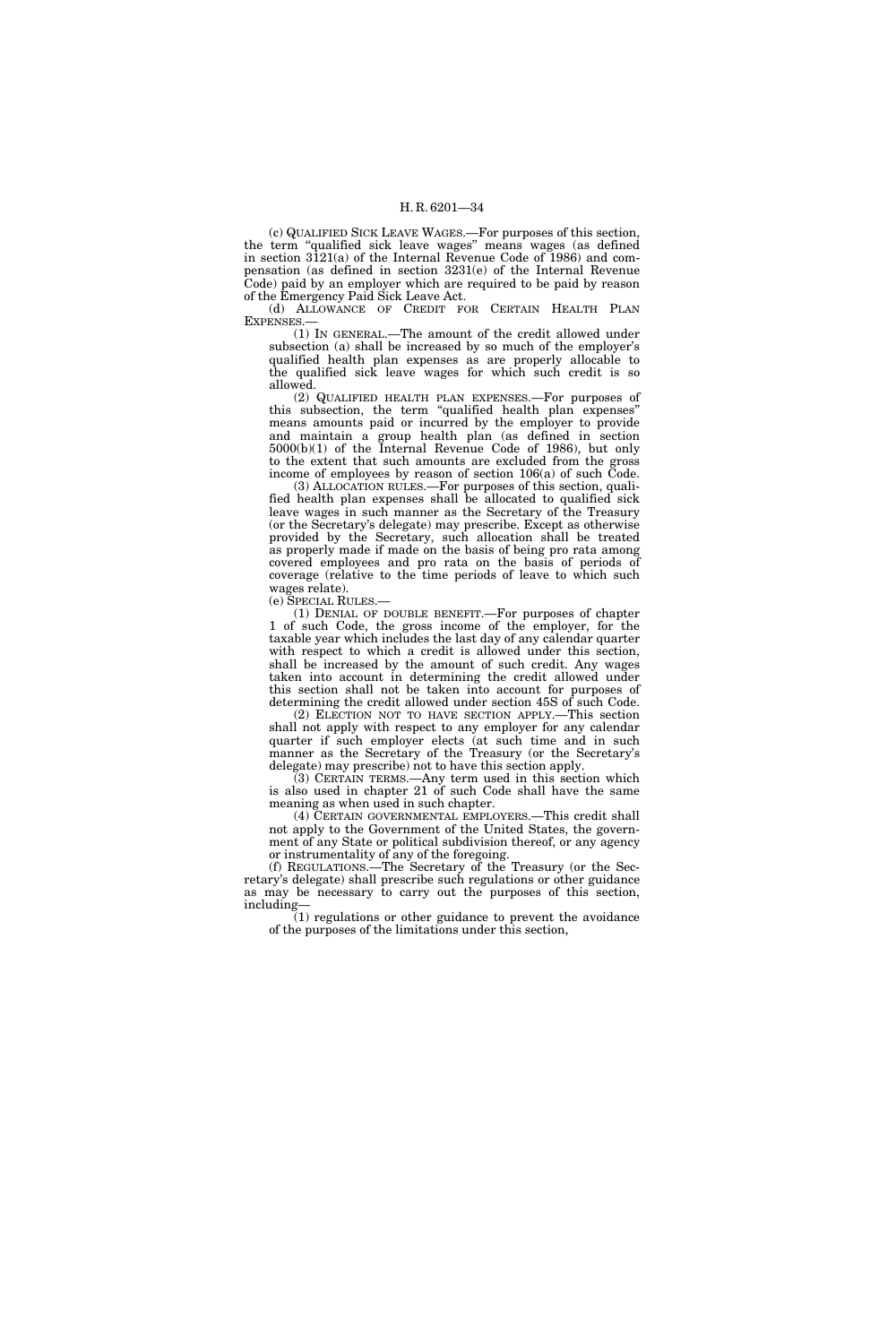(c) QUALIFIED SICK LEAVE WAGES.—For purposes of this section, the term ''qualified sick leave wages'' means wages (as defined in section 3121(a) of the Internal Revenue Code of 1986) and compensation (as defined in section 3231(e) of the Internal Revenue Code) paid by an employer which are required to be paid by reason of the Emergency Paid Sick Leave Act.

(d) ALLOWANCE OF CREDIT FOR CERTAIN HEALTH PLAN EXPENSES.—

(1) IN GENERAL.—The amount of the credit allowed under subsection (a) shall be increased by so much of the employer's qualified health plan expenses as are properly allocable to the qualified sick leave wages for which such credit is so allowed.

(2) QUALIFIED HEALTH PLAN EXPENSES.—For purposes of this subsection, the term ''qualified health plan expenses'' means amounts paid or incurred by the employer to provide and maintain a group health plan (as defined in section 5000(b)(1) of the Internal Revenue Code of 1986), but only to the extent that such amounts are excluded from the gross income of employees by reason of section 106(a) of such Code.

(3) ALLOCATION RULES.—For purposes of this section, qualified health plan expenses shall be allocated to qualified sick leave wages in such manner as the Secretary of the Treasury (or the Secretary's delegate) may prescribe. Except as otherwise provided by the Secretary, such allocation shall be treated as properly made if made on the basis of being pro rata among covered employees and pro rata on the basis of periods of coverage (relative to the time periods of leave to which such wages relate).

(e) SPECIAL RULES.—

(1) DENIAL OF DOUBLE BENEFIT.—For purposes of chapter 1 of such Code, the gross income of the employer, for the taxable year which includes the last day of any calendar quarter with respect to which a credit is allowed under this section, shall be increased by the amount of such credit. Any wages taken into account in determining the credit allowed under this section shall not be taken into account for purposes of determining the credit allowed under section 45S of such Code.

(2) ELECTION NOT TO HAVE SECTION APPLY.—This section shall not apply with respect to any employer for any calendar quarter if such employer elects (at such time and in such manner as the Secretary of the Treasury (or the Secretary's delegate) may prescribe) not to have this section apply.

(3) CERTAIN TERMS.—Any term used in this section which is also used in chapter 21 of such Code shall have the same meaning as when used in such chapter.

(4) CERTAIN GOVERNMENTAL EMPLOYERS.—This credit shall not apply to the Government of the United States, the government of any State or political subdivision thereof, or any agency or instrumentality of any of the foregoing.

(f) REGULATIONS.—The Secretary of the Treasury (or the Secretary's delegate) shall prescribe such regulations or other guidance as may be necessary to carry out the purposes of this section, including—

(1) regulations or other guidance to prevent the avoidance of the purposes of the limitations under this section,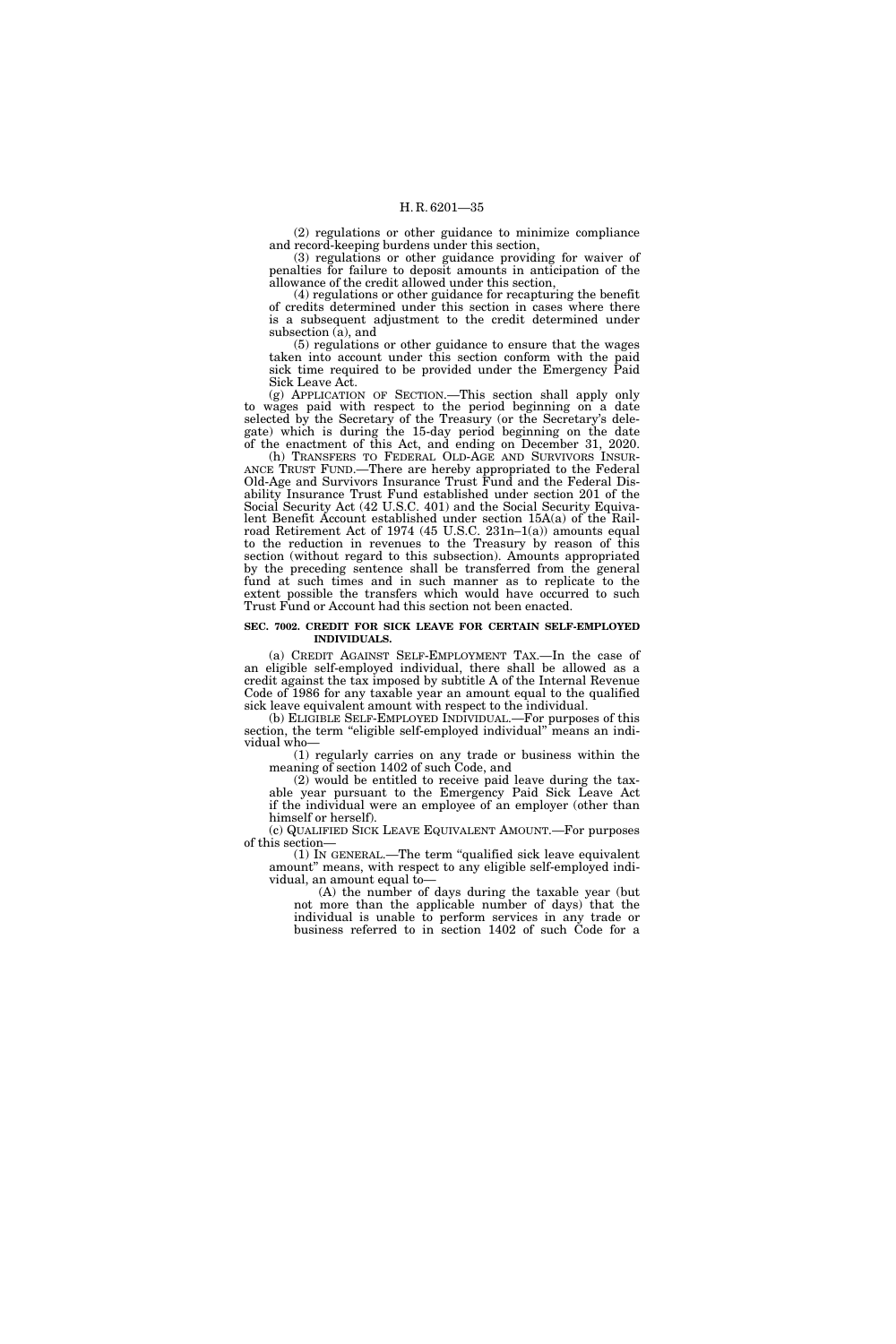(2) regulations or other guidance to minimize compliance and record-keeping burdens under this section,

(3) regulations or other guidance providing for waiver of penalties for failure to deposit amounts in anticipation of the allowance of the credit allowed under this section,

(4) regulations or other guidance for recapturing the benefit of credits determined under this section in cases where there is a subsequent adjustment to the credit determined under subsection (a), and

(5) regulations or other guidance to ensure that the wages taken into account under this section conform with the paid sick time required to be provided under the Emergency Paid Sick Leave Act.

(g) APPLICATION OF SECTION.—This section shall apply only to wages paid with respect to the period beginning on a date selected by the Secretary of the Treasury (or the Secretary's delegate) which is during the 15-day period beginning on the date of the enactment of this Act, and ending on December 31, 2020.

(h) TRANSFERS TO FEDERAL OLD-AGE AND SURVIVORS INSUR-ANCE TRUST FUND.—There are hereby appropriated to the Federal Old-Age and Survivors Insurance Trust Fund and the Federal Disability Insurance Trust Fund established under section 201 of the Social Security Act (42 U.S.C. 401) and the Social Security Equivalent Benefit Account established under section 15A(a) of the Railroad Retirement Act of 1974 (45 U.S.C. 231n–1(a)) amounts equal to the reduction in revenues to the Treasury by reason of this section (without regard to this subsection). Amounts appropriated by the preceding sentence shall be transferred from the general fund at such times and in such manner as to replicate to the extent possible the transfers which would have occurred to such Trust Fund or Account had this section not been enacted.

#### **SEC. 7002. CREDIT FOR SICK LEAVE FOR CERTAIN SELF-EMPLOYED INDIVIDUALS.**

(a) CREDIT AGAINST SELF-EMPLOYMENT TAX.—In the case of an eligible self-employed individual, there shall be allowed as a credit against the tax imposed by subtitle A of the Internal Revenue Code of 1986 for any taxable year an amount equal to the qualified sick leave equivalent amount with respect to the individual.

(b) ELIGIBLE SELF-EMPLOYED INDIVIDUAL.—For purposes of this section, the term ''eligible self-employed individual'' means an individual who—

(1) regularly carries on any trade or business within the meaning of section 1402 of such Code, and

(2) would be entitled to receive paid leave during the taxable year pursuant to the Emergency Paid Sick Leave Act if the individual were an employee of an employer (other than himself or herself).

(c) QUALIFIED SICK LEAVE EQUIVALENT AMOUNT.—For purposes of this section—

(1) IN GENERAL.—The term ''qualified sick leave equivalent amount'' means, with respect to any eligible self-employed individual, an amount equal to—

(A) the number of days during the taxable year (but not more than the applicable number of days) that the individual is unable to perform services in any trade or business referred to in section 1402 of such Code for a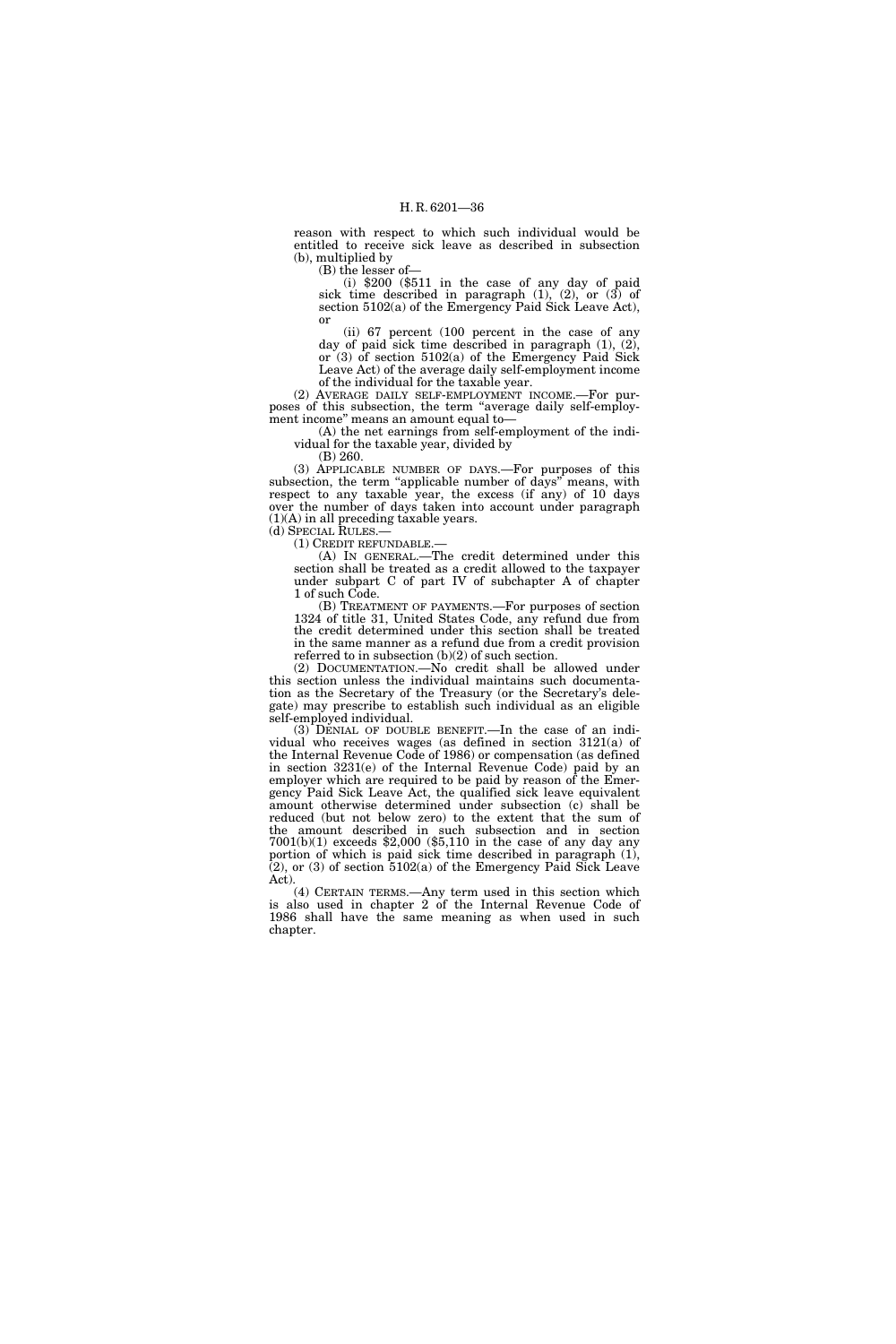reason with respect to which such individual would be entitled to receive sick leave as described in subsection (b), multiplied by

(B) the lesser of—

(i) \$200 (\$511 in the case of any day of paid sick time described in paragraph  $(1)$ ,  $(2)$ , or  $(3)$  of section 5102(a) of the Emergency Paid Sick Leave Act), or

(ii) 67 percent (100 percent in the case of any day of paid sick time described in paragraph (1), (2), or (3) of section 5102(a) of the Emergency Paid Sick Leave Act) of the average daily self-employment income of the individual for the taxable year.

(2) AVERAGE DAILY SELF-EMPLOYMENT INCOME.—For purposes of this subsection, the term ''average daily self-employment income'' means an amount equal to—

(A) the net earnings from self-employment of the individual for the taxable year, divided by

(B) 260.

(3) APPLICABLE NUMBER OF DAYS.—For purposes of this subsection, the term "applicable number of days" means, with respect to any taxable year, the excess (if any) of 10 days over the number of days taken into account under paragraph (1)(A) in all preceding taxable years. (d) SPECIAL RULES.—

(1) CREDIT REFUNDABLE.—

(A) IN GENERAL.—The credit determined under this section shall be treated as a credit allowed to the taxpayer under subpart C of part IV of subchapter A of chapter 1 of such Code.

(B) TREATMENT OF PAYMENTS.—For purposes of section 1324 of title 31, United States Code, any refund due from the credit determined under this section shall be treated in the same manner as a refund due from a credit provision referred to in subsection (b)(2) of such section.

(2) DOCUMENTATION.—No credit shall be allowed under this section unless the individual maintains such documentation as the Secretary of the Treasury (or the Secretary's delegate) may prescribe to establish such individual as an eligible self-employed individual.

(3) DENIAL OF DOUBLE BENEFIT.—In the case of an individual who receives wages (as defined in section 3121(a) of the Internal Revenue Code of 1986) or compensation (as defined in section 3231(e) of the Internal Revenue Code) paid by an employer which are required to be paid by reason of the Emergency Paid Sick Leave Act, the qualified sick leave equivalent amount otherwise determined under subsection (c) shall be reduced (but not below zero) to the extent that the sum of the amount described in such subsection and in section 7001(b)(1) exceeds \$2,000 (\$5,110 in the case of any day any portion of which is paid sick time described in paragraph (1),  $(2)$ , or  $(3)$  of section  $5102(a)$  of the Emergency Paid Sick Leave Act).

(4) CERTAIN TERMS.—Any term used in this section which is also used in chapter 2 of the Internal Revenue Code of 1986 shall have the same meaning as when used in such chapter.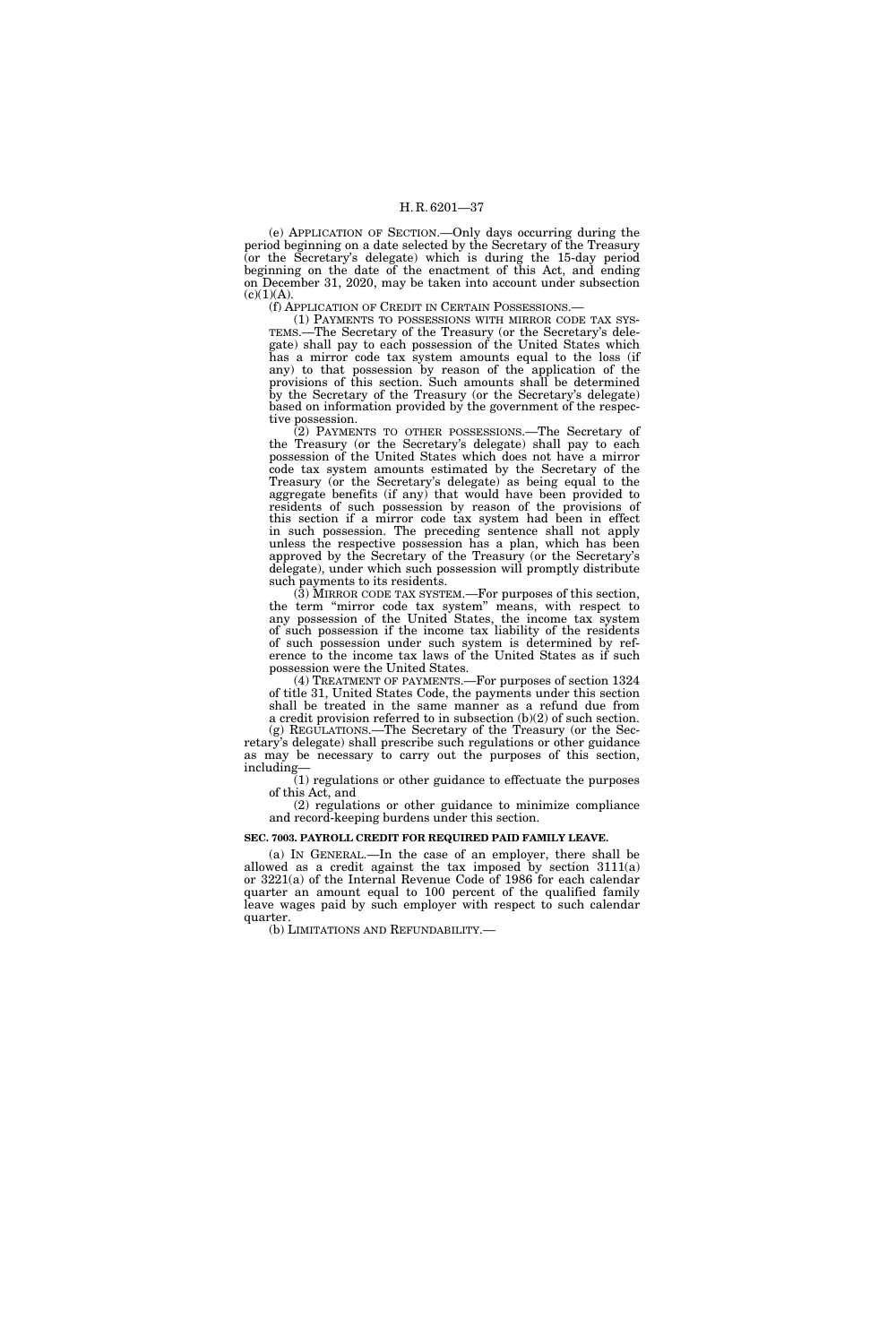(e) APPLICATION OF SECTION.—Only days occurring during the period beginning on a date selected by the Secretary of the Treasury (or the Secretary's delegate) which is during the 15-day period beginning on the date of the enactment of this Act, and ending on December 31, 2020, may be taken into account under subsection  $(c)(1)(A).$ 

(f) APPLICATION OF CREDIT IN CERTAIN POSSESSIONS.—

(1) PAYMENTS TO POSSESSIONS WITH MIRROR CODE TAX SYS-TEMS.—The Secretary of the Treasury (or the Secretary's delegate) shall pay to each possession of the United States which has a mirror code tax system amounts equal to the loss (if any) to that possession by reason of the application of the provisions of this section. Such amounts shall be determined by the Secretary of the Treasury (or the Secretary's delegate) based on information provided by the government of the respective possession.

(2) PAYMENTS TO OTHER POSSESSIONS.—The Secretary of the Treasury (or the Secretary's delegate) shall pay to each possession of the United States which does not have a mirror code tax system amounts estimated by the Secretary of the Treasury (or the Secretary's delegate) as being equal to the aggregate benefits (if any) that would have been provided to residents of such possession by reason of the provisions of this section if a mirror code tax system had been in effect in such possession. The preceding sentence shall not apply unless the respective possession has a plan, which has been approved by the Secretary of the Treasury (or the Secretary's delegate), under which such possession will promptly distribute such payments to its residents.

(3) MIRROR CODE TAX SYSTEM.—For purposes of this section, the term ''mirror code tax system'' means, with respect to any possession of the United States, the income tax system of such possession if the income tax liability of the residents of such possession under such system is determined by reference to the income tax laws of the United States as if such possession were the United States.

(4) TREATMENT OF PAYMENTS.—For purposes of section 1324 of title 31, United States Code, the payments under this section shall be treated in the same manner as a refund due from a credit provision referred to in subsection (b)(2) of such section.

(g) REGULATIONS.—The Secretary of the Treasury (or the Secretary's delegate) shall prescribe such regulations or other guidance as may be necessary to carry out the purposes of this section, including—

(1) regulations or other guidance to effectuate the purposes of this Act, and

(2) regulations or other guidance to minimize compliance and record-keeping burdens under this section.

#### **SEC. 7003. PAYROLL CREDIT FOR REQUIRED PAID FAMILY LEAVE.**

(a) IN GENERAL.—In the case of an employer, there shall be allowed as a credit against the tax imposed by section 3111(a) or 3221(a) of the Internal Revenue Code of 1986 for each calendar quarter an amount equal to 100 percent of the qualified family leave wages paid by such employer with respect to such calendar quarter.

(b) LIMITATIONS AND REFUNDABILITY.—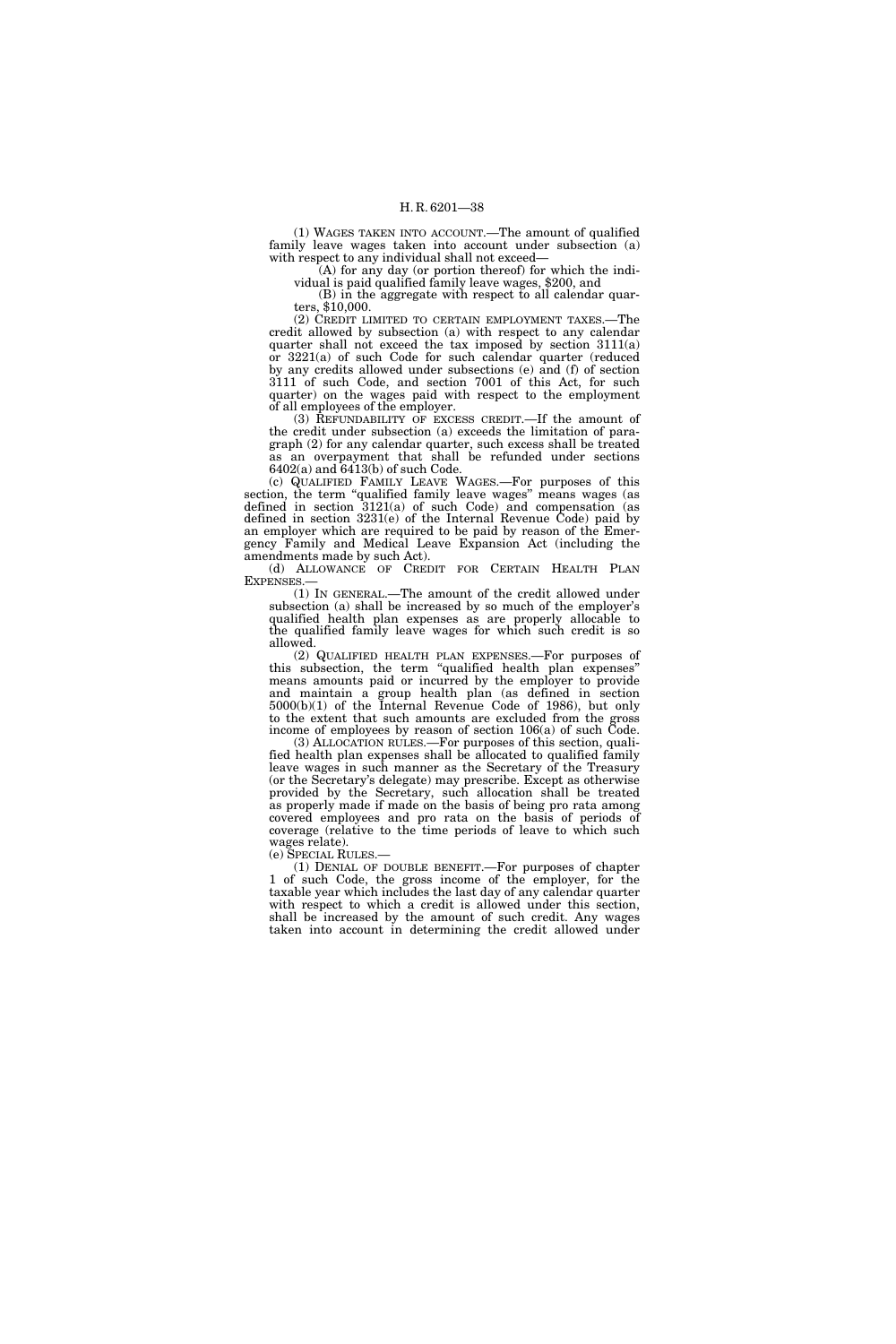(1) WAGES TAKEN INTO ACCOUNT.—The amount of qualified family leave wages taken into account under subsection (a) with respect to any individual shall not exceed—

(A) for any day (or portion thereof) for which the individual is paid qualified family leave wages, \$200, and

(B) in the aggregate with respect to all calendar quarters, \$10,000.

(2) CREDIT LIMITED TO CERTAIN EMPLOYMENT TAXES.—The credit allowed by subsection (a) with respect to any calendar quarter shall not exceed the tax imposed by section 3111(a) or 3221(a) of such Code for such calendar quarter (reduced by any credits allowed under subsections (e) and (f) of section 3111 of such Code, and section 7001 of this Act, for such quarter) on the wages paid with respect to the employment of all employees of the employer.

(3) REFUNDABILITY OF EXCESS CREDIT.—If the amount of the credit under subsection (a) exceeds the limitation of paragraph (2) for any calendar quarter, such excess shall be treated as an overpayment that shall be refunded under sections  $6402(a)$  and  $6413(b)$  of such Code.

(c) QUALIFIED FAMILY LEAVE WAGES.—For purposes of this section, the term "qualified family leave wages" means wages (as defined in section 3121(a) of such Code) and compensation (as defined in section 3231(e) of the Internal Revenue Code) paid by an employer which are required to be paid by reason of the Emergency Family and Medical Leave Expansion Act (including the amendments made by such Act).

(d) ALLOWANCE OF CREDIT FOR CERTAIN HEALTH PLAN **EXPENSES** 

(1) IN GENERAL.—The amount of the credit allowed under subsection (a) shall be increased by so much of the employer's qualified health plan expenses as are properly allocable to the qualified family leave wages for which such credit is so allowed.

(2) QUALIFIED HEALTH PLAN EXPENSES.—For purposes of this subsection, the term ''qualified health plan expenses'' means amounts paid or incurred by the employer to provide and maintain a group health plan (as defined in section 5000(b)(1) of the Internal Revenue Code of 1986), but only to the extent that such amounts are excluded from the gross income of employees by reason of section 106(a) of such Code.

(3) ALLOCATION RULES.—For purposes of this section, qualified health plan expenses shall be allocated to qualified family leave wages in such manner as the Secretary of the Treasury (or the Secretary's delegate) may prescribe. Except as otherwise provided by the Secretary, such allocation shall be treated as properly made if made on the basis of being pro rata among covered employees and pro rata on the basis of periods of coverage (relative to the time periods of leave to which such wages relate).<br>(e) SPECIAL RULES.—

(1) DENIAL OF DOUBLE BENEFIT.—For purposes of chapter 1 of such Code, the gross income of the employer, for the taxable year which includes the last day of any calendar quarter with respect to which a credit is allowed under this section, shall be increased by the amount of such credit. Any wages taken into account in determining the credit allowed under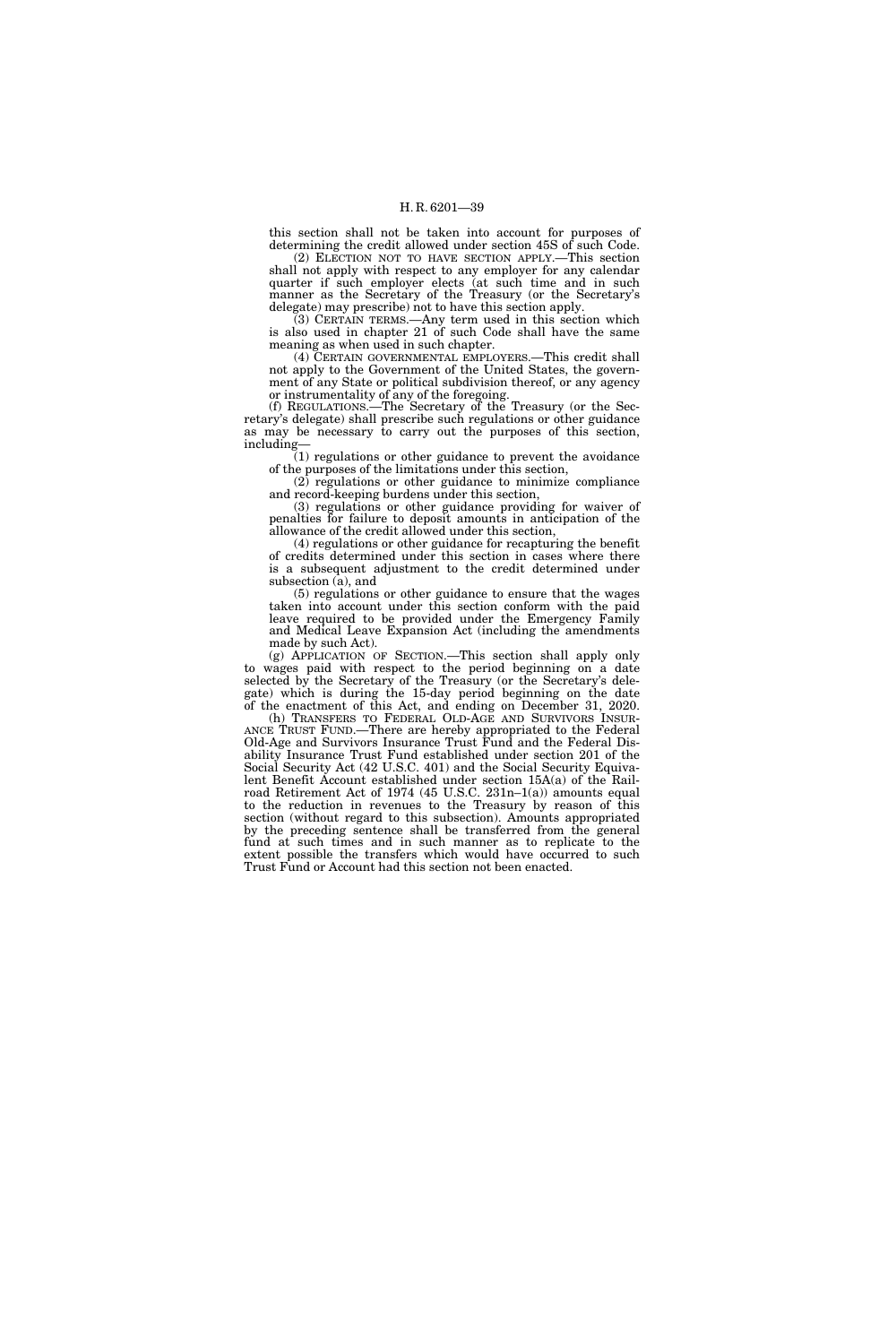this section shall not be taken into account for purposes of determining the credit allowed under section 45S of such Code.

(2) ELECTION NOT TO HAVE SECTION APPLY.—This section shall not apply with respect to any employer for any calendar quarter if such employer elects (at such time and in such manner as the Secretary of the Treasury (or the Secretary's delegate) may prescribe) not to have this section apply.

(3) CERTAIN TERMS.—Any term used in this section which is also used in chapter 21 of such Code shall have the same meaning as when used in such chapter.

(4) CERTAIN GOVERNMENTAL EMPLOYERS.—This credit shall not apply to the Government of the United States, the government of any State or political subdivision thereof, or any agency or instrumentality of any of the foregoing.

(f) REGULATIONS.—The Secretary of the Treasury (or the Secretary's delegate) shall prescribe such regulations or other guidance as may be necessary to carry out the purposes of this section, including—

(1) regulations or other guidance to prevent the avoidance of the purposes of the limitations under this section,

(2) regulations or other guidance to minimize compliance and record-keeping burdens under this section,

(3) regulations or other guidance providing for waiver of penalties for failure to deposit amounts in anticipation of the allowance of the credit allowed under this section,

(4) regulations or other guidance for recapturing the benefit of credits determined under this section in cases where there is a subsequent adjustment to the credit determined under subsection (a), and

(5) regulations or other guidance to ensure that the wages taken into account under this section conform with the paid leave required to be provided under the Emergency Family and Medical Leave Expansion Act (including the amendments made by such Act).

(g) APPLICATION OF SECTION.—This section shall apply only to wages paid with respect to the period beginning on a date selected by the Secretary of the Treasury (or the Secretary's delegate) which is during the 15-day period beginning on the date of the enactment of this Act, and ending on December 31, 2020.

(h) TRANSFERS TO FEDERAL OLD-AGE AND SURVIVORS INSUR-ANCE TRUST FUND.—There are hereby appropriated to the Federal Old-Age and Survivors Insurance Trust Fund and the Federal Disability Insurance Trust Fund established under section 201 of the Social Security Act (42 U.S.C. 401) and the Social Security Equivalent Benefit Account established under section 15A(a) of the Railroad Retirement Act of 1974 (45 U.S.C. 231n–1(a)) amounts equal to the reduction in revenues to the Treasury by reason of this section (without regard to this subsection). Amounts appropriated by the preceding sentence shall be transferred from the general fund at such times and in such manner as to replicate to the extent possible the transfers which would have occurred to such Trust Fund or Account had this section not been enacted.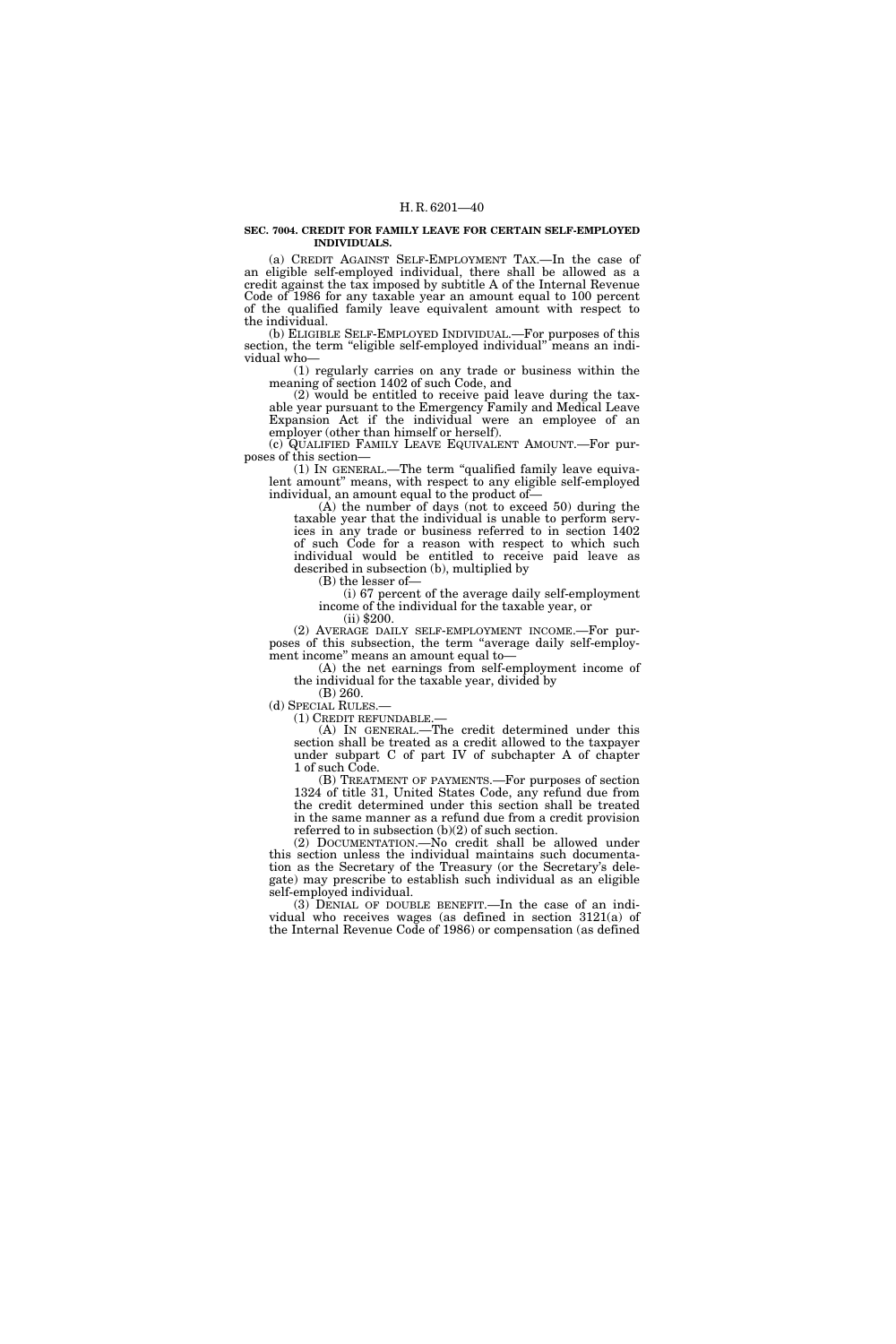#### **SEC. 7004. CREDIT FOR FAMILY LEAVE FOR CERTAIN SELF-EMPLOYED INDIVIDUALS.**

(a) CREDIT AGAINST SELF-EMPLOYMENT TAX.—In the case of an eligible self-employed individual, there shall be allowed as a credit against the tax imposed by subtitle A of the Internal Revenue Code of 1986 for any taxable year an amount equal to 100 percent of the qualified family leave equivalent amount with respect to the individual.

(b) ELIGIBLE SELF-EMPLOYED INDIVIDUAL.—For purposes of this section, the term "eligible self-employed individual" means an individual who—

(1) regularly carries on any trade or business within the meaning of section 1402 of such Code, and

(2) would be entitled to receive paid leave during the taxable year pursuant to the Emergency Family and Medical Leave Expansion Act if the individual were an employee of an employer (other than himself or herself).

(c) QUALIFIED FAMILY LEAVE EQUIVALENT AMOUNT.—For purposes of this section—

(1) IN GENERAL.—The term ''qualified family leave equivalent amount" means, with respect to any eligible self-employed individual, an amount equal to the product of—

(A) the number of days (not to exceed 50) during the taxable year that the individual is unable to perform services in any trade or business referred to in section 1402 of such Code for a reason with respect to which such individual would be entitled to receive paid leave as described in subsection (b), multiplied by

(B) the lesser of—

(i) 67 percent of the average daily self-employment income of the individual for the taxable year, or (ii) \$200.

(2) AVERAGE DAILY SELF-EMPLOYMENT INCOME.—For purposes of this subsection, the term ''average daily self-employment income'' means an amount equal to—

(A) the net earnings from self-employment income of the individual for the taxable year, divided by

(B) 260.

(d) SPECIAL RULES.—<br>(1) CREDIT REFUNDABLE.—

(A) IN GENERAL.—The credit determined under this section shall be treated as a credit allowed to the taxpayer under subpart C of part IV of subchapter A of chapter 1 of such Code.

(B) TREATMENT OF PAYMENTS.—For purposes of section 1324 of title 31, United States Code, any refund due from the credit determined under this section shall be treated in the same manner as a refund due from a credit provision referred to in subsection (b)(2) of such section.

(2) DOCUMENTATION.—No credit shall be allowed under this section unless the individual maintains such documentation as the Secretary of the Treasury (or the Secretary's delegate) may prescribe to establish such individual as an eligible self-employed individual.

(3) DENIAL OF DOUBLE BENEFIT.—In the case of an individual who receives wages (as defined in section 3121(a) of the Internal Revenue Code of 1986) or compensation (as defined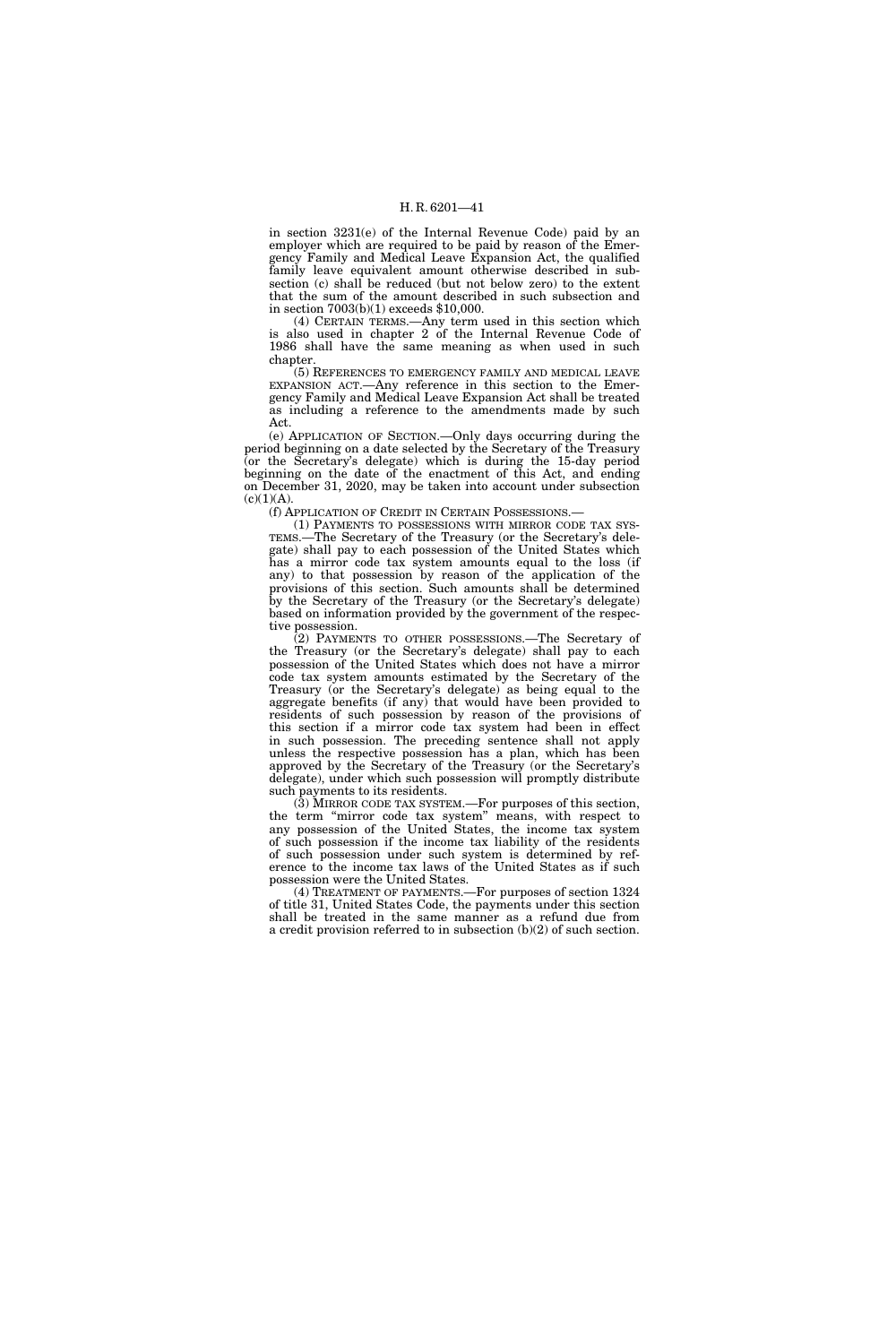in section 3231(e) of the Internal Revenue Code) paid by an employer which are required to be paid by reason of the Emergency Family and Medical Leave Expansion Act, the qualified family leave equivalent amount otherwise described in subsection (c) shall be reduced (but not below zero) to the extent that the sum of the amount described in such subsection and in section 7003(b)(1) exceeds \$10,000.

(4) CERTAIN TERMS.—Any term used in this section which is also used in chapter 2 of the Internal Revenue Code of 1986 shall have the same meaning as when used in such chapter.

(5) REFERENCES TO EMERGENCY FAMILY AND MEDICAL LEAVE EXPANSION ACT.—Any reference in this section to the Emergency Family and Medical Leave Expansion Act shall be treated as including a reference to the amendments made by such Act.

(e) APPLICATION OF SECTION.—Only days occurring during the period beginning on a date selected by the Secretary of the Treasury (or the Secretary's delegate) which is during the 15-day period beginning on the date of the enactment of this Act, and ending on December 31, 2020, may be taken into account under subsection  $(c)(1)(A).$ 

(f) APPLICATION OF CREDIT IN CERTAIN POSSESSIONS.—

(1) PAYMENTS TO POSSESSIONS WITH MIRROR CODE TAX SYS-TEMS.—The Secretary of the Treasury (or the Secretary's delegate) shall pay to each possession of the United States which has a mirror code tax system amounts equal to the loss (if any) to that possession by reason of the application of the provisions of this section. Such amounts shall be determined by the Secretary of the Treasury (or the Secretary's delegate) based on information provided by the government of the respective possession.

(2) PAYMENTS TO OTHER POSSESSIONS.—The Secretary of the Treasury (or the Secretary's delegate) shall pay to each possession of the United States which does not have a mirror code tax system amounts estimated by the Secretary of the Treasury (or the Secretary's delegate) as being equal to the aggregate benefits (if any) that would have been provided to residents of such possession by reason of the provisions of this section if a mirror code tax system had been in effect in such possession. The preceding sentence shall not apply unless the respective possession has a plan, which has been approved by the Secretary of the Treasury (or the Secretary's delegate), under which such possession will promptly distribute such payments to its residents.

(3) MIRROR CODE TAX SYSTEM.—For purposes of this section, the term ''mirror code tax system'' means, with respect to any possession of the United States, the income tax system of such possession if the income tax liability of the residents of such possession under such system is determined by reference to the income tax laws of the United States as if such possession were the United States.

(4) TREATMENT OF PAYMENTS.—For purposes of section 1324 of title 31, United States Code, the payments under this section shall be treated in the same manner as a refund due from a credit provision referred to in subsection (b)(2) of such section.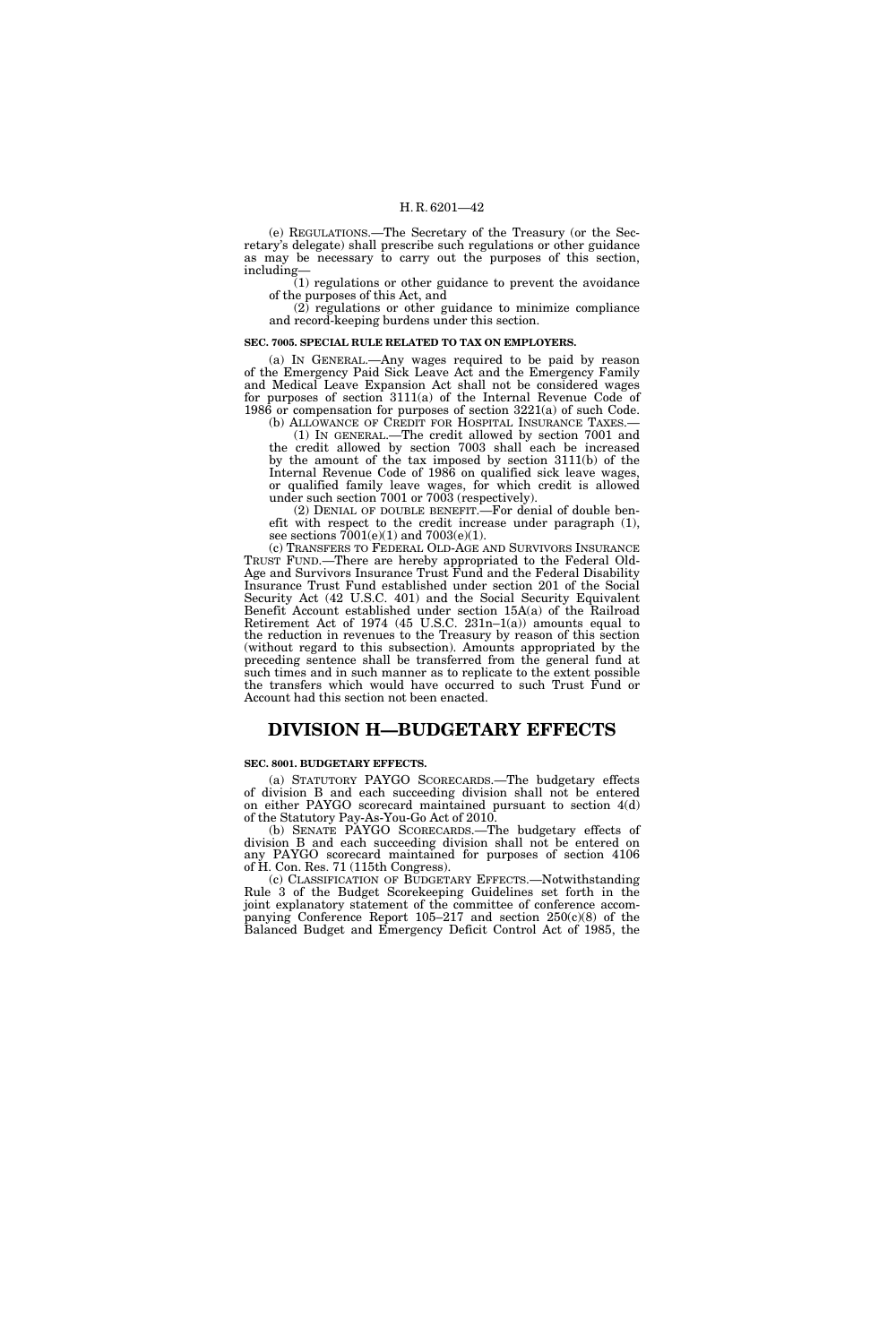(e) REGULATIONS.—The Secretary of the Treasury (or the Secretary's delegate) shall prescribe such regulations or other guidance as may be necessary to carry out the purposes of this section, including—

(1) regulations or other guidance to prevent the avoidance of the purposes of this Act, and

(2) regulations or other guidance to minimize compliance and record-keeping burdens under this section.

#### **SEC. 7005. SPECIAL RULE RELATED TO TAX ON EMPLOYERS.**

(a) IN GENERAL.—Any wages required to be paid by reason of the Emergency Paid Sick Leave Act and the Emergency Family and Medical Leave Expansion Act shall not be considered wages for purposes of section 3111(a) of the Internal Revenue Code of 1986 or compensation for purposes of section 3221(a) of such Code. (b) ALLOWANCE OF CREDIT FOR HOSPITAL INSURANCE TAXES.—

(1) IN GENERAL.—The credit allowed by section 7001 and the credit allowed by section 7003 shall each be increased by the amount of the tax imposed by section 3111(b) of the Internal Revenue Code of 1986 on qualified sick leave wages, or qualified family leave wages, for which credit is allowed under such section 7001 or 7003 (respectively).

(2) DENIAL OF DOUBLE BENEFIT.—For denial of double benefit with respect to the credit increase under paragraph (1), see sections  $7001(e)(1)$  and  $7003(e)(1)$ .

(c) TRANSFERS TO FEDERAL OLD-AGE AND SURVIVORS INSURANCE TRUST FUND.—There are hereby appropriated to the Federal Old-Age and Survivors Insurance Trust Fund and the Federal Disability Insurance Trust Fund established under section 201 of the Social Security Act (42 U.S.C. 401) and the Social Security Equivalent Benefit Account established under section 15A(a) of the Railroad Retirement Act of 1974 (45 U.S.C.  $231n-1(a)$ ) amounts equal to the reduction in revenues to the Treasury by reason of this section (without regard to this subsection). Amounts appropriated by the preceding sentence shall be transferred from the general fund at such times and in such manner as to replicate to the extent possible the transfers which would have occurred to such Trust Fund or Account had this section not been enacted.

## **DIVISION H—BUDGETARY EFFECTS**

#### **SEC. 8001. BUDGETARY EFFECTS.**

(a) STATUTORY PAYGO SCORECARDS.—The budgetary effects of division B and each succeeding division shall not be entered on either PAYGO scorecard maintained pursuant to section 4(d) of the Statutory Pay-As-You-Go Act of 2010.

(b) SENATE PAYGO SCORECARDS.—The budgetary effects of division B and each succeeding division shall not be entered on any PAYGO scorecard maintained for purposes of section 4106 of H. Con. Res. 71 (115th Congress).

(c) CLASSIFICATION OF BUDGETARY EFFECTS.—Notwithstanding Rule 3 of the Budget Scorekeeping Guidelines set forth in the joint explanatory statement of the committee of conference accompanying Conference Report 105–217 and section 250(c)(8) of the Balanced Budget and Emergency Deficit Control Act of 1985, the